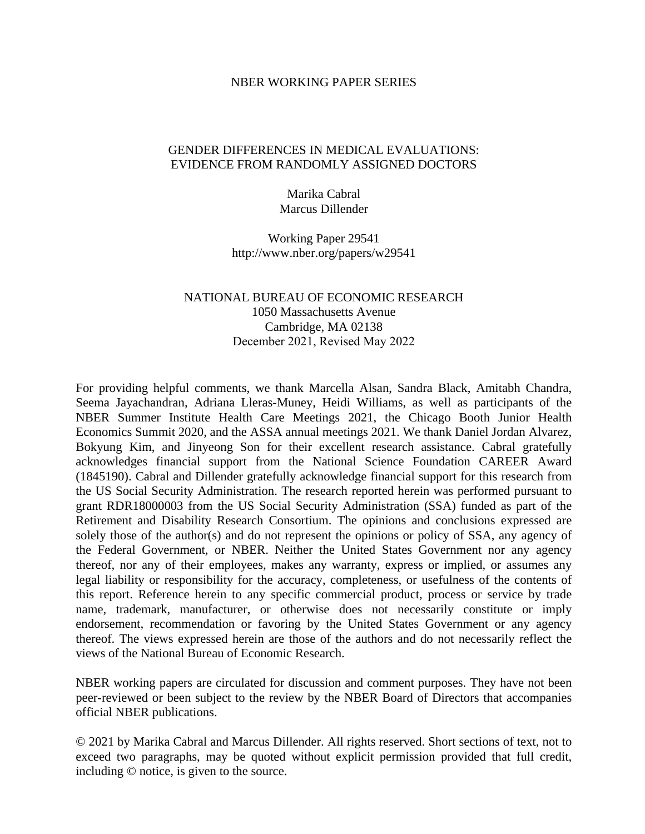#### NBER WORKING PAPER SERIES

## GENDER DIFFERENCES IN MEDICAL EVALUATIONS: EVIDENCE FROM RANDOMLY ASSIGNED DOCTORS

Marika Cabral Marcus Dillender

Working Paper 29541 http://www.nber.org/papers/w29541

# NATIONAL BUREAU OF ECONOMIC RESEARCH 1050 Massachusetts Avenue Cambridge, MA 02138 December 2021, Revised May 2022

For providing helpful comments, we thank Marcella Alsan, Sandra Black, Amitabh Chandra, Seema Jayachandran, Adriana Lleras-Muney, Heidi Williams, as well as participants of the NBER Summer Institute Health Care Meetings 2021, the Chicago Booth Junior Health Economics Summit 2020, and the ASSA annual meetings 2021. We thank Daniel Jordan Alvarez, Bokyung Kim, and Jinyeong Son for their excellent research assistance. Cabral gratefully acknowledges financial support from the National Science Foundation CAREER Award (1845190). Cabral and Dillender gratefully acknowledge financial support for this research from the US Social Security Administration. The research reported herein was performed pursuant to grant RDR18000003 from the US Social Security Administration (SSA) funded as part of the Retirement and Disability Research Consortium. The opinions and conclusions expressed are solely those of the author(s) and do not represent the opinions or policy of SSA, any agency of the Federal Government, or NBER. Neither the United States Government nor any agency thereof, nor any of their employees, makes any warranty, express or implied, or assumes any legal liability or responsibility for the accuracy, completeness, or usefulness of the contents of this report. Reference herein to any specific commercial product, process or service by trade name, trademark, manufacturer, or otherwise does not necessarily constitute or imply endorsement, recommendation or favoring by the United States Government or any agency thereof. The views expressed herein are those of the authors and do not necessarily reflect the views of the National Bureau of Economic Research.

NBER working papers are circulated for discussion and comment purposes. They have not been peer-reviewed or been subject to the review by the NBER Board of Directors that accompanies official NBER publications.

© 2021 by Marika Cabral and Marcus Dillender. All rights reserved. Short sections of text, not to exceed two paragraphs, may be quoted without explicit permission provided that full credit, including © notice, is given to the source.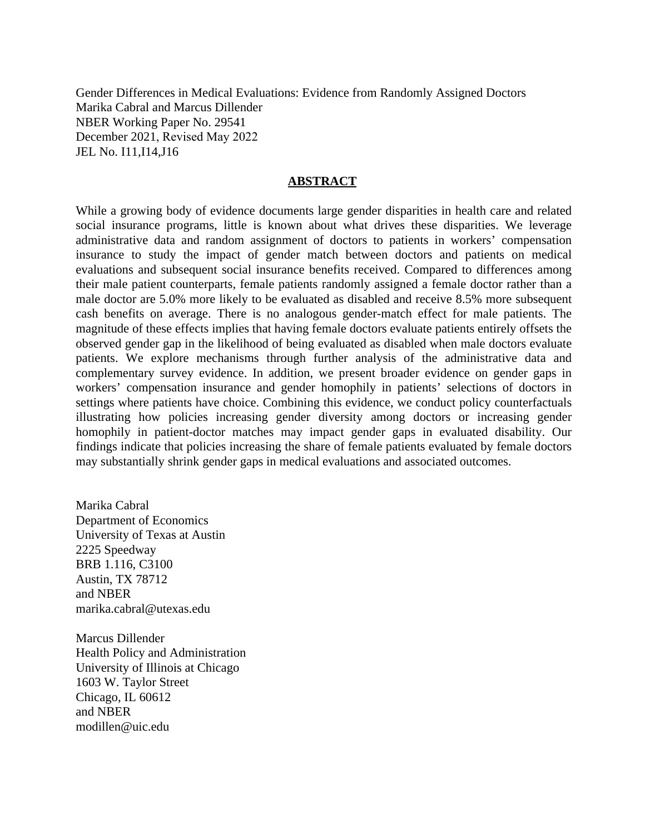Gender Differences in Medical Evaluations: Evidence from Randomly Assigned Doctors Marika Cabral and Marcus Dillender NBER Working Paper No. 29541 December 2021, Revised May 2022 JEL No. I11,I14,J16

## **ABSTRACT**

While a growing body of evidence documents large gender disparities in health care and related social insurance programs, little is known about what drives these disparities. We leverage administrative data and random assignment of doctors to patients in workers' compensation insurance to study the impact of gender match between doctors and patients on medical evaluations and subsequent social insurance benefits received. Compared to differences among their male patient counterparts, female patients randomly assigned a female doctor rather than a male doctor are 5.0% more likely to be evaluated as disabled and receive 8.5% more subsequent cash benefits on average. There is no analogous gender-match effect for male patients. The magnitude of these effects implies that having female doctors evaluate patients entirely offsets the observed gender gap in the likelihood of being evaluated as disabled when male doctors evaluate patients. We explore mechanisms through further analysis of the administrative data and complementary survey evidence. In addition, we present broader evidence on gender gaps in workers' compensation insurance and gender homophily in patients' selections of doctors in settings where patients have choice. Combining this evidence, we conduct policy counterfactuals illustrating how policies increasing gender diversity among doctors or increasing gender homophily in patient-doctor matches may impact gender gaps in evaluated disability. Our findings indicate that policies increasing the share of female patients evaluated by female doctors may substantially shrink gender gaps in medical evaluations and associated outcomes.

Marika Cabral Department of Economics University of Texas at Austin 2225 Speedway BRB 1.116, C3100 Austin, TX 78712 and NBER marika.cabral@utexas.edu

Marcus Dillender Health Policy and Administration University of Illinois at Chicago 1603 W. Taylor Street Chicago, IL 60612 and NBER modillen@uic.edu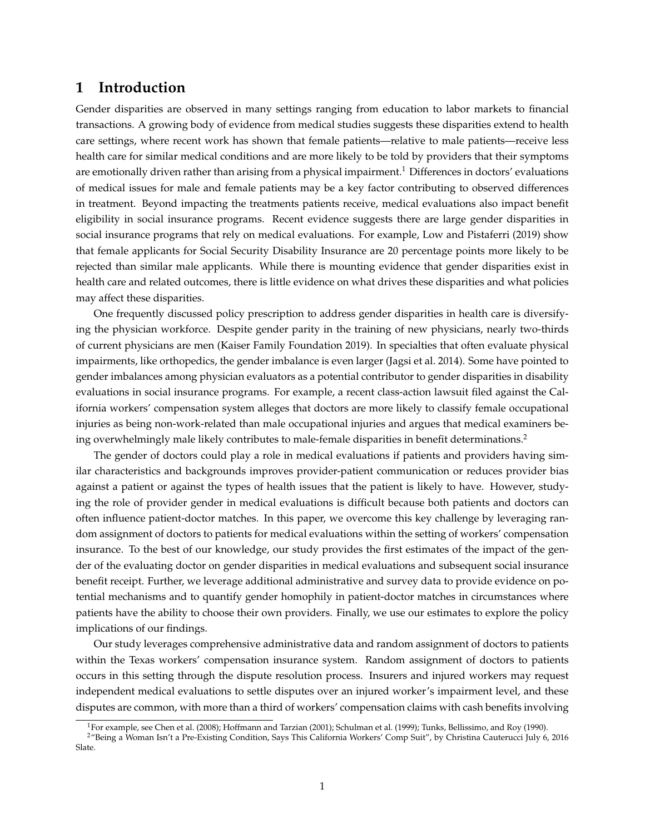# **1 Introduction**

Gender disparities are observed in many settings ranging from education to labor markets to financial transactions. A growing body of evidence from medical studies suggests these disparities extend to health care settings, where recent work has shown that female patients—relative to male patients—receive less health care for similar medical conditions and are more likely to be told by providers that their symptoms are emotionally driven rather than arising from a physical impairment.<sup>[1](#page-2-0)</sup> Differences in doctors' evaluations of medical issues for male and female patients may be a key factor contributing to observed differences in treatment. Beyond impacting the treatments patients receive, medical evaluations also impact benefit eligibility in social insurance programs. Recent evidence suggests there are large gender disparities in social insurance programs that rely on medical evaluations. For example, [Low and Pistaferri](#page-39-0) [\(2019\)](#page-39-0) show that female applicants for Social Security Disability Insurance are 20 percentage points more likely to be rejected than similar male applicants. While there is mounting evidence that gender disparities exist in health care and related outcomes, there is little evidence on what drives these disparities and what policies may affect these disparities.

One frequently discussed policy prescription to address gender disparities in health care is diversifying the physician workforce. Despite gender parity in the training of new physicians, nearly two-thirds of current physicians are men [\(Kaiser Family Foundation 2019\)](#page-39-1). In specialties that often evaluate physical impairments, like orthopedics, the gender imbalance is even larger [\(Jagsi et al. 2014\)](#page-39-2). Some have pointed to gender imbalances among physician evaluators as a potential contributor to gender disparities in disability evaluations in social insurance programs. For example, a recent class-action lawsuit filed against the California workers' compensation system alleges that doctors are more likely to classify female occupational injuries as being non-work-related than male occupational injuries and argues that medical examiners be-ing overwhelmingly male likely contributes to male-female disparities in benefit determinations.<sup>[2](#page-2-1)</sup>

The gender of doctors could play a role in medical evaluations if patients and providers having similar characteristics and backgrounds improves provider-patient communication or reduces provider bias against a patient or against the types of health issues that the patient is likely to have. However, studying the role of provider gender in medical evaluations is difficult because both patients and doctors can often influence patient-doctor matches. In this paper, we overcome this key challenge by leveraging random assignment of doctors to patients for medical evaluations within the setting of workers' compensation insurance. To the best of our knowledge, our study provides the first estimates of the impact of the gender of the evaluating doctor on gender disparities in medical evaluations and subsequent social insurance benefit receipt. Further, we leverage additional administrative and survey data to provide evidence on potential mechanisms and to quantify gender homophily in patient-doctor matches in circumstances where patients have the ability to choose their own providers. Finally, we use our estimates to explore the policy implications of our findings.

Our study leverages comprehensive administrative data and random assignment of doctors to patients within the Texas workers' compensation insurance system. Random assignment of doctors to patients occurs in this setting through the dispute resolution process. Insurers and injured workers may request independent medical evaluations to settle disputes over an injured worker's impairment level, and these disputes are common, with more than a third of workers' compensation claims with cash benefits involving

<span id="page-2-1"></span><span id="page-2-0"></span><sup>&</sup>lt;sup>1</sup>For example, see [Chen et al.](#page-38-0) [\(2008\)](#page-38-0); [Hoffmann and Tarzian](#page-39-3) [\(2001\)](#page-39-3); [Schulman et al.](#page-40-0) [\(1999\)](#page-40-0); [Tunks, Bellissimo, and Roy](#page-40-1) [\(1990\)](#page-40-1).

<sup>2</sup>"Being a Woman Isn't a Pre-Existing Condition, Says This California Workers' Comp Suit", by Christina Cauterucci July 6, 2016 Slate.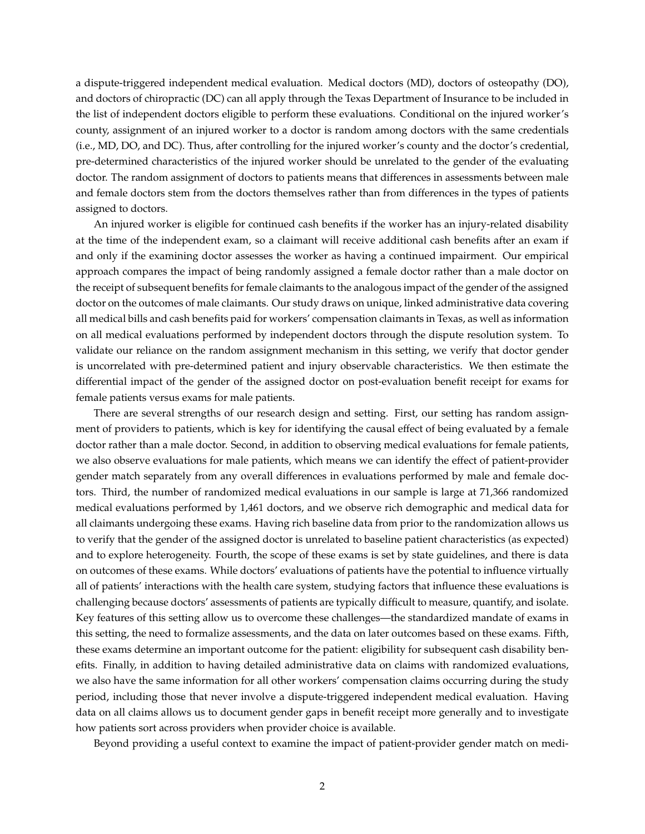a dispute-triggered independent medical evaluation. Medical doctors (MD), doctors of osteopathy (DO), and doctors of chiropractic (DC) can all apply through the Texas Department of Insurance to be included in the list of independent doctors eligible to perform these evaluations. Conditional on the injured worker's county, assignment of an injured worker to a doctor is random among doctors with the same credentials (i.e., MD, DO, and DC). Thus, after controlling for the injured worker's county and the doctor's credential, pre-determined characteristics of the injured worker should be unrelated to the gender of the evaluating doctor. The random assignment of doctors to patients means that differences in assessments between male and female doctors stem from the doctors themselves rather than from differences in the types of patients assigned to doctors.

An injured worker is eligible for continued cash benefits if the worker has an injury-related disability at the time of the independent exam, so a claimant will receive additional cash benefits after an exam if and only if the examining doctor assesses the worker as having a continued impairment. Our empirical approach compares the impact of being randomly assigned a female doctor rather than a male doctor on the receipt of subsequent benefits for female claimants to the analogous impact of the gender of the assigned doctor on the outcomes of male claimants. Our study draws on unique, linked administrative data covering all medical bills and cash benefits paid for workers' compensation claimants in Texas, as well as information on all medical evaluations performed by independent doctors through the dispute resolution system. To validate our reliance on the random assignment mechanism in this setting, we verify that doctor gender is uncorrelated with pre-determined patient and injury observable characteristics. We then estimate the differential impact of the gender of the assigned doctor on post-evaluation benefit receipt for exams for female patients versus exams for male patients.

There are several strengths of our research design and setting. First, our setting has random assignment of providers to patients, which is key for identifying the causal effect of being evaluated by a female doctor rather than a male doctor. Second, in addition to observing medical evaluations for female patients, we also observe evaluations for male patients, which means we can identify the effect of patient-provider gender match separately from any overall differences in evaluations performed by male and female doctors. Third, the number of randomized medical evaluations in our sample is large at 71,366 randomized medical evaluations performed by 1,461 doctors, and we observe rich demographic and medical data for all claimants undergoing these exams. Having rich baseline data from prior to the randomization allows us to verify that the gender of the assigned doctor is unrelated to baseline patient characteristics (as expected) and to explore heterogeneity. Fourth, the scope of these exams is set by state guidelines, and there is data on outcomes of these exams. While doctors' evaluations of patients have the potential to influence virtually all of patients' interactions with the health care system, studying factors that influence these evaluations is challenging because doctors' assessments of patients are typically difficult to measure, quantify, and isolate. Key features of this setting allow us to overcome these challenges—the standardized mandate of exams in this setting, the need to formalize assessments, and the data on later outcomes based on these exams. Fifth, these exams determine an important outcome for the patient: eligibility for subsequent cash disability benefits. Finally, in addition to having detailed administrative data on claims with randomized evaluations, we also have the same information for all other workers' compensation claims occurring during the study period, including those that never involve a dispute-triggered independent medical evaluation. Having data on all claims allows us to document gender gaps in benefit receipt more generally and to investigate how patients sort across providers when provider choice is available.

Beyond providing a useful context to examine the impact of patient-provider gender match on medi-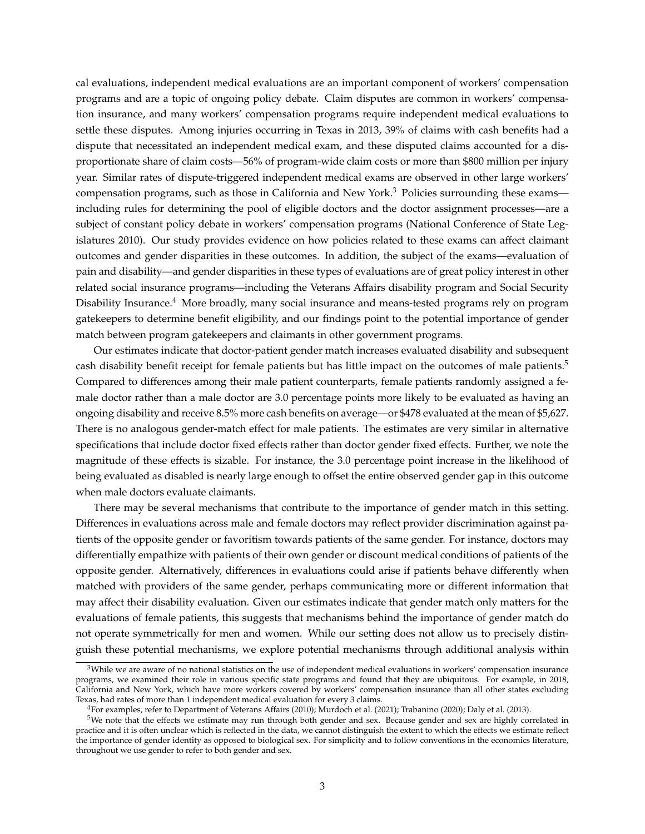cal evaluations, independent medical evaluations are an important component of workers' compensation programs and are a topic of ongoing policy debate. Claim disputes are common in workers' compensation insurance, and many workers' compensation programs require independent medical evaluations to settle these disputes. Among injuries occurring in Texas in 2013, 39% of claims with cash benefits had a dispute that necessitated an independent medical exam, and these disputed claims accounted for a disproportionate share of claim costs—56% of program-wide claim costs or more than \$800 million per injury year. Similar rates of dispute-triggered independent medical exams are observed in other large workers' compensation programs, such as those in California and New York.<sup>[3](#page-4-0)</sup> Policies surrounding these exams including rules for determining the pool of eligible doctors and the doctor assignment processes—are a subject of constant policy debate in workers' compensation programs [\(National Conference of State Leg](#page-39-4)[islatures 2010\)](#page-39-4). Our study provides evidence on how policies related to these exams can affect claimant outcomes and gender disparities in these outcomes. In addition, the subject of the exams—evaluation of pain and disability—and gender disparities in these types of evaluations are of great policy interest in other related social insurance programs—including the Veterans Affairs disability program and Social Security Disability Insurance.[4](#page-4-1) More broadly, many social insurance and means-tested programs rely on program gatekeepers to determine benefit eligibility, and our findings point to the potential importance of gender match between program gatekeepers and claimants in other government programs.

Our estimates indicate that doctor-patient gender match increases evaluated disability and subsequent cash disability benefit receipt for female patients but has little impact on the outcomes of male patients.[5](#page-4-2) Compared to differences among their male patient counterparts, female patients randomly assigned a female doctor rather than a male doctor are 3.0 percentage points more likely to be evaluated as having an ongoing disability and receive 8.5% more cash benefits on average—or \$478 evaluated at the mean of \$5,627. There is no analogous gender-match effect for male patients. The estimates are very similar in alternative specifications that include doctor fixed effects rather than doctor gender fixed effects. Further, we note the magnitude of these effects is sizable. For instance, the 3.0 percentage point increase in the likelihood of being evaluated as disabled is nearly large enough to offset the entire observed gender gap in this outcome when male doctors evaluate claimants.

There may be several mechanisms that contribute to the importance of gender match in this setting. Differences in evaluations across male and female doctors may reflect provider discrimination against patients of the opposite gender or favoritism towards patients of the same gender. For instance, doctors may differentially empathize with patients of their own gender or discount medical conditions of patients of the opposite gender. Alternatively, differences in evaluations could arise if patients behave differently when matched with providers of the same gender, perhaps communicating more or different information that may affect their disability evaluation. Given our estimates indicate that gender match only matters for the evaluations of female patients, this suggests that mechanisms behind the importance of gender match do not operate symmetrically for men and women. While our setting does not allow us to precisely distinguish these potential mechanisms, we explore potential mechanisms through additional analysis within

<span id="page-4-0"></span><sup>&</sup>lt;sup>3</sup>While we are aware of no national statistics on the use of independent medical evaluations in workers' compensation insurance programs, we examined their role in various specific state programs and found that they are ubiquitous. For example, in 2018, California and New York, which have more workers covered by workers' compensation insurance than all other states excluding Texas, had rates of more than 1 independent medical evaluation for every 3 claims.

<span id="page-4-2"></span><span id="page-4-1"></span><sup>4</sup>For examples, refer to [Department of Veterans Affairs](#page-38-1) [\(2010\)](#page-38-1); [Murdoch et al.](#page-39-5) [\(2021\)](#page-39-5); [Trabanino](#page-40-2) [\(2020\)](#page-40-2); [Daly et al.](#page-38-2) [\(2013\)](#page-38-2).

<sup>5</sup>We note that the effects we estimate may run through both gender and sex. Because gender and sex are highly correlated in practice and it is often unclear which is reflected in the data, we cannot distinguish the extent to which the effects we estimate reflect the importance of gender identity as opposed to biological sex. For simplicity and to follow conventions in the economics literature, throughout we use gender to refer to both gender and sex.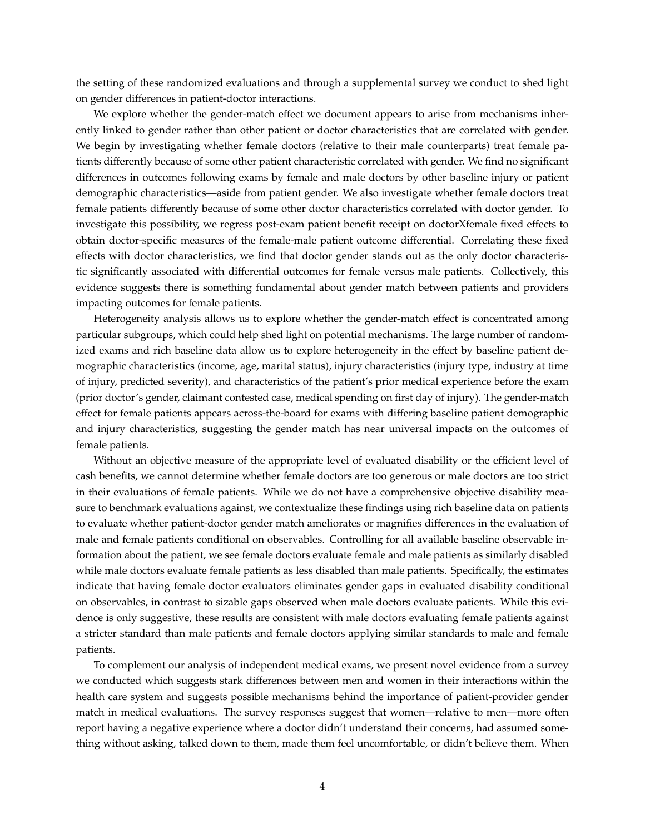the setting of these randomized evaluations and through a supplemental survey we conduct to shed light on gender differences in patient-doctor interactions.

We explore whether the gender-match effect we document appears to arise from mechanisms inherently linked to gender rather than other patient or doctor characteristics that are correlated with gender. We begin by investigating whether female doctors (relative to their male counterparts) treat female patients differently because of some other patient characteristic correlated with gender. We find no significant differences in outcomes following exams by female and male doctors by other baseline injury or patient demographic characteristics—aside from patient gender. We also investigate whether female doctors treat female patients differently because of some other doctor characteristics correlated with doctor gender. To investigate this possibility, we regress post-exam patient benefit receipt on doctorXfemale fixed effects to obtain doctor-specific measures of the female-male patient outcome differential. Correlating these fixed effects with doctor characteristics, we find that doctor gender stands out as the only doctor characteristic significantly associated with differential outcomes for female versus male patients. Collectively, this evidence suggests there is something fundamental about gender match between patients and providers impacting outcomes for female patients.

Heterogeneity analysis allows us to explore whether the gender-match effect is concentrated among particular subgroups, which could help shed light on potential mechanisms. The large number of randomized exams and rich baseline data allow us to explore heterogeneity in the effect by baseline patient demographic characteristics (income, age, marital status), injury characteristics (injury type, industry at time of injury, predicted severity), and characteristics of the patient's prior medical experience before the exam (prior doctor's gender, claimant contested case, medical spending on first day of injury). The gender-match effect for female patients appears across-the-board for exams with differing baseline patient demographic and injury characteristics, suggesting the gender match has near universal impacts on the outcomes of female patients.

Without an objective measure of the appropriate level of evaluated disability or the efficient level of cash benefits, we cannot determine whether female doctors are too generous or male doctors are too strict in their evaluations of female patients. While we do not have a comprehensive objective disability measure to benchmark evaluations against, we contextualize these findings using rich baseline data on patients to evaluate whether patient-doctor gender match ameliorates or magnifies differences in the evaluation of male and female patients conditional on observables. Controlling for all available baseline observable information about the patient, we see female doctors evaluate female and male patients as similarly disabled while male doctors evaluate female patients as less disabled than male patients. Specifically, the estimates indicate that having female doctor evaluators eliminates gender gaps in evaluated disability conditional on observables, in contrast to sizable gaps observed when male doctors evaluate patients. While this evidence is only suggestive, these results are consistent with male doctors evaluating female patients against a stricter standard than male patients and female doctors applying similar standards to male and female patients.

To complement our analysis of independent medical exams, we present novel evidence from a survey we conducted which suggests stark differences between men and women in their interactions within the health care system and suggests possible mechanisms behind the importance of patient-provider gender match in medical evaluations. The survey responses suggest that women—relative to men—more often report having a negative experience where a doctor didn't understand their concerns, had assumed something without asking, talked down to them, made them feel uncomfortable, or didn't believe them. When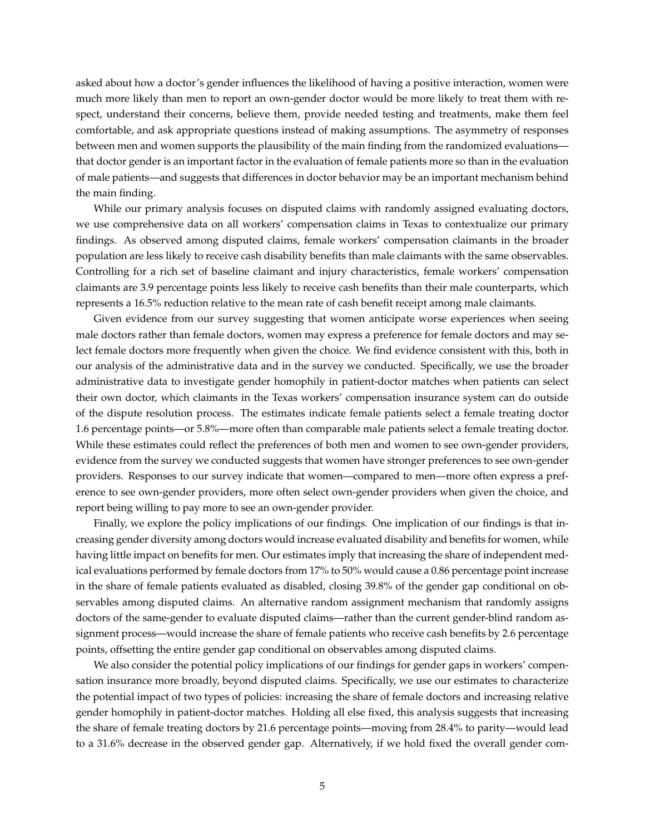asked about how a doctor's gender influences the likelihood of having a positive interaction, women were much more likely than men to report an own-gender doctor would be more likely to treat them with respect, understand their concerns, believe them, provide needed testing and treatments, make them feel comfortable, and ask appropriate questions instead of making assumptions. The asymmetry of responses between men and women supports the plausibility of the main finding from the randomized evaluations that doctor gender is an important factor in the evaluation of female patients more so than in the evaluation of male patients—and suggests that differences in doctor behavior may be an important mechanism behind the main finding.

While our primary analysis focuses on disputed claims with randomly assigned evaluating doctors, we use comprehensive data on all workers' compensation claims in Texas to contextualize our primary findings. As observed among disputed claims, female workers' compensation claimants in the broader population are less likely to receive cash disability benefits than male claimants with the same observables. Controlling for a rich set of baseline claimant and injury characteristics, female workers' compensation claimants are 3.9 percentage points less likely to receive cash benefits than their male counterparts, which represents a 16.5% reduction relative to the mean rate of cash benefit receipt among male claimants.

Given evidence from our survey suggesting that women anticipate worse experiences when seeing male doctors rather than female doctors, women may express a preference for female doctors and may select female doctors more frequently when given the choice. We find evidence consistent with this, both in our analysis of the administrative data and in the survey we conducted. Specifically, we use the broader administrative data to investigate gender homophily in patient-doctor matches when patients can select their own doctor, which claimants in the Texas workers' compensation insurance system can do outside of the dispute resolution process. The estimates indicate female patients select a female treating doctor 1.6 percentage points—or 5.8%—more often than comparable male patients select a female treating doctor. While these estimates could reflect the preferences of both men and women to see own-gender providers, evidence from the survey we conducted suggests that women have stronger preferences to see own-gender providers. Responses to our survey indicate that women—compared to men—more often express a preference to see own-gender providers, more often select own-gender providers when given the choice, and report being willing to pay more to see an own-gender provider.

Finally, we explore the policy implications of our findings. One implication of our findings is that increasing gender diversity among doctors would increase evaluated disability and benefits for women, while having little impact on benefits for men. Our estimates imply that increasing the share of independent medical evaluations performed by female doctors from 17% to 50% would cause a 0.86 percentage point increase in the share of female patients evaluated as disabled, closing 39.8% of the gender gap conditional on observables among disputed claims. An alternative random assignment mechanism that randomly assigns doctors of the same-gender to evaluate disputed claims—rather than the current gender-blind random assignment process—would increase the share of female patients who receive cash benefits by 2.6 percentage points, offsetting the entire gender gap conditional on observables among disputed claims.

We also consider the potential policy implications of our findings for gender gaps in workers' compensation insurance more broadly, beyond disputed claims. Specifically, we use our estimates to characterize the potential impact of two types of policies: increasing the share of female doctors and increasing relative gender homophily in patient-doctor matches. Holding all else fixed, this analysis suggests that increasing the share of female treating doctors by 21.6 percentage points—moving from 28.4% to parity—would lead to a 31.6% decrease in the observed gender gap. Alternatively, if we hold fixed the overall gender com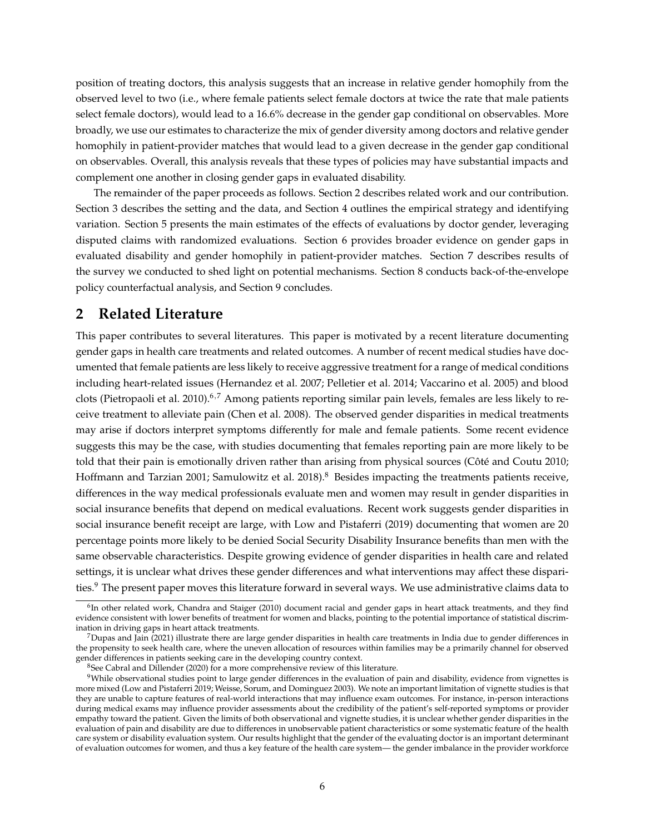position of treating doctors, this analysis suggests that an increase in relative gender homophily from the observed level to two (i.e., where female patients select female doctors at twice the rate that male patients select female doctors), would lead to a 16.6% decrease in the gender gap conditional on observables. More broadly, we use our estimates to characterize the mix of gender diversity among doctors and relative gender homophily in patient-provider matches that would lead to a given decrease in the gender gap conditional on observables. Overall, this analysis reveals that these types of policies may have substantial impacts and complement one another in closing gender gaps in evaluated disability.

The remainder of the paper proceeds as follows. Section [2](#page-7-0) describes related work and our contribution. Section [3](#page-9-0) describes the setting and the data, and Section [4](#page-16-0) outlines the empirical strategy and identifying variation. Section [5](#page-18-0) presents the main estimates of the effects of evaluations by doctor gender, leveraging disputed claims with randomized evaluations. Section [6](#page-25-0) provides broader evidence on gender gaps in evaluated disability and gender homophily in patient-provider matches. Section [7](#page-27-0) describes results of the survey we conducted to shed light on potential mechanisms. Section [8](#page-33-0) conducts back-of-the-envelope policy counterfactual analysis, and Section [9](#page-36-0) concludes.

# <span id="page-7-0"></span>**2 Related Literature**

This paper contributes to several literatures. This paper is motivated by a recent literature documenting gender gaps in health care treatments and related outcomes. A number of recent medical studies have documented that female patients are less likely to receive aggressive treatment for a range of medical conditions including heart-related issues [\(Hernandez et al. 2007;](#page-39-6) [Pelletier et al. 2014;](#page-39-7) [Vaccarino et al. 2005\)](#page-40-3) and blood clots [\(Pietropaoli et al. 2010\)](#page-39-8).<sup>[6](#page-7-1),[7](#page-7-2)</sup> Among patients reporting similar pain levels, females are less likely to receive treatment to alleviate pain [\(Chen et al. 2008\)](#page-38-0). The observed gender disparities in medical treatments may arise if doctors interpret symptoms differently for male and female patients. Some recent evidence suggests this may be the case, with studies documenting that females reporting pain are more likely to be told that their pain is emotionally driven rather than arising from physical sources (Côté and Coutu 2010; [Hoffmann and Tarzian 2001;](#page-39-3) [Samulowitz et al. 2018\)](#page-39-9).<sup>[8](#page-7-3)</sup> Besides impacting the treatments patients receive, differences in the way medical professionals evaluate men and women may result in gender disparities in social insurance benefits that depend on medical evaluations. Recent work suggests gender disparities in social insurance benefit receipt are large, with [Low and Pistaferri](#page-39-0) [\(2019\)](#page-39-0) documenting that women are 20 percentage points more likely to be denied Social Security Disability Insurance benefits than men with the same observable characteristics. Despite growing evidence of gender disparities in health care and related settings, it is unclear what drives these gender differences and what interventions may affect these disparities.[9](#page-7-4) The present paper moves this literature forward in several ways. We use administrative claims data to

<span id="page-7-1"></span><sup>&</sup>lt;sup>6</sup>In other related work, [Chandra and Staiger](#page-38-4) [\(2010\)](#page-38-4) document racial and gender gaps in heart attack treatments, and they find evidence consistent with lower benefits of treatment for women and blacks, pointing to the potential importance of statistical discrimination in driving gaps in heart attack treatments.

<span id="page-7-2"></span> $7$ [Dupas and Jain](#page-38-5) [\(2021\)](#page-38-5) illustrate there are large gender disparities in health care treatments in India due to gender differences in the propensity to seek health care, where the uneven allocation of resources within families may be a primarily channel for observed gender differences in patients seeking care in the developing country context.

<span id="page-7-4"></span><span id="page-7-3"></span><sup>8</sup>See [Cabral and Dillender](#page-38-6) [\(2020\)](#page-38-6) for a more comprehensive review of this literature.

<sup>&</sup>lt;sup>9</sup>While observational studies point to large gender differences in the evaluation of pain and disability, evidence from vignettes is more mixed [\(Low and Pistaferri 2019;](#page-39-0) [Weisse, Sorum, and Dominguez 2003\)](#page-40-4). We note an important limitation of vignette studies is that they are unable to capture features of real-world interactions that may influence exam outcomes. For instance, in-person interactions during medical exams may influence provider assessments about the credibility of the patient's self-reported symptoms or provider empathy toward the patient. Given the limits of both observational and vignette studies, it is unclear whether gender disparities in the evaluation of pain and disability are due to differences in unobservable patient characteristics or some systematic feature of the health care system or disability evaluation system. Our results highlight that the gender of the evaluating doctor is an important determinant of evaluation outcomes for women, and thus a key feature of the health care system— the gender imbalance in the provider workforce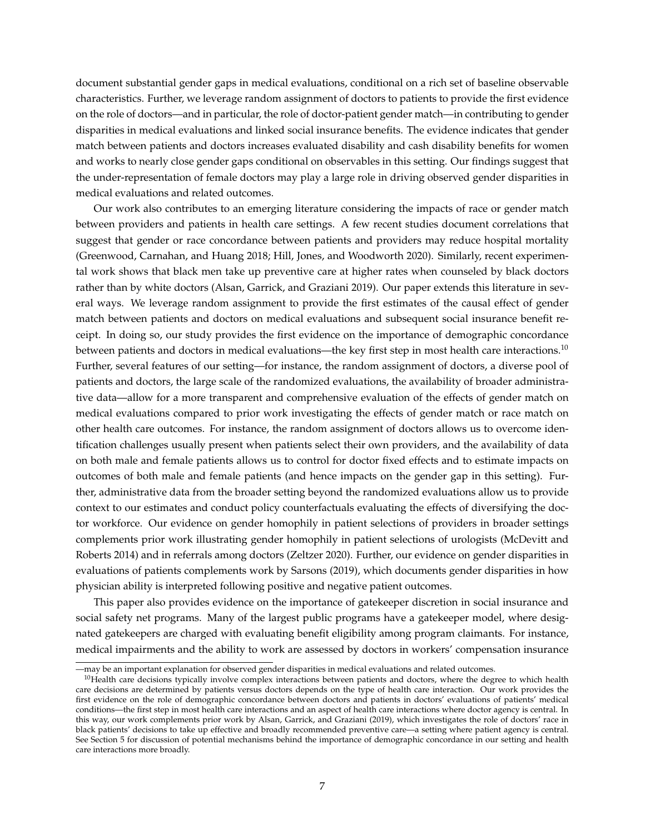document substantial gender gaps in medical evaluations, conditional on a rich set of baseline observable characteristics. Further, we leverage random assignment of doctors to patients to provide the first evidence on the role of doctors—and in particular, the role of doctor-patient gender match—in contributing to gender disparities in medical evaluations and linked social insurance benefits. The evidence indicates that gender match between patients and doctors increases evaluated disability and cash disability benefits for women and works to nearly close gender gaps conditional on observables in this setting. Our findings suggest that the under-representation of female doctors may play a large role in driving observed gender disparities in medical evaluations and related outcomes.

Our work also contributes to an emerging literature considering the impacts of race or gender match between providers and patients in health care settings. A few recent studies document correlations that suggest that gender or race concordance between patients and providers may reduce hospital mortality [\(Greenwood, Carnahan, and Huang 2018;](#page-38-7) [Hill, Jones, and Woodworth 2020\)](#page-39-10). Similarly, recent experimental work shows that black men take up preventive care at higher rates when counseled by black doctors rather than by white doctors [\(Alsan, Garrick, and Graziani 2019\)](#page-37-0). Our paper extends this literature in several ways. We leverage random assignment to provide the first estimates of the causal effect of gender match between patients and doctors on medical evaluations and subsequent social insurance benefit receipt. In doing so, our study provides the first evidence on the importance of demographic concordance between patients and doctors in medical evaluations—the key first step in most health care interactions.<sup>[10](#page-8-0)</sup> Further, several features of our setting—for instance, the random assignment of doctors, a diverse pool of patients and doctors, the large scale of the randomized evaluations, the availability of broader administrative data—allow for a more transparent and comprehensive evaluation of the effects of gender match on medical evaluations compared to prior work investigating the effects of gender match or race match on other health care outcomes. For instance, the random assignment of doctors allows us to overcome identification challenges usually present when patients select their own providers, and the availability of data on both male and female patients allows us to control for doctor fixed effects and to estimate impacts on outcomes of both male and female patients (and hence impacts on the gender gap in this setting). Further, administrative data from the broader setting beyond the randomized evaluations allow us to provide context to our estimates and conduct policy counterfactuals evaluating the effects of diversifying the doctor workforce. Our evidence on gender homophily in patient selections of providers in broader settings complements prior work illustrating gender homophily in patient selections of urologists [\(McDevitt and](#page-39-11) [Roberts 2014\)](#page-39-11) and in referrals among doctors [\(Zeltzer 2020\)](#page-40-5). Further, our evidence on gender disparities in evaluations of patients complements work by [Sarsons](#page-39-12) [\(2019\)](#page-39-12), which documents gender disparities in how physician ability is interpreted following positive and negative patient outcomes.

This paper also provides evidence on the importance of gatekeeper discretion in social insurance and social safety net programs. Many of the largest public programs have a gatekeeper model, where designated gatekeepers are charged with evaluating benefit eligibility among program claimants. For instance, medical impairments and the ability to work are assessed by doctors in workers' compensation insurance

<sup>—</sup>may be an important explanation for observed gender disparities in medical evaluations and related outcomes.

<span id="page-8-0"></span> $10$ Health care decisions typically involve complex interactions between patients and doctors, where the degree to which health care decisions are determined by patients versus doctors depends on the type of health care interaction. Our work provides the first evidence on the role of demographic concordance between doctors and patients in doctors' evaluations of patients' medical conditions—the first step in most health care interactions and an aspect of health care interactions where doctor agency is central. In this way, our work complements prior work by [Alsan, Garrick, and Graziani](#page-37-0) [\(2019\)](#page-37-0), which investigates the role of doctors' race in black patients' decisions to take up effective and broadly recommended preventive care—a setting where patient agency is central. See Section [5](#page-18-0) for discussion of potential mechanisms behind the importance of demographic concordance in our setting and health care interactions more broadly.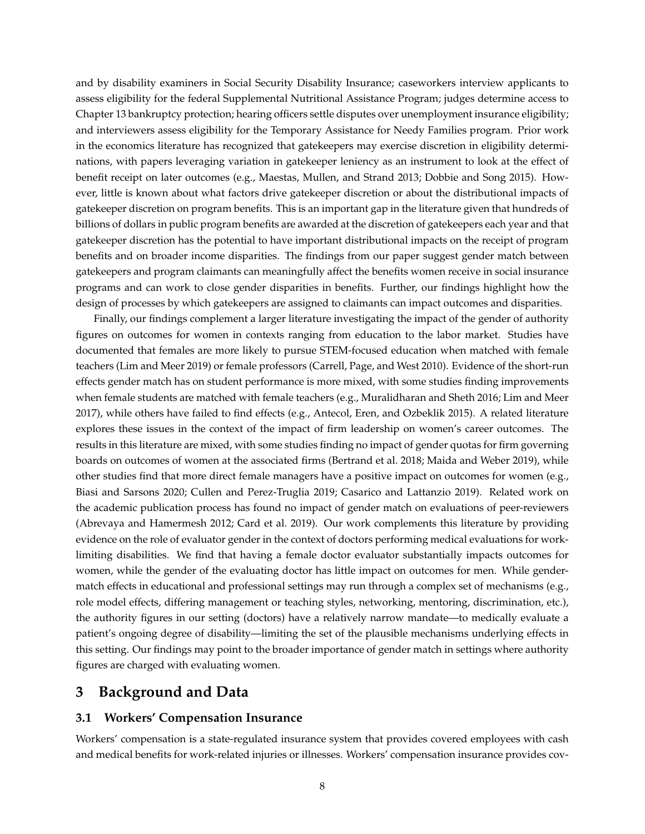<span id="page-9-1"></span>and by disability examiners in Social Security Disability Insurance; caseworkers interview applicants to assess eligibility for the federal Supplemental Nutritional Assistance Program; judges determine access to Chapter 13 bankruptcy protection; hearing officers settle disputes over unemployment insurance eligibility; and interviewers assess eligibility for the Temporary Assistance for Needy Families program. Prior work in the economics literature has recognized that gatekeepers may exercise discretion in eligibility determinations, with papers leveraging variation in gatekeeper leniency as an instrument to look at the effect of benefit receipt on later outcomes (e.g., [Maestas, Mullen, and Strand 2013;](#page-39-13) [Dobbie and Song 2015\)](#page-38-8). However, little is known about what factors drive gatekeeper discretion or about the distributional impacts of gatekeeper discretion on program benefits. This is an important gap in the literature given that hundreds of billions of dollars in public program benefits are awarded at the discretion of gatekeepers each year and that gatekeeper discretion has the potential to have important distributional impacts on the receipt of program benefits and on broader income disparities. The findings from our paper suggest gender match between gatekeepers and program claimants can meaningfully affect the benefits women receive in social insurance programs and can work to close gender disparities in benefits. Further, our findings highlight how the design of processes by which gatekeepers are assigned to claimants can impact outcomes and disparities.

Finally, our findings complement a larger literature investigating the impact of the gender of authority figures on outcomes for women in contexts ranging from education to the labor market. Studies have documented that females are more likely to pursue STEM-focused education when matched with female teachers [\(Lim and Meer 2019\)](#page-39-14) or female professors [\(Carrell, Page, and West 2010\)](#page-38-9). Evidence of the short-run effects gender match has on student performance is more mixed, with some studies finding improvements when female students are matched with female teachers (e.g., [Muralidharan and Sheth 2016;](#page-39-15) [Lim and Meer](#page-39-16) [2017\)](#page-39-16), while others have failed to find effects (e.g., [Antecol, Eren, and Ozbeklik 2015\)](#page-37-1). A related literature explores these issues in the context of the impact of firm leadership on women's career outcomes. The results in this literature are mixed, with some studies finding no impact of gender quotas for firm governing boards on outcomes of women at the associated firms [\(Bertrand et al. 2018;](#page-37-2) [Maida and Weber 2019\)](#page-39-17), while other studies find that more direct female managers have a positive impact on outcomes for women (e.g., [Biasi and Sarsons 2020;](#page-38-10) [Cullen and Perez-Truglia 2019;](#page-38-11) [Casarico and Lattanzio 2019\)](#page-38-12). Related work on the academic publication process has found no impact of gender match on evaluations of peer-reviewers [\(Abrevaya and Hamermesh 2012;](#page-37-3) [Card et al. 2019\)](#page-38-13). Our work complements this literature by providing evidence on the role of evaluator gender in the context of doctors performing medical evaluations for worklimiting disabilities. We find that having a female doctor evaluator substantially impacts outcomes for women, while the gender of the evaluating doctor has little impact on outcomes for men. While gendermatch effects in educational and professional settings may run through a complex set of mechanisms (e.g., role model effects, differing management or teaching styles, networking, mentoring, discrimination, etc.), the authority figures in our setting (doctors) have a relatively narrow mandate—to medically evaluate a patient's ongoing degree of disability—limiting the set of the plausible mechanisms underlying effects in this setting. Our findings may point to the broader importance of gender match in settings where authority figures are charged with evaluating women.

# <span id="page-9-0"></span>**3 Background and Data**

#### **3.1 Workers' Compensation Insurance**

Workers' compensation is a state-regulated insurance system that provides covered employees with cash and medical benefits for work-related injuries or illnesses. Workers' compensation insurance provides cov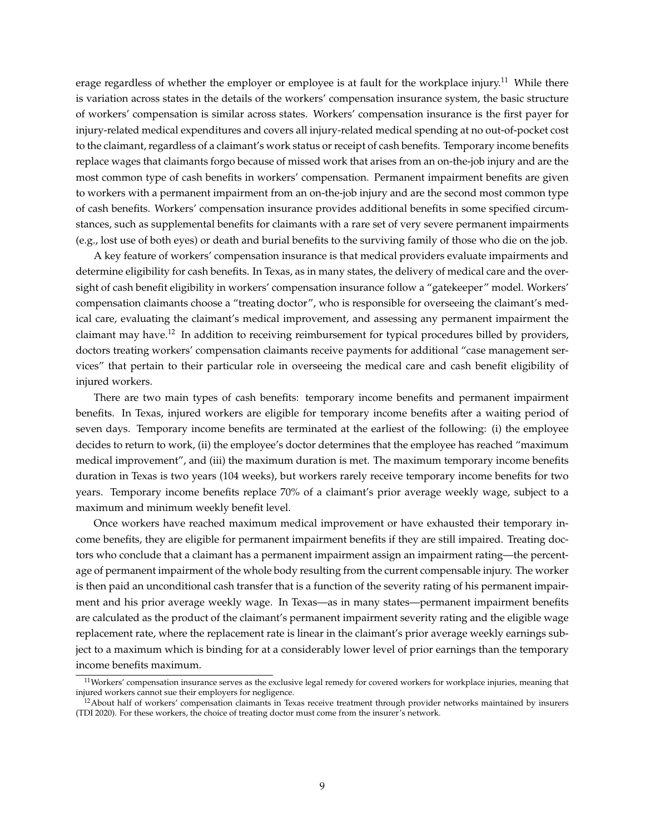erage regardless of whether the employer or employee is at fault for the workplace injury.<sup>[11](#page-10-0)</sup> While there is variation across states in the details of the workers' compensation insurance system, the basic structure of workers' compensation is similar across states. Workers' compensation insurance is the first payer for injury-related medical expenditures and covers all injury-related medical spending at no out-of-pocket cost to the claimant, regardless of a claimant's work status or receipt of cash benefits. Temporary income benefits replace wages that claimants forgo because of missed work that arises from an on-the-job injury and are the most common type of cash benefits in workers' compensation. Permanent impairment benefits are given to workers with a permanent impairment from an on-the-job injury and are the second most common type of cash benefits. Workers' compensation insurance provides additional benefits in some specified circumstances, such as supplemental benefits for claimants with a rare set of very severe permanent impairments (e.g., lost use of both eyes) or death and burial benefits to the surviving family of those who die on the job.

A key feature of workers' compensation insurance is that medical providers evaluate impairments and determine eligibility for cash benefits. In Texas, as in many states, the delivery of medical care and the oversight of cash benefit eligibility in workers' compensation insurance follow a "gatekeeper" model. Workers' compensation claimants choose a "treating doctor", who is responsible for overseeing the claimant's medical care, evaluating the claimant's medical improvement, and assessing any permanent impairment the claimant may have.[12](#page-10-1) In addition to receiving reimbursement for typical procedures billed by providers, doctors treating workers' compensation claimants receive payments for additional "case management services" that pertain to their particular role in overseeing the medical care and cash benefit eligibility of injured workers.

There are two main types of cash benefits: temporary income benefits and permanent impairment benefits. In Texas, injured workers are eligible for temporary income benefits after a waiting period of seven days. Temporary income benefits are terminated at the earliest of the following: (i) the employee decides to return to work, (ii) the employee's doctor determines that the employee has reached "maximum medical improvement", and (iii) the maximum duration is met. The maximum temporary income benefits duration in Texas is two years (104 weeks), but workers rarely receive temporary income benefits for two years. Temporary income benefits replace 70% of a claimant's prior average weekly wage, subject to a maximum and minimum weekly benefit level.

Once workers have reached maximum medical improvement or have exhausted their temporary income benefits, they are eligible for permanent impairment benefits if they are still impaired. Treating doctors who conclude that a claimant has a permanent impairment assign an impairment rating—the percentage of permanent impairment of the whole body resulting from the current compensable injury. The worker is then paid an unconditional cash transfer that is a function of the severity rating of his permanent impairment and his prior average weekly wage. In Texas—as in many states—permanent impairment benefits are calculated as the product of the claimant's permanent impairment severity rating and the eligible wage replacement rate, where the replacement rate is linear in the claimant's prior average weekly earnings subject to a maximum which is binding for at a considerably lower level of prior earnings than the temporary income benefits maximum.

<span id="page-10-0"></span> $11$ Workers' compensation insurance serves as the exclusive legal remedy for covered workers for workplace injuries, meaning that injured workers cannot sue their employers for negligence.

<span id="page-10-1"></span> $12$ About half of workers' compensation claimants in Texas receive treatment through provider networks maintained by insurers [\(TDI 2020\)](#page-40-6). For these workers, the choice of treating doctor must come from the insurer's network.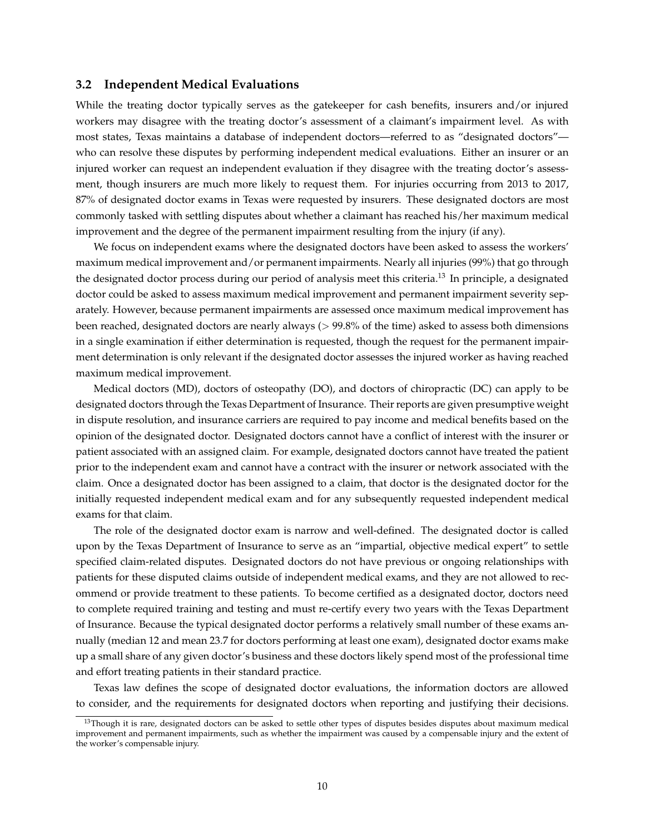#### **3.2 Independent Medical Evaluations**

While the treating doctor typically serves as the gatekeeper for cash benefits, insurers and/or injured workers may disagree with the treating doctor's assessment of a claimant's impairment level. As with most states, Texas maintains a database of independent doctors—referred to as "designated doctors" who can resolve these disputes by performing independent medical evaluations. Either an insurer or an injured worker can request an independent evaluation if they disagree with the treating doctor's assessment, though insurers are much more likely to request them. For injuries occurring from 2013 to 2017, 87% of designated doctor exams in Texas were requested by insurers. These designated doctors are most commonly tasked with settling disputes about whether a claimant has reached his/her maximum medical improvement and the degree of the permanent impairment resulting from the injury (if any).

We focus on independent exams where the designated doctors have been asked to assess the workers' maximum medical improvement and/or permanent impairments. Nearly all injuries (99%) that go through the designated doctor process during our period of analysis meet this criteria.[13](#page-11-0) In principle, a designated doctor could be asked to assess maximum medical improvement and permanent impairment severity separately. However, because permanent impairments are assessed once maximum medical improvement has been reached, designated doctors are nearly always (> 99.8% of the time) asked to assess both dimensions in a single examination if either determination is requested, though the request for the permanent impairment determination is only relevant if the designated doctor assesses the injured worker as having reached maximum medical improvement.

Medical doctors (MD), doctors of osteopathy (DO), and doctors of chiropractic (DC) can apply to be designated doctors through the Texas Department of Insurance. Their reports are given presumptive weight in dispute resolution, and insurance carriers are required to pay income and medical benefits based on the opinion of the designated doctor. Designated doctors cannot have a conflict of interest with the insurer or patient associated with an assigned claim. For example, designated doctors cannot have treated the patient prior to the independent exam and cannot have a contract with the insurer or network associated with the claim. Once a designated doctor has been assigned to a claim, that doctor is the designated doctor for the initially requested independent medical exam and for any subsequently requested independent medical exams for that claim.

The role of the designated doctor exam is narrow and well-defined. The designated doctor is called upon by the Texas Department of Insurance to serve as an "impartial, objective medical expert" to settle specified claim-related disputes. Designated doctors do not have previous or ongoing relationships with patients for these disputed claims outside of independent medical exams, and they are not allowed to recommend or provide treatment to these patients. To become certified as a designated doctor, doctors need to complete required training and testing and must re-certify every two years with the Texas Department of Insurance. Because the typical designated doctor performs a relatively small number of these exams annually (median 12 and mean 23.7 for doctors performing at least one exam), designated doctor exams make up a small share of any given doctor's business and these doctors likely spend most of the professional time and effort treating patients in their standard practice.

Texas law defines the scope of designated doctor evaluations, the information doctors are allowed to consider, and the requirements for designated doctors when reporting and justifying their decisions.

<span id="page-11-0"></span><sup>&</sup>lt;sup>13</sup>Though it is rare, designated doctors can be asked to settle other types of disputes besides disputes about maximum medical improvement and permanent impairments, such as whether the impairment was caused by a compensable injury and the extent of the worker's compensable injury.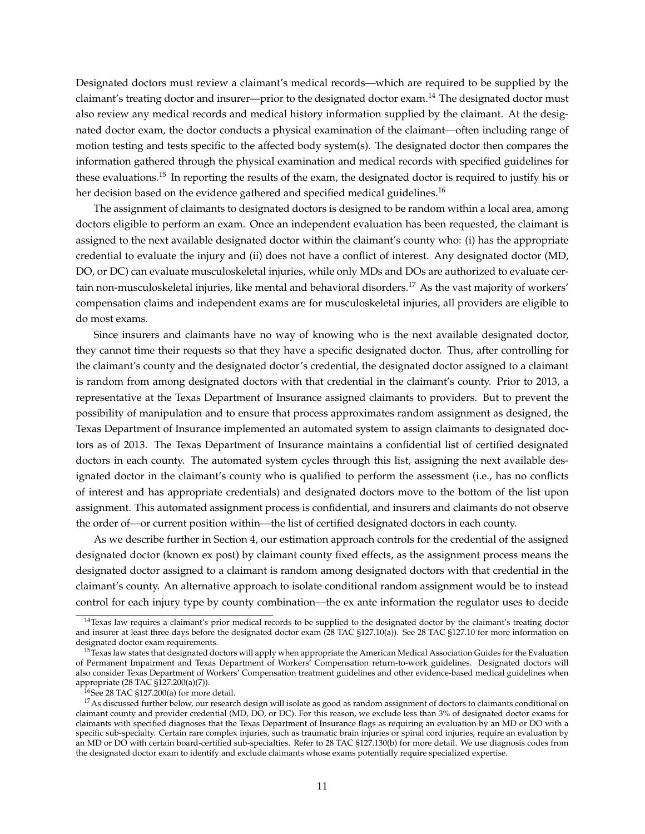Designated doctors must review a claimant's medical records—which are required to be supplied by the claimant's treating doctor and insurer—prior to the designated doctor exam.<sup>[14](#page-12-0)</sup> The designated doctor must also review any medical records and medical history information supplied by the claimant. At the designated doctor exam, the doctor conducts a physical examination of the claimant—often including range of motion testing and tests specific to the affected body system(s). The designated doctor then compares the information gathered through the physical examination and medical records with specified guidelines for these evaluations.[15](#page-12-1) In reporting the results of the exam, the designated doctor is required to justify his or her decision based on the evidence gathered and specified medical guidelines.<sup>[16](#page-12-2)</sup>

The assignment of claimants to designated doctors is designed to be random within a local area, among doctors eligible to perform an exam. Once an independent evaluation has been requested, the claimant is assigned to the next available designated doctor within the claimant's county who: (i) has the appropriate credential to evaluate the injury and (ii) does not have a conflict of interest. Any designated doctor (MD, DO, or DC) can evaluate musculoskeletal injuries, while only MDs and DOs are authorized to evaluate cer-tain non-musculoskeletal injuries, like mental and behavioral disorders.<sup>[17](#page-12-3)</sup> As the vast majority of workers' compensation claims and independent exams are for musculoskeletal injuries, all providers are eligible to do most exams.

Since insurers and claimants have no way of knowing who is the next available designated doctor, they cannot time their requests so that they have a specific designated doctor. Thus, after controlling for the claimant's county and the designated doctor's credential, the designated doctor assigned to a claimant is random from among designated doctors with that credential in the claimant's county. Prior to 2013, a representative at the Texas Department of Insurance assigned claimants to providers. But to prevent the possibility of manipulation and to ensure that process approximates random assignment as designed, the Texas Department of Insurance implemented an automated system to assign claimants to designated doctors as of 2013. The Texas Department of Insurance maintains a confidential list of certified designated doctors in each county. The automated system cycles through this list, assigning the next available designated doctor in the claimant's county who is qualified to perform the assessment (i.e., has no conflicts of interest and has appropriate credentials) and designated doctors move to the bottom of the list upon assignment. This automated assignment process is confidential, and insurers and claimants do not observe the order of—or current position within—the list of certified designated doctors in each county.

As we describe further in Section [4,](#page-16-0) our estimation approach controls for the credential of the assigned designated doctor (known ex post) by claimant county fixed effects, as the assignment process means the designated doctor assigned to a claimant is random among designated doctors with that credential in the claimant's county. An alternative approach to isolate conditional random assignment would be to instead control for each injury type by county combination—the ex ante information the regulator uses to decide

<span id="page-12-0"></span><sup>&</sup>lt;sup>14</sup>Texas law requires a claimant's prior medical records to be supplied to the designated doctor by the claimant's treating doctor and insurer at least three days before the designated doctor exam [\(28 TAC §127.10\(a\)\)](https://texreg.sos.state.tx.us/public/readtac$ext.TacPage?sl=T&app=9&p_dir=P&p_rloc=149645&p_tloc=&p_ploc=1&pg=6&p_tac=&ti=28&pt=2&ch=127&rl=5). See [28 TAC §127.10](https://texreg.sos.state.tx.us/public/readtac$ext.TacPage?sl=T&app=9&p_dir=P&p_rloc=149645&p_tloc=&p_ploc=1&pg=6&p_tac=&ti=28&pt=2&ch=127&rl=5) for more information on designated doctor exam requirements.

<span id="page-12-1"></span><sup>&</sup>lt;sup>15</sup>Texas law states that designated doctors will apply when appropriate the American Medical Association Guides for the Evaluation of Permanent Impairment and Texas Department of Workers' Compensation return-to-work guidelines. Designated doctors will also consider Texas Department of Workers' Compensation treatment guidelines and other evidence-based medical guidelines when appropriate [\(28 TAC §127.200\(a\)\(7\)\)](https://texreg.sos.state.tx.us/public/readtac$ext.TacPage?sl=R&app=9&p_dir=&p_rloc=&p_tloc=&p_ploc=&pg=1&p_tac=&ti=28&pt=2&ch=127&rl=200).

<span id="page-12-3"></span><span id="page-12-2"></span> $16$ See [28 TAC §127.200\(a\)](https://texreg.sos.state.tx.us/public/readtac$ext.TacPage?sl=R&app=9&p_dir=&p_rloc=&p_tloc=&p_ploc=&pg=1&p_tac=&ti=28&pt=2&ch=127&rl=200) for more detail.

<sup>&</sup>lt;sup>17</sup>As discussed further below, our research design will isolate as good as random assignment of doctors to claimants conditional on claimant county and provider credential (MD, DO, or DC). For this reason, we exclude less than 3% of designated doctor exams for claimants with specified diagnoses that the Texas Department of Insurance flags as requiring an evaluation by an MD or DO with a specific sub-specialty. Certain rare complex injuries, such as traumatic brain injuries or spinal cord injuries, require an evaluation by an MD or DO with certain board-certified sub-specialties. Refer to [28 TAC §127.130\(b\)](https://texreg.sos.state.tx.us/public/readtac%24ext.TacPage?sl=T&app=9&p_dir=P&p_rloc=193063&p_tloc=&p_ploc=1&pg=2&p_tac=&ti=28&pt=2&ch=127&rl=140) for more detail. We use diagnosis codes from the designated doctor exam to identify and exclude claimants whose exams potentially require specialized expertise.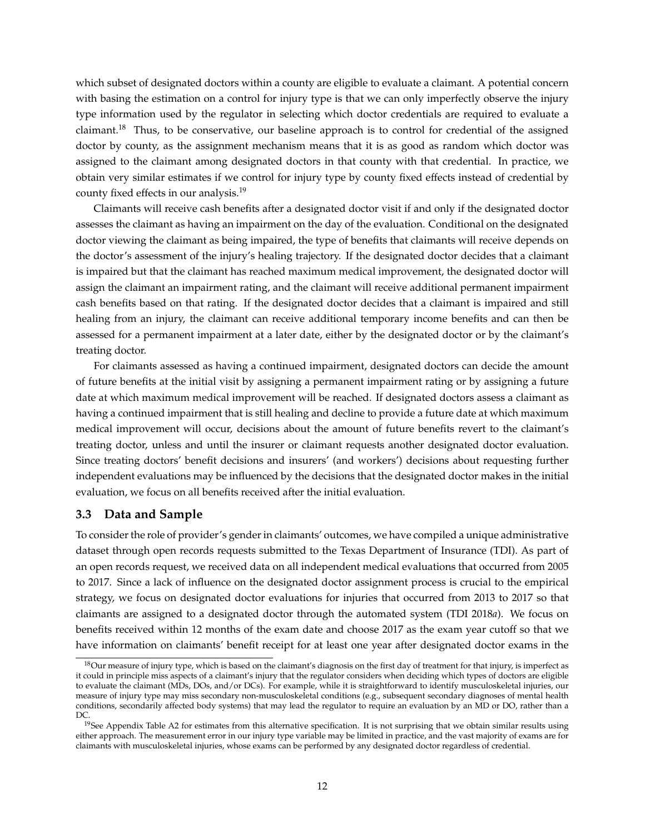which subset of designated doctors within a county are eligible to evaluate a claimant. A potential concern with basing the estimation on a control for injury type is that we can only imperfectly observe the injury type information used by the regulator in selecting which doctor credentials are required to evaluate a claimant.<sup>[18](#page-13-0)</sup> Thus, to be conservative, our baseline approach is to control for credential of the assigned doctor by county, as the assignment mechanism means that it is as good as random which doctor was assigned to the claimant among designated doctors in that county with that credential. In practice, we obtain very similar estimates if we control for injury type by county fixed effects instead of credential by county fixed effects in our analysis.[19](#page-13-1)

Claimants will receive cash benefits after a designated doctor visit if and only if the designated doctor assesses the claimant as having an impairment on the day of the evaluation. Conditional on the designated doctor viewing the claimant as being impaired, the type of benefits that claimants will receive depends on the doctor's assessment of the injury's healing trajectory. If the designated doctor decides that a claimant is impaired but that the claimant has reached maximum medical improvement, the designated doctor will assign the claimant an impairment rating, and the claimant will receive additional permanent impairment cash benefits based on that rating. If the designated doctor decides that a claimant is impaired and still healing from an injury, the claimant can receive additional temporary income benefits and can then be assessed for a permanent impairment at a later date, either by the designated doctor or by the claimant's treating doctor.

For claimants assessed as having a continued impairment, designated doctors can decide the amount of future benefits at the initial visit by assigning a permanent impairment rating or by assigning a future date at which maximum medical improvement will be reached. If designated doctors assess a claimant as having a continued impairment that is still healing and decline to provide a future date at which maximum medical improvement will occur, decisions about the amount of future benefits revert to the claimant's treating doctor, unless and until the insurer or claimant requests another designated doctor evaluation. Since treating doctors' benefit decisions and insurers' (and workers') decisions about requesting further independent evaluations may be influenced by the decisions that the designated doctor makes in the initial evaluation, we focus on all benefits received after the initial evaluation.

#### **3.3 Data and Sample**

To consider the role of provider's gender in claimants' outcomes, we have compiled a unique administrative dataset through open records requests submitted to the Texas Department of Insurance (TDI). As part of an open records request, we received data on all independent medical evaluations that occurred from 2005 to 2017. Since a lack of influence on the designated doctor assignment process is crucial to the empirical strategy, we focus on designated doctor evaluations for injuries that occurred from 2013 to 2017 so that claimants are assigned to a designated doctor through the automated system [\(TDI 2018](#page-40-7)*a*). We focus on benefits received within 12 months of the exam date and choose 2017 as the exam year cutoff so that we have information on claimants' benefit receipt for at least one year after designated doctor exams in the

<span id="page-13-0"></span><sup>&</sup>lt;sup>18</sup>Our measure of injury type, which is based on the claimant's diagnosis on the first day of treatment for that injury, is imperfect as it could in principle miss aspects of a claimant's injury that the regulator considers when deciding which types of doctors are eligible to evaluate the claimant (MDs, DOs, and/or DCs). For example, while it is straightforward to identify musculoskeletal injuries, our measure of injury type may miss secondary non-musculoskeletal conditions (e.g., subsequent secondary diagnoses of mental health conditions, secondarily affected body systems) that may lead the regulator to require an evaluation by an MD or DO, rather than a DC.

<span id="page-13-1"></span> $19$ See Appendix Table [A2](#page-60-0) for estimates from this alternative specification. It is not surprising that we obtain similar results using either approach. The measurement error in our injury type variable may be limited in practice, and the vast majority of exams are for claimants with musculoskeletal injuries, whose exams can be performed by any designated doctor regardless of credential.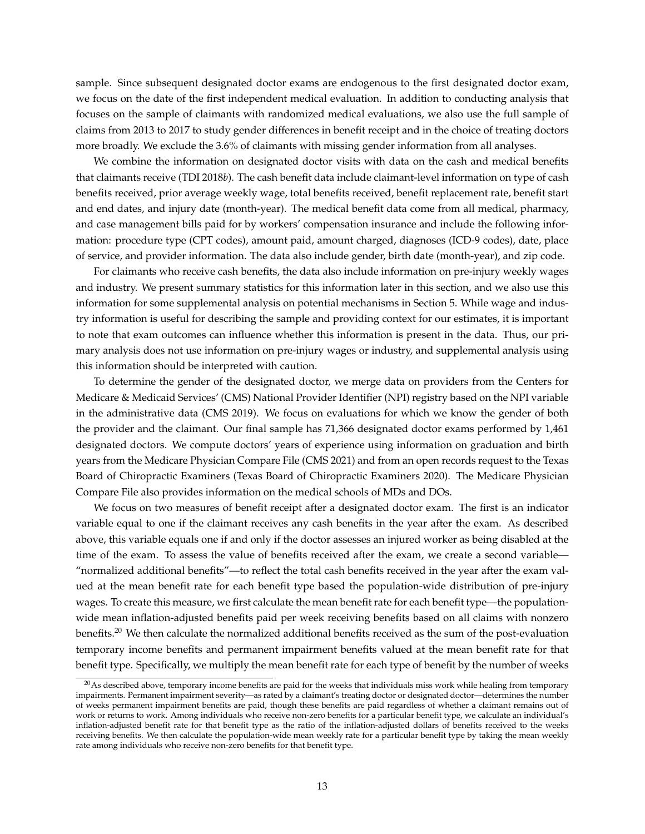sample. Since subsequent designated doctor exams are endogenous to the first designated doctor exam, we focus on the date of the first independent medical evaluation. In addition to conducting analysis that focuses on the sample of claimants with randomized medical evaluations, we also use the full sample of claims from 2013 to 2017 to study gender differences in benefit receipt and in the choice of treating doctors more broadly. We exclude the 3.6% of claimants with missing gender information from all analyses.

We combine the information on designated doctor visits with data on the cash and medical benefits that claimants receive [\(TDI 2018](#page-40-8)*b*). The cash benefit data include claimant-level information on type of cash benefits received, prior average weekly wage, total benefits received, benefit replacement rate, benefit start and end dates, and injury date (month-year). The medical benefit data come from all medical, pharmacy, and case management bills paid for by workers' compensation insurance and include the following information: procedure type (CPT codes), amount paid, amount charged, diagnoses (ICD-9 codes), date, place of service, and provider information. The data also include gender, birth date (month-year), and zip code.

For claimants who receive cash benefits, the data also include information on pre-injury weekly wages and industry. We present summary statistics for this information later in this section, and we also use this information for some supplemental analysis on potential mechanisms in Section [5.](#page-18-0) While wage and industry information is useful for describing the sample and providing context for our estimates, it is important to note that exam outcomes can influence whether this information is present in the data. Thus, our primary analysis does not use information on pre-injury wages or industry, and supplemental analysis using this information should be interpreted with caution.

To determine the gender of the designated doctor, we merge data on providers from the Centers for Medicare & Medicaid Services' (CMS) National Provider Identifier (NPI) registry based on the NPI variable in the administrative data [\(CMS 2019\)](#page-38-14). We focus on evaluations for which we know the gender of both the provider and the claimant. Our final sample has 71,366 designated doctor exams performed by 1,461 designated doctors. We compute doctors' years of experience using information on graduation and birth years from the Medicare Physician Compare File [\(CMS 2021\)](#page-38-15) and from an open records request to the Texas Board of Chiropractic Examiners [\(Texas Board of Chiropractic Examiners 2020\)](#page-40-9). The Medicare Physician Compare File also provides information on the medical schools of MDs and DOs.

We focus on two measures of benefit receipt after a designated doctor exam. The first is an indicator variable equal to one if the claimant receives any cash benefits in the year after the exam. As described above, this variable equals one if and only if the doctor assesses an injured worker as being disabled at the time of the exam. To assess the value of benefits received after the exam, we create a second variable— "normalized additional benefits"—to reflect the total cash benefits received in the year after the exam valued at the mean benefit rate for each benefit type based the population-wide distribution of pre-injury wages. To create this measure, we first calculate the mean benefit rate for each benefit type—the populationwide mean inflation-adjusted benefits paid per week receiving benefits based on all claims with nonzero benefits.<sup>[20](#page-14-0)</sup> We then calculate the normalized additional benefits received as the sum of the post-evaluation temporary income benefits and permanent impairment benefits valued at the mean benefit rate for that benefit type. Specifically, we multiply the mean benefit rate for each type of benefit by the number of weeks

<span id="page-14-0"></span> $^{20}$ As described above, temporary income benefits are paid for the weeks that individuals miss work while healing from temporary impairments. Permanent impairment severity—as rated by a claimant's treating doctor or designated doctor—determines the number of weeks permanent impairment benefits are paid, though these benefits are paid regardless of whether a claimant remains out of work or returns to work. Among individuals who receive non-zero benefits for a particular benefit type, we calculate an individual's inflation-adjusted benefit rate for that benefit type as the ratio of the inflation-adjusted dollars of benefits received to the weeks receiving benefits. We then calculate the population-wide mean weekly rate for a particular benefit type by taking the mean weekly rate among individuals who receive non-zero benefits for that benefit type.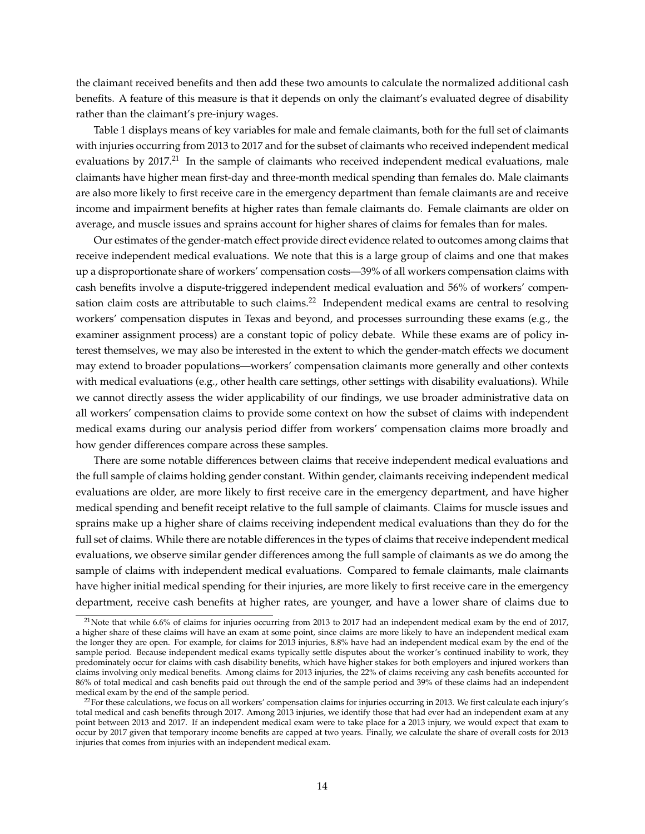the claimant received benefits and then add these two amounts to calculate the normalized additional cash benefits. A feature of this measure is that it depends on only the claimant's evaluated degree of disability rather than the claimant's pre-injury wages.

Table [1](#page-46-0) displays means of key variables for male and female claimants, both for the full set of claimants with injuries occurring from 2013 to 2017 and for the subset of claimants who received independent medical evaluations by 2017.<sup>[21](#page-15-0)</sup> In the sample of claimants who received independent medical evaluations, male claimants have higher mean first-day and three-month medical spending than females do. Male claimants are also more likely to first receive care in the emergency department than female claimants are and receive income and impairment benefits at higher rates than female claimants do. Female claimants are older on average, and muscle issues and sprains account for higher shares of claims for females than for males.

Our estimates of the gender-match effect provide direct evidence related to outcomes among claims that receive independent medical evaluations. We note that this is a large group of claims and one that makes up a disproportionate share of workers' compensation costs—39% of all workers compensation claims with cash benefits involve a dispute-triggered independent medical evaluation and 56% of workers' compen-sation claim costs are attributable to such claims.<sup>[22](#page-15-1)</sup> Independent medical exams are central to resolving workers' compensation disputes in Texas and beyond, and processes surrounding these exams (e.g., the examiner assignment process) are a constant topic of policy debate. While these exams are of policy interest themselves, we may also be interested in the extent to which the gender-match effects we document may extend to broader populations—workers' compensation claimants more generally and other contexts with medical evaluations (e.g., other health care settings, other settings with disability evaluations). While we cannot directly assess the wider applicability of our findings, we use broader administrative data on all workers' compensation claims to provide some context on how the subset of claims with independent medical exams during our analysis period differ from workers' compensation claims more broadly and how gender differences compare across these samples.

There are some notable differences between claims that receive independent medical evaluations and the full sample of claims holding gender constant. Within gender, claimants receiving independent medical evaluations are older, are more likely to first receive care in the emergency department, and have higher medical spending and benefit receipt relative to the full sample of claimants. Claims for muscle issues and sprains make up a higher share of claims receiving independent medical evaluations than they do for the full set of claims. While there are notable differences in the types of claims that receive independent medical evaluations, we observe similar gender differences among the full sample of claimants as we do among the sample of claims with independent medical evaluations. Compared to female claimants, male claimants have higher initial medical spending for their injuries, are more likely to first receive care in the emergency department, receive cash benefits at higher rates, are younger, and have a lower share of claims due to

<span id="page-15-0"></span> $21$ Note that while 6.6% of claims for injuries occurring from 2013 to 2017 had an independent medical exam by the end of 2017, a higher share of these claims will have an exam at some point, since claims are more likely to have an independent medical exam the longer they are open. For example, for claims for 2013 injuries, 8.8% have had an independent medical exam by the end of the sample period. Because independent medical exams typically settle disputes about the worker's continued inability to work, they predominately occur for claims with cash disability benefits, which have higher stakes for both employers and injured workers than claims involving only medical benefits. Among claims for 2013 injuries, the 22% of claims receiving any cash benefits accounted for 86% of total medical and cash benefits paid out through the end of the sample period and 39% of these claims had an independent medical exam by the end of the sample period.

<span id="page-15-1"></span> $^{22}$ For these calculations, we focus on all workers' compensation claims for injuries occurring in 2013. We first calculate each injury's total medical and cash benefits through 2017. Among 2013 injuries, we identify those that had ever had an independent exam at any point between 2013 and 2017. If an independent medical exam were to take place for a 2013 injury, we would expect that exam to occur by 2017 given that temporary income benefits are capped at two years. Finally, we calculate the share of overall costs for 2013 injuries that comes from injuries with an independent medical exam.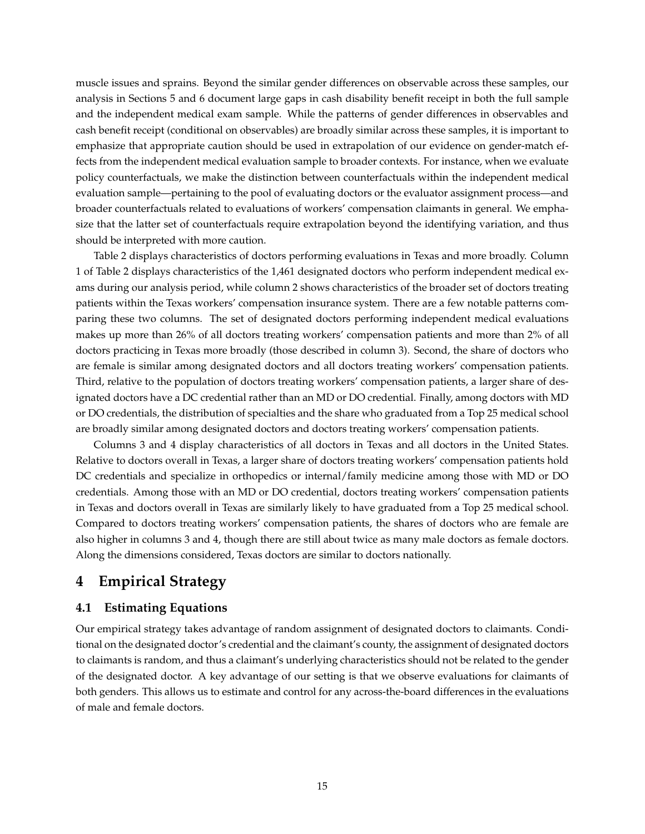muscle issues and sprains. Beyond the similar gender differences on observable across these samples, our analysis in Sections [5](#page-18-0) and [6](#page-25-0) document large gaps in cash disability benefit receipt in both the full sample and the independent medical exam sample. While the patterns of gender differences in observables and cash benefit receipt (conditional on observables) are broadly similar across these samples, it is important to emphasize that appropriate caution should be used in extrapolation of our evidence on gender-match effects from the independent medical evaluation sample to broader contexts. For instance, when we evaluate policy counterfactuals, we make the distinction between counterfactuals within the independent medical evaluation sample—pertaining to the pool of evaluating doctors or the evaluator assignment process—and broader counterfactuals related to evaluations of workers' compensation claimants in general. We emphasize that the latter set of counterfactuals require extrapolation beyond the identifying variation, and thus should be interpreted with more caution.

Table [2](#page-47-0) displays characteristics of doctors performing evaluations in Texas and more broadly. Column 1 of Table [2](#page-47-0) displays characteristics of the 1,461 designated doctors who perform independent medical exams during our analysis period, while column 2 shows characteristics of the broader set of doctors treating patients within the Texas workers' compensation insurance system. There are a few notable patterns comparing these two columns. The set of designated doctors performing independent medical evaluations makes up more than 26% of all doctors treating workers' compensation patients and more than 2% of all doctors practicing in Texas more broadly (those described in column 3). Second, the share of doctors who are female is similar among designated doctors and all doctors treating workers' compensation patients. Third, relative to the population of doctors treating workers' compensation patients, a larger share of designated doctors have a DC credential rather than an MD or DO credential. Finally, among doctors with MD or DO credentials, the distribution of specialties and the share who graduated from a Top 25 medical school are broadly similar among designated doctors and doctors treating workers' compensation patients.

Columns 3 and 4 display characteristics of all doctors in Texas and all doctors in the United States. Relative to doctors overall in Texas, a larger share of doctors treating workers' compensation patients hold DC credentials and specialize in orthopedics or internal/family medicine among those with MD or DO credentials. Among those with an MD or DO credential, doctors treating workers' compensation patients in Texas and doctors overall in Texas are similarly likely to have graduated from a Top 25 medical school. Compared to doctors treating workers' compensation patients, the shares of doctors who are female are also higher in columns 3 and 4, though there are still about twice as many male doctors as female doctors. Along the dimensions considered, Texas doctors are similar to doctors nationally.

# <span id="page-16-0"></span>**4 Empirical Strategy**

## **4.1 Estimating Equations**

Our empirical strategy takes advantage of random assignment of designated doctors to claimants. Conditional on the designated doctor's credential and the claimant's county, the assignment of designated doctors to claimants is random, and thus a claimant's underlying characteristics should not be related to the gender of the designated doctor. A key advantage of our setting is that we observe evaluations for claimants of both genders. This allows us to estimate and control for any across-the-board differences in the evaluations of male and female doctors.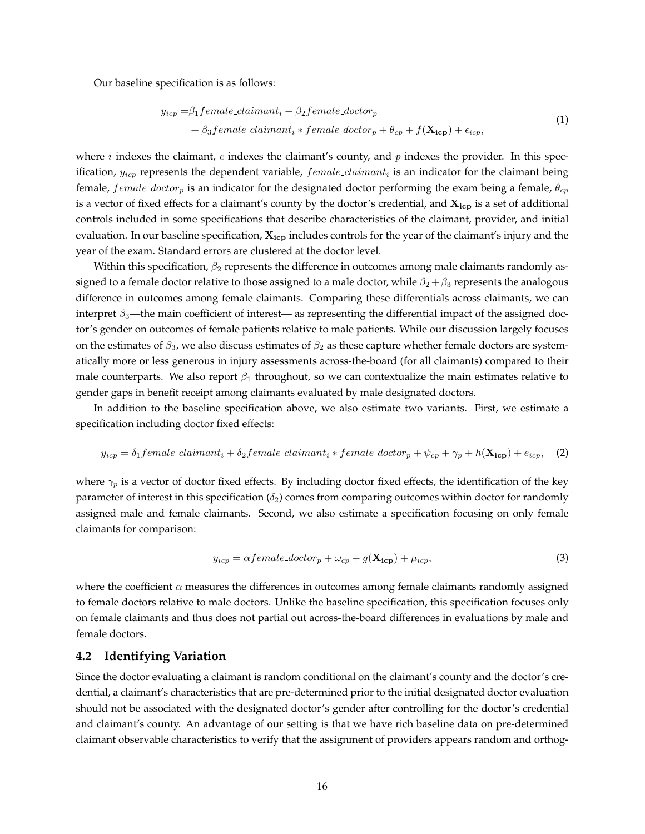<span id="page-17-0"></span>Our baseline specification is as follows:

<span id="page-17-5"></span><span id="page-17-4"></span><span id="page-17-3"></span>
$$
y_{icp} = \beta_1 female\_claimant_i + \beta_2 female\_doctor_p + \beta_3 female\_claimant_i * female\_doctor_p + \theta_{cp} + f(\mathbf{X_{icp}}) + \epsilon_{icp},
$$
\n(1)

where  $i$  indexes the claimant,  $c$  indexes the claimant's county, and  $p$  indexes the provider. In this specification,  $y_{icp}$  represents the dependent variable,  $female\_claimant_i$  is an indicator for the claimant being female,  $female\_doctor_p$  is an indicator for the designated doctor performing the exam being a female,  $\theta_{cp}$ is a vector of fixed effects for a claimant's county by the doctor's credential, and  $X_{\text{icp}}$  is a set of additional controls included in some specifications that describe characteristics of the claimant, provider, and initial evaluation. In our baseline specification,  $X_{icp}$  includes controls for the year of the claimant's injury and the year of the exam. Standard errors are clustered at the doctor level.

Within this specification,  $\beta_2$  represents the difference in outcomes among male claimants randomly assigned to a female doctor relative to those assigned to a male doctor, while  $\beta_2 + \beta_3$  represents the analogous difference in outcomes among female claimants. Comparing these differentials across claimants, we can interpret  $\beta_3$ —the main coefficient of interest— as representing the differential impact of the assigned doctor's gender on outcomes of female patients relative to male patients. While our discussion largely focuses on the estimates of  $\beta_3$ , we also discuss estimates of  $\beta_2$  as these capture whether female doctors are systematically more or less generous in injury assessments across-the-board (for all claimants) compared to their male counterparts. We also report  $\beta_1$  throughout, so we can contextualize the main estimates relative to gender gaps in benefit receipt among claimants evaluated by male designated doctors.

In addition to the baseline specification above, we also estimate two variants. First, we estimate a specification including doctor fixed effects:

<span id="page-17-1"></span>
$$
y_{icp} = \delta_1 female\_claimant_i + \delta_2 female\_claimant_i * female\_doctor_p + \psi_{cp} + \gamma_p + h(\mathbf{X_{icp}}) + e_{icp}, \quad (2)
$$

where  $\gamma_p$  is a vector of doctor fixed effects. By including doctor fixed effects, the identification of the key parameter of interest in this specification  $(\delta_2)$  comes from comparing outcomes within doctor for randomly assigned male and female claimants. Second, we also estimate a specification focusing on only female claimants for comparison:

<span id="page-17-2"></span>
$$
y_{icp} = \alpha female\_doctor_p + \omega_{cp} + g(\mathbf{X_{icp}}) + \mu_{icp},\tag{3}
$$

where the coefficient  $\alpha$  measures the differences in outcomes among female claimants randomly assigned to female doctors relative to male doctors. Unlike the baseline specification, this specification focuses only on female claimants and thus does not partial out across-the-board differences in evaluations by male and female doctors.

#### **4.2 Identifying Variation**

Since the doctor evaluating a claimant is random conditional on the claimant's county and the doctor's credential, a claimant's characteristics that are pre-determined prior to the initial designated doctor evaluation should not be associated with the designated doctor's gender after controlling for the doctor's credential and claimant's county. An advantage of our setting is that we have rich baseline data on pre-determined claimant observable characteristics to verify that the assignment of providers appears random and orthog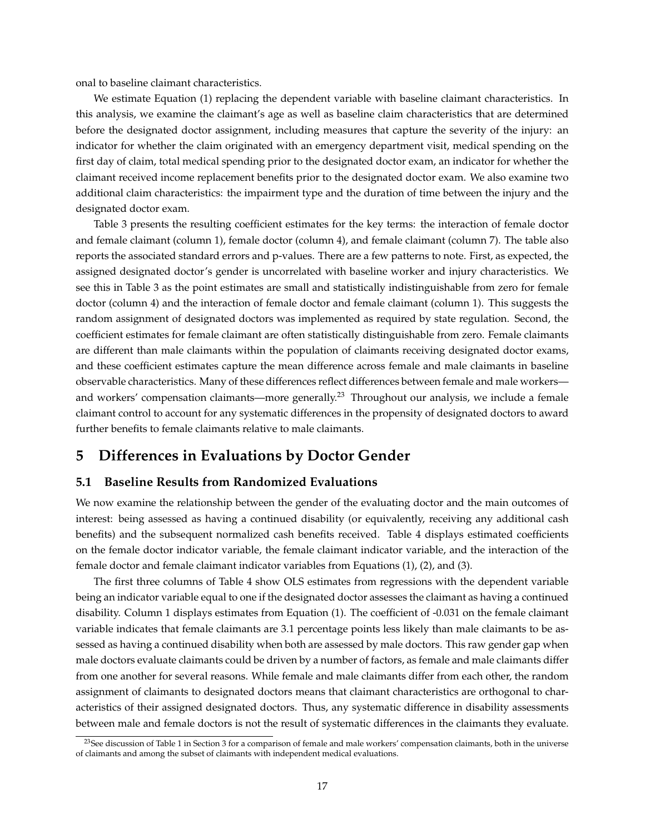onal to baseline claimant characteristics.

We estimate Equation [\(1\)](#page-17-0) replacing the dependent variable with baseline claimant characteristics. In this analysis, we examine the claimant's age as well as baseline claim characteristics that are determined before the designated doctor assignment, including measures that capture the severity of the injury: an indicator for whether the claim originated with an emergency department visit, medical spending on the first day of claim, total medical spending prior to the designated doctor exam, an indicator for whether the claimant received income replacement benefits prior to the designated doctor exam. We also examine two additional claim characteristics: the impairment type and the duration of time between the injury and the designated doctor exam.

Table [3](#page-48-0) presents the resulting coefficient estimates for the key terms: the interaction of female doctor and female claimant (column 1), female doctor (column 4), and female claimant (column 7). The table also reports the associated standard errors and p-values. There are a few patterns to note. First, as expected, the assigned designated doctor's gender is uncorrelated with baseline worker and injury characteristics. We see this in Table [3](#page-48-0) as the point estimates are small and statistically indistinguishable from zero for female doctor (column 4) and the interaction of female doctor and female claimant (column 1). This suggests the random assignment of designated doctors was implemented as required by state regulation. Second, the coefficient estimates for female claimant are often statistically distinguishable from zero. Female claimants are different than male claimants within the population of claimants receiving designated doctor exams, and these coefficient estimates capture the mean difference across female and male claimants in baseline observable characteristics. Many of these differences reflect differences between female and male workers— and workers' compensation claimants—more generally.<sup>[23](#page-18-1)</sup> Throughout our analysis, we include a female claimant control to account for any systematic differences in the propensity of designated doctors to award further benefits to female claimants relative to male claimants.

# <span id="page-18-0"></span>**5 Differences in Evaluations by Doctor Gender**

#### **5.1 Baseline Results from Randomized Evaluations**

We now examine the relationship between the gender of the evaluating doctor and the main outcomes of interest: being assessed as having a continued disability (or equivalently, receiving any additional cash benefits) and the subsequent normalized cash benefits received. Table [4](#page-49-0) displays estimated coefficients on the female doctor indicator variable, the female claimant indicator variable, and the interaction of the female doctor and female claimant indicator variables from Equations [\(1\)](#page-17-0), [\(2\)](#page-17-1), and [\(3\)](#page-17-2).

The first three columns of Table [4](#page-49-0) show OLS estimates from regressions with the dependent variable being an indicator variable equal to one if the designated doctor assesses the claimant as having a continued disability. Column 1 displays estimates from Equation [\(1\)](#page-17-0). The coefficient of -0.031 on the female claimant variable indicates that female claimants are 3.1 percentage points less likely than male claimants to be assessed as having a continued disability when both are assessed by male doctors. This raw gender gap when male doctors evaluate claimants could be driven by a number of factors, as female and male claimants differ from one another for several reasons. While female and male claimants differ from each other, the random assignment of claimants to designated doctors means that claimant characteristics are orthogonal to characteristics of their assigned designated doctors. Thus, any systematic difference in disability assessments between male and female doctors is not the result of systematic differences in the claimants they evaluate.

<span id="page-18-1"></span><sup>&</sup>lt;sup>23</sup>See discussion of Table [1](#page-46-0) in Section [3](#page-9-0) for a comparison of female and male workers' compensation claimants, both in the universe of claimants and among the subset of claimants with independent medical evaluations.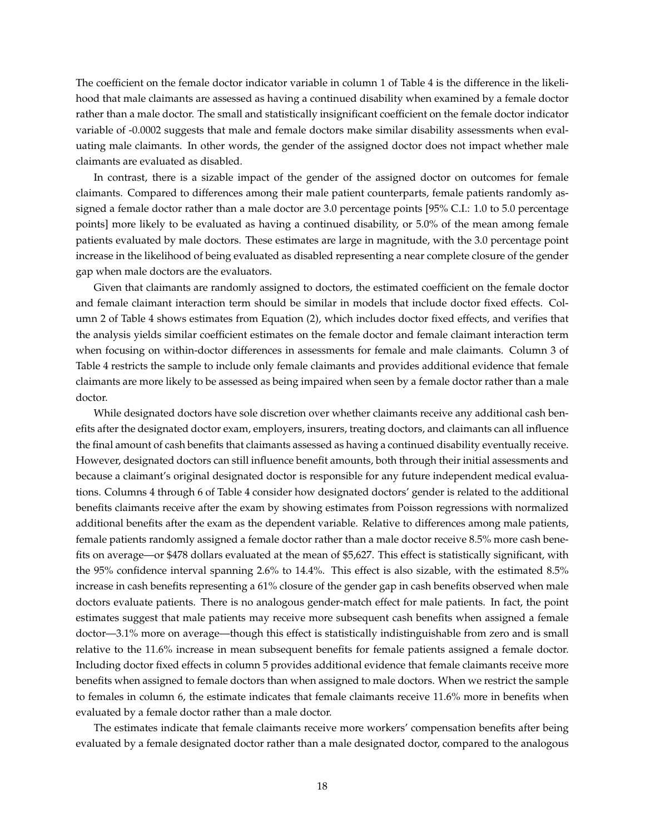The coefficient on the female doctor indicator variable in column 1 of Table [4](#page-49-0) is the difference in the likelihood that male claimants are assessed as having a continued disability when examined by a female doctor rather than a male doctor. The small and statistically insignificant coefficient on the female doctor indicator variable of -0.0002 suggests that male and female doctors make similar disability assessments when evaluating male claimants. In other words, the gender of the assigned doctor does not impact whether male claimants are evaluated as disabled.

In contrast, there is a sizable impact of the gender of the assigned doctor on outcomes for female claimants. Compared to differences among their male patient counterparts, female patients randomly assigned a female doctor rather than a male doctor are 3.0 percentage points [95% C.I.: 1.0 to 5.0 percentage points] more likely to be evaluated as having a continued disability, or 5.0% of the mean among female patients evaluated by male doctors. These estimates are large in magnitude, with the 3.0 percentage point increase in the likelihood of being evaluated as disabled representing a near complete closure of the gender gap when male doctors are the evaluators.

Given that claimants are randomly assigned to doctors, the estimated coefficient on the female doctor and female claimant interaction term should be similar in models that include doctor fixed effects. Column 2 of Table [4](#page-49-0) shows estimates from Equation [\(2\)](#page-17-1), which includes doctor fixed effects, and verifies that the analysis yields similar coefficient estimates on the female doctor and female claimant interaction term when focusing on within-doctor differences in assessments for female and male claimants. Column 3 of Table [4](#page-49-0) restricts the sample to include only female claimants and provides additional evidence that female claimants are more likely to be assessed as being impaired when seen by a female doctor rather than a male doctor.

While designated doctors have sole discretion over whether claimants receive any additional cash benefits after the designated doctor exam, employers, insurers, treating doctors, and claimants can all influence the final amount of cash benefits that claimants assessed as having a continued disability eventually receive. However, designated doctors can still influence benefit amounts, both through their initial assessments and because a claimant's original designated doctor is responsible for any future independent medical evaluations. Columns 4 through 6 of Table [4](#page-49-0) consider how designated doctors' gender is related to the additional benefits claimants receive after the exam by showing estimates from Poisson regressions with normalized additional benefits after the exam as the dependent variable. Relative to differences among male patients, female patients randomly assigned a female doctor rather than a male doctor receive 8.5% more cash benefits on average—or \$478 dollars evaluated at the mean of \$5,627. This effect is statistically significant, with the 95% confidence interval spanning 2.6% to 14.4%. This effect is also sizable, with the estimated 8.5% increase in cash benefits representing a 61% closure of the gender gap in cash benefits observed when male doctors evaluate patients. There is no analogous gender-match effect for male patients. In fact, the point estimates suggest that male patients may receive more subsequent cash benefits when assigned a female doctor—3.1% more on average—though this effect is statistically indistinguishable from zero and is small relative to the 11.6% increase in mean subsequent benefits for female patients assigned a female doctor. Including doctor fixed effects in column 5 provides additional evidence that female claimants receive more benefits when assigned to female doctors than when assigned to male doctors. When we restrict the sample to females in column 6, the estimate indicates that female claimants receive 11.6% more in benefits when evaluated by a female doctor rather than a male doctor.

The estimates indicate that female claimants receive more workers' compensation benefits after being evaluated by a female designated doctor rather than a male designated doctor, compared to the analogous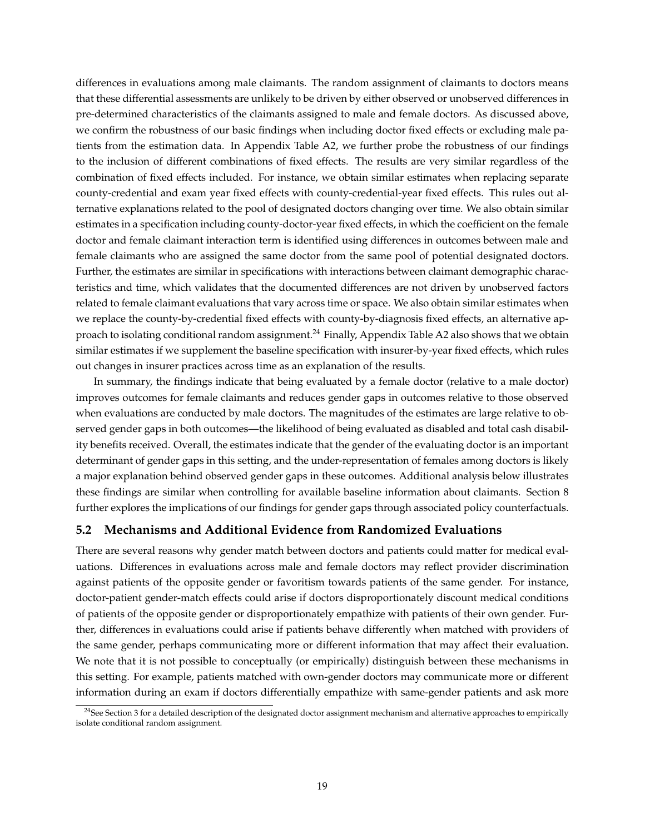differences in evaluations among male claimants. The random assignment of claimants to doctors means that these differential assessments are unlikely to be driven by either observed or unobserved differences in pre-determined characteristics of the claimants assigned to male and female doctors. As discussed above, we confirm the robustness of our basic findings when including doctor fixed effects or excluding male patients from the estimation data. In Appendix Table [A2,](#page-60-0) we further probe the robustness of our findings to the inclusion of different combinations of fixed effects. The results are very similar regardless of the combination of fixed effects included. For instance, we obtain similar estimates when replacing separate county-credential and exam year fixed effects with county-credential-year fixed effects. This rules out alternative explanations related to the pool of designated doctors changing over time. We also obtain similar estimates in a specification including county-doctor-year fixed effects, in which the coefficient on the female doctor and female claimant interaction term is identified using differences in outcomes between male and female claimants who are assigned the same doctor from the same pool of potential designated doctors. Further, the estimates are similar in specifications with interactions between claimant demographic characteristics and time, which validates that the documented differences are not driven by unobserved factors related to female claimant evaluations that vary across time or space. We also obtain similar estimates when we replace the county-by-credential fixed effects with county-by-diagnosis fixed effects, an alternative ap-proach to isolating conditional random assignment.<sup>[24](#page-20-0)</sup> Finally, Appendix Table [A2](#page-60-0) also shows that we obtain similar estimates if we supplement the baseline specification with insurer-by-year fixed effects, which rules out changes in insurer practices across time as an explanation of the results.

In summary, the findings indicate that being evaluated by a female doctor (relative to a male doctor) improves outcomes for female claimants and reduces gender gaps in outcomes relative to those observed when evaluations are conducted by male doctors. The magnitudes of the estimates are large relative to observed gender gaps in both outcomes—the likelihood of being evaluated as disabled and total cash disability benefits received. Overall, the estimates indicate that the gender of the evaluating doctor is an important determinant of gender gaps in this setting, and the under-representation of females among doctors is likely a major explanation behind observed gender gaps in these outcomes. Additional analysis below illustrates these findings are similar when controlling for available baseline information about claimants. Section [8](#page-33-0) further explores the implications of our findings for gender gaps through associated policy counterfactuals.

## **5.2 Mechanisms and Additional Evidence from Randomized Evaluations**

There are several reasons why gender match between doctors and patients could matter for medical evaluations. Differences in evaluations across male and female doctors may reflect provider discrimination against patients of the opposite gender or favoritism towards patients of the same gender. For instance, doctor-patient gender-match effects could arise if doctors disproportionately discount medical conditions of patients of the opposite gender or disproportionately empathize with patients of their own gender. Further, differences in evaluations could arise if patients behave differently when matched with providers of the same gender, perhaps communicating more or different information that may affect their evaluation. We note that it is not possible to conceptually (or empirically) distinguish between these mechanisms in this setting. For example, patients matched with own-gender doctors may communicate more or different information during an exam if doctors differentially empathize with same-gender patients and ask more

<span id="page-20-0"></span><sup>&</sup>lt;sup>24</sup>See Section [3](#page-9-0) for a detailed description of the designated doctor assignment mechanism and alternative approaches to empirically isolate conditional random assignment.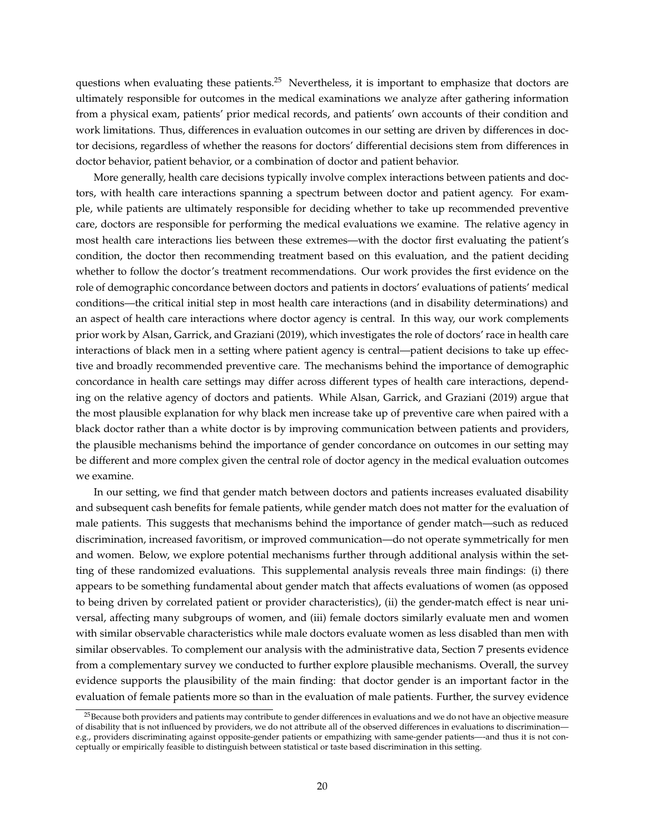questions when evaluating these patients.<sup>[25](#page-21-0)</sup> Nevertheless, it is important to emphasize that doctors are ultimately responsible for outcomes in the medical examinations we analyze after gathering information from a physical exam, patients' prior medical records, and patients' own accounts of their condition and work limitations. Thus, differences in evaluation outcomes in our setting are driven by differences in doctor decisions, regardless of whether the reasons for doctors' differential decisions stem from differences in doctor behavior, patient behavior, or a combination of doctor and patient behavior.

More generally, health care decisions typically involve complex interactions between patients and doctors, with health care interactions spanning a spectrum between doctor and patient agency. For example, while patients are ultimately responsible for deciding whether to take up recommended preventive care, doctors are responsible for performing the medical evaluations we examine. The relative agency in most health care interactions lies between these extremes—with the doctor first evaluating the patient's condition, the doctor then recommending treatment based on this evaluation, and the patient deciding whether to follow the doctor's treatment recommendations. Our work provides the first evidence on the role of demographic concordance between doctors and patients in doctors' evaluations of patients' medical conditions—the critical initial step in most health care interactions (and in disability determinations) and an aspect of health care interactions where doctor agency is central. In this way, our work complements prior work by [Alsan, Garrick, and Graziani](#page-37-0) [\(2019\)](#page-37-0), which investigates the role of doctors' race in health care interactions of black men in a setting where patient agency is central—patient decisions to take up effective and broadly recommended preventive care. The mechanisms behind the importance of demographic concordance in health care settings may differ across different types of health care interactions, depending on the relative agency of doctors and patients. While [Alsan, Garrick, and Graziani](#page-37-0) [\(2019\)](#page-37-0) argue that the most plausible explanation for why black men increase take up of preventive care when paired with a black doctor rather than a white doctor is by improving communication between patients and providers, the plausible mechanisms behind the importance of gender concordance on outcomes in our setting may be different and more complex given the central role of doctor agency in the medical evaluation outcomes we examine.

In our setting, we find that gender match between doctors and patients increases evaluated disability and subsequent cash benefits for female patients, while gender match does not matter for the evaluation of male patients. This suggests that mechanisms behind the importance of gender match—such as reduced discrimination, increased favoritism, or improved communication—do not operate symmetrically for men and women. Below, we explore potential mechanisms further through additional analysis within the setting of these randomized evaluations. This supplemental analysis reveals three main findings: (i) there appears to be something fundamental about gender match that affects evaluations of women (as opposed to being driven by correlated patient or provider characteristics), (ii) the gender-match effect is near universal, affecting many subgroups of women, and (iii) female doctors similarly evaluate men and women with similar observable characteristics while male doctors evaluate women as less disabled than men with similar observables. To complement our analysis with the administrative data, Section [7](#page-27-0) presents evidence from a complementary survey we conducted to further explore plausible mechanisms. Overall, the survey evidence supports the plausibility of the main finding: that doctor gender is an important factor in the evaluation of female patients more so than in the evaluation of male patients. Further, the survey evidence

<span id="page-21-0"></span><sup>&</sup>lt;sup>25</sup>Because both providers and patients may contribute to gender differences in evaluations and we do not have an objective measure of disability that is not influenced by providers, we do not attribute all of the observed differences in evaluations to discrimination e.g., providers discriminating against opposite-gender patients or empathizing with same-gender patients—-and thus it is not conceptually or empirically feasible to distinguish between statistical or taste based discrimination in this setting.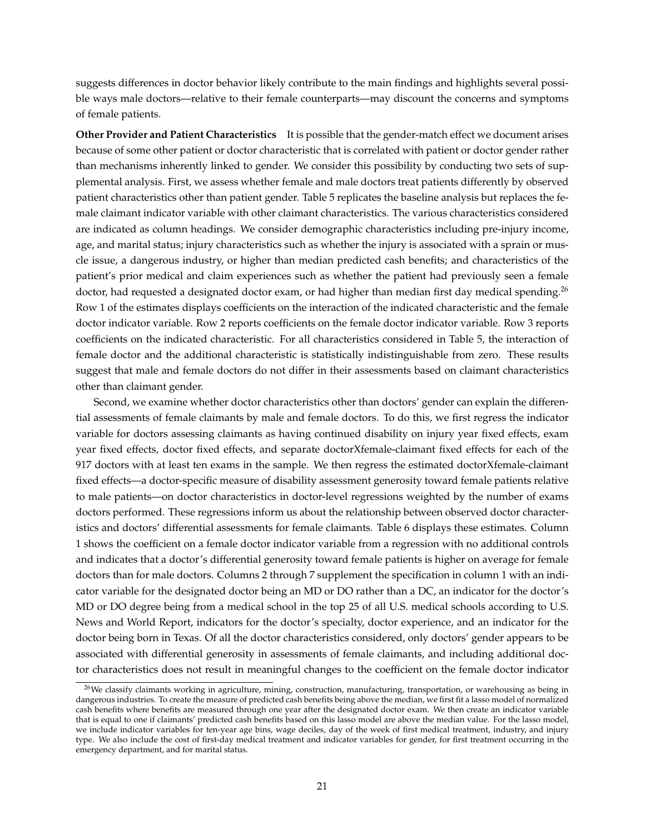suggests differences in doctor behavior likely contribute to the main findings and highlights several possible ways male doctors—relative to their female counterparts—may discount the concerns and symptoms of female patients.

**Other Provider and Patient Characteristics** It is possible that the gender-match effect we document arises because of some other patient or doctor characteristic that is correlated with patient or doctor gender rather than mechanisms inherently linked to gender. We consider this possibility by conducting two sets of supplemental analysis. First, we assess whether female and male doctors treat patients differently by observed patient characteristics other than patient gender. Table [5](#page-50-0) replicates the baseline analysis but replaces the female claimant indicator variable with other claimant characteristics. The various characteristics considered are indicated as column headings. We consider demographic characteristics including pre-injury income, age, and marital status; injury characteristics such as whether the injury is associated with a sprain or muscle issue, a dangerous industry, or higher than median predicted cash benefits; and characteristics of the patient's prior medical and claim experiences such as whether the patient had previously seen a female doctor, had requested a designated doctor exam, or had higher than median first day medical spending.<sup>[26](#page-22-0)</sup> Row 1 of the estimates displays coefficients on the interaction of the indicated characteristic and the female doctor indicator variable. Row 2 reports coefficients on the female doctor indicator variable. Row 3 reports coefficients on the indicated characteristic. For all characteristics considered in Table [5,](#page-50-0) the interaction of female doctor and the additional characteristic is statistically indistinguishable from zero. These results suggest that male and female doctors do not differ in their assessments based on claimant characteristics other than claimant gender.

Second, we examine whether doctor characteristics other than doctors' gender can explain the differential assessments of female claimants by male and female doctors. To do this, we first regress the indicator variable for doctors assessing claimants as having continued disability on injury year fixed effects, exam year fixed effects, doctor fixed effects, and separate doctorXfemale-claimant fixed effects for each of the 917 doctors with at least ten exams in the sample. We then regress the estimated doctorXfemale-claimant fixed effects—a doctor-specific measure of disability assessment generosity toward female patients relative to male patients—on doctor characteristics in doctor-level regressions weighted by the number of exams doctors performed. These regressions inform us about the relationship between observed doctor characteristics and doctors' differential assessments for female claimants. Table [6](#page-51-0) displays these estimates. Column 1 shows the coefficient on a female doctor indicator variable from a regression with no additional controls and indicates that a doctor's differential generosity toward female patients is higher on average for female doctors than for male doctors. Columns 2 through 7 supplement the specification in column 1 with an indicator variable for the designated doctor being an MD or DO rather than a DC, an indicator for the doctor's MD or DO degree being from a medical school in the top 25 of all U.S. medical schools according to U.S. News and World Report, indicators for the doctor's specialty, doctor experience, and an indicator for the doctor being born in Texas. Of all the doctor characteristics considered, only doctors' gender appears to be associated with differential generosity in assessments of female claimants, and including additional doctor characteristics does not result in meaningful changes to the coefficient on the female doctor indicator

<span id="page-22-0"></span><sup>&</sup>lt;sup>26</sup>We classify claimants working in agriculture, mining, construction, manufacturing, transportation, or warehousing as being in dangerous industries. To create the measure of predicted cash benefits being above the median, we first fit a lasso model of normalized cash benefits where benefits are measured through one year after the designated doctor exam. We then create an indicator variable that is equal to one if claimants' predicted cash benefits based on this lasso model are above the median value. For the lasso model, we include indicator variables for ten-year age bins, wage deciles, day of the week of first medical treatment, industry, and injury type. We also include the cost of first-day medical treatment and indicator variables for gender, for first treatment occurring in the emergency department, and for marital status.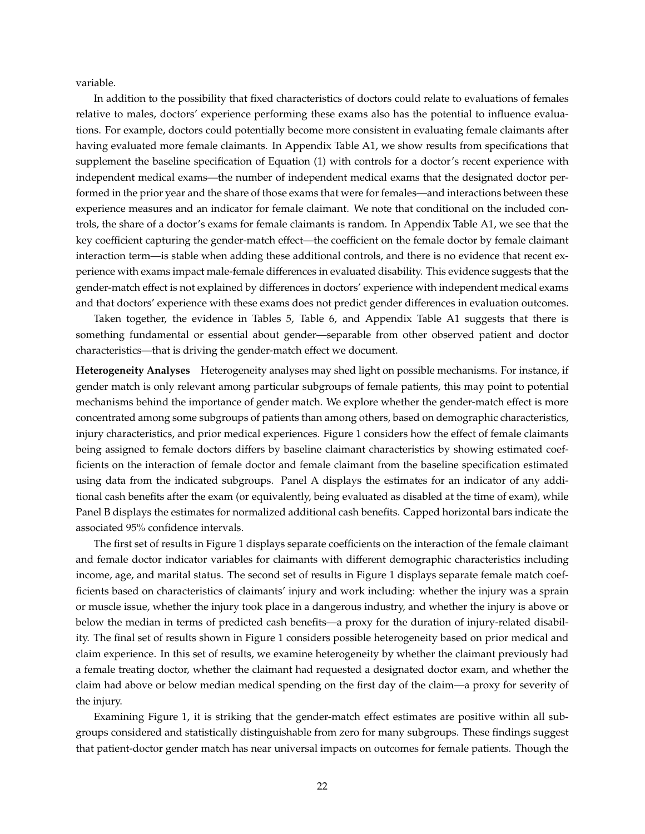variable.

In addition to the possibility that fixed characteristics of doctors could relate to evaluations of females relative to males, doctors' experience performing these exams also has the potential to influence evaluations. For example, doctors could potentially become more consistent in evaluating female claimants after having evaluated more female claimants. In Appendix Table [A1,](#page-59-0) we show results from specifications that supplement the baseline specification of Equation [\(1\)](#page-17-0) with controls for a doctor's recent experience with independent medical exams—the number of independent medical exams that the designated doctor performed in the prior year and the share of those exams that were for females—and interactions between these experience measures and an indicator for female claimant. We note that conditional on the included controls, the share of a doctor's exams for female claimants is random. In Appendix Table [A1,](#page-59-0) we see that the key coefficient capturing the gender-match effect—the coefficient on the female doctor by female claimant interaction term—is stable when adding these additional controls, and there is no evidence that recent experience with exams impact male-female differences in evaluated disability. This evidence suggests that the gender-match effect is not explained by differences in doctors' experience with independent medical exams and that doctors' experience with these exams does not predict gender differences in evaluation outcomes.

Taken together, the evidence in Tables [5,](#page-50-0) Table [6,](#page-51-0) and Appendix Table [A1](#page-59-0) suggests that there is something fundamental or essential about gender—separable from other observed patient and doctor characteristics—that is driving the gender-match effect we document.

**Heterogeneity Analyses** Heterogeneity analyses may shed light on possible mechanisms. For instance, if gender match is only relevant among particular subgroups of female patients, this may point to potential mechanisms behind the importance of gender match. We explore whether the gender-match effect is more concentrated among some subgroups of patients than among others, based on demographic characteristics, injury characteristics, and prior medical experiences. Figure [1](#page-41-0) considers how the effect of female claimants being assigned to female doctors differs by baseline claimant characteristics by showing estimated coefficients on the interaction of female doctor and female claimant from the baseline specification estimated using data from the indicated subgroups. Panel A displays the estimates for an indicator of any additional cash benefits after the exam (or equivalently, being evaluated as disabled at the time of exam), while Panel B displays the estimates for normalized additional cash benefits. Capped horizontal bars indicate the associated 95% confidence intervals.

The first set of results in Figure [1](#page-41-0) displays separate coefficients on the interaction of the female claimant and female doctor indicator variables for claimants with different demographic characteristics including income, age, and marital status. The second set of results in Figure [1](#page-41-0) displays separate female match coefficients based on characteristics of claimants' injury and work including: whether the injury was a sprain or muscle issue, whether the injury took place in a dangerous industry, and whether the injury is above or below the median in terms of predicted cash benefits—a proxy for the duration of injury-related disability. The final set of results shown in Figure [1](#page-41-0) considers possible heterogeneity based on prior medical and claim experience. In this set of results, we examine heterogeneity by whether the claimant previously had a female treating doctor, whether the claimant had requested a designated doctor exam, and whether the claim had above or below median medical spending on the first day of the claim—a proxy for severity of the injury.

Examining Figure [1,](#page-41-0) it is striking that the gender-match effect estimates are positive within all subgroups considered and statistically distinguishable from zero for many subgroups. These findings suggest that patient-doctor gender match has near universal impacts on outcomes for female patients. Though the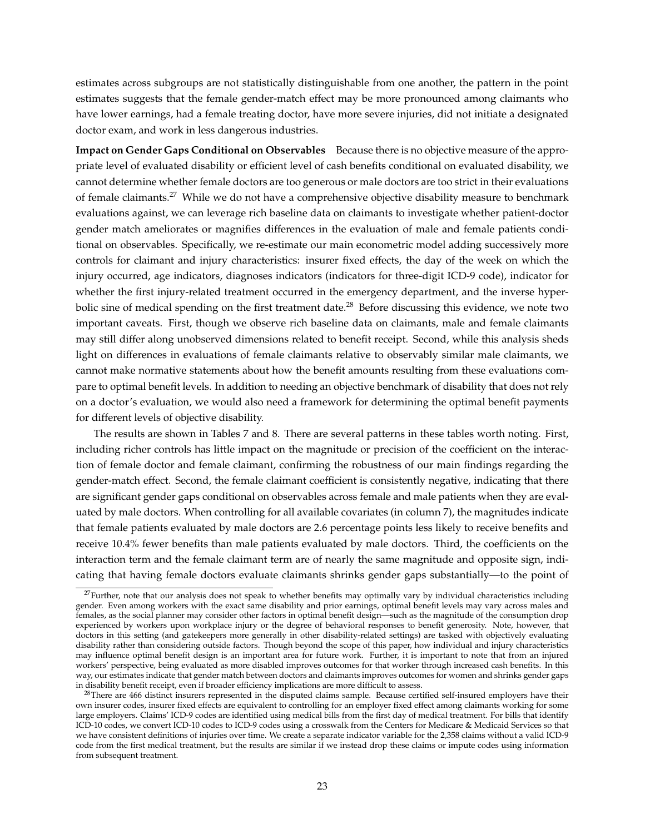estimates across subgroups are not statistically distinguishable from one another, the pattern in the point estimates suggests that the female gender-match effect may be more pronounced among claimants who have lower earnings, had a female treating doctor, have more severe injuries, did not initiate a designated doctor exam, and work in less dangerous industries.

**Impact on Gender Gaps Conditional on Observables** Because there is no objective measure of the appropriate level of evaluated disability or efficient level of cash benefits conditional on evaluated disability, we cannot determine whether female doctors are too generous or male doctors are too strict in their evaluations of female claimants.<sup>[27](#page-24-0)</sup> While we do not have a comprehensive objective disability measure to benchmark evaluations against, we can leverage rich baseline data on claimants to investigate whether patient-doctor gender match ameliorates or magnifies differences in the evaluation of male and female patients conditional on observables. Specifically, we re-estimate our main econometric model adding successively more controls for claimant and injury characteristics: insurer fixed effects, the day of the week on which the injury occurred, age indicators, diagnoses indicators (indicators for three-digit ICD-9 code), indicator for whether the first injury-related treatment occurred in the emergency department, and the inverse hyper-bolic sine of medical spending on the first treatment date.<sup>[28](#page-24-1)</sup> Before discussing this evidence, we note two important caveats. First, though we observe rich baseline data on claimants, male and female claimants may still differ along unobserved dimensions related to benefit receipt. Second, while this analysis sheds light on differences in evaluations of female claimants relative to observably similar male claimants, we cannot make normative statements about how the benefit amounts resulting from these evaluations compare to optimal benefit levels. In addition to needing an objective benchmark of disability that does not rely on a doctor's evaluation, we would also need a framework for determining the optimal benefit payments for different levels of objective disability.

The results are shown in Tables [7](#page-52-0) and [8.](#page-53-0) There are several patterns in these tables worth noting. First, including richer controls has little impact on the magnitude or precision of the coefficient on the interaction of female doctor and female claimant, confirming the robustness of our main findings regarding the gender-match effect. Second, the female claimant coefficient is consistently negative, indicating that there are significant gender gaps conditional on observables across female and male patients when they are evaluated by male doctors. When controlling for all available covariates (in column 7), the magnitudes indicate that female patients evaluated by male doctors are 2.6 percentage points less likely to receive benefits and receive 10.4% fewer benefits than male patients evaluated by male doctors. Third, the coefficients on the interaction term and the female claimant term are of nearly the same magnitude and opposite sign, indicating that having female doctors evaluate claimants shrinks gender gaps substantially—to the point of

<span id="page-24-0"></span> $27$ Further, note that our analysis does not speak to whether benefits may optimally vary by individual characteristics including gender. Even among workers with the exact same disability and prior earnings, optimal benefit levels may vary across males and females, as the social planner may consider other factors in optimal benefit design—such as the magnitude of the consumption drop experienced by workers upon workplace injury or the degree of behavioral responses to benefit generosity. Note, however, that doctors in this setting (and gatekeepers more generally in other disability-related settings) are tasked with objectively evaluating disability rather than considering outside factors. Though beyond the scope of this paper, how individual and injury characteristics may influence optimal benefit design is an important area for future work. Further, it is important to note that from an injured workers' perspective, being evaluated as more disabled improves outcomes for that worker through increased cash benefits. In this way, our estimates indicate that gender match between doctors and claimants improves outcomes for women and shrinks gender gaps in disability benefit receipt, even if broader efficiency implications are more difficult to assess.

<span id="page-24-1"></span><sup>&</sup>lt;sup>28</sup>There are 466 distinct insurers represented in the disputed claims sample. Because certified self-insured employers have their own insurer codes, insurer fixed effects are equivalent to controlling for an employer fixed effect among claimants working for some large employers. Claims' ICD-9 codes are identified using medical bills from the first day of medical treatment. For bills that identify ICD-10 codes, we convert ICD-10 codes to ICD-9 codes using a crosswalk from the Centers for Medicare & Medicaid Services so that we have consistent definitions of injuries over time. We create a separate indicator variable for the 2,358 claims without a valid ICD-9 code from the first medical treatment, but the results are similar if we instead drop these claims or impute codes using information from subsequent treatment.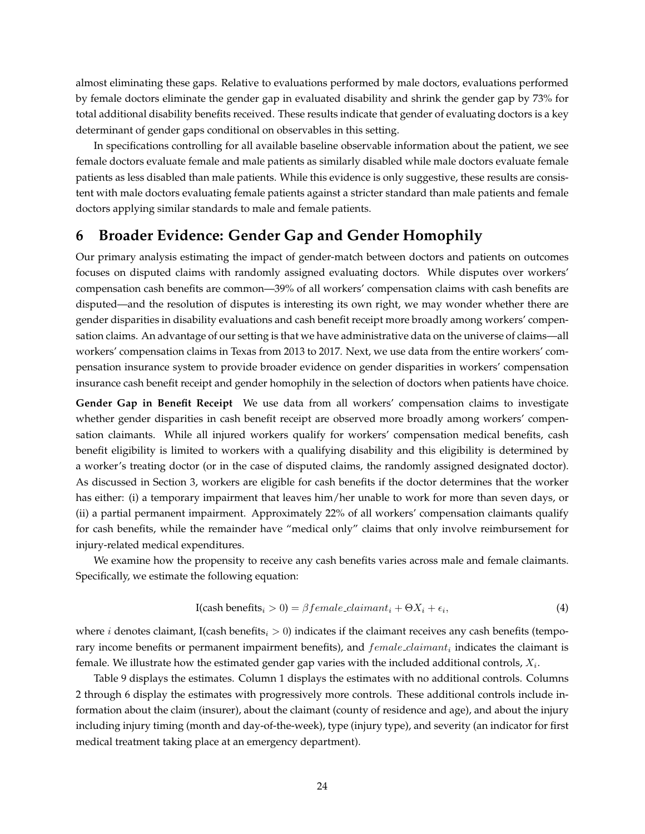almost eliminating these gaps. Relative to evaluations performed by male doctors, evaluations performed by female doctors eliminate the gender gap in evaluated disability and shrink the gender gap by 73% for total additional disability benefits received. These results indicate that gender of evaluating doctors is a key determinant of gender gaps conditional on observables in this setting.

In specifications controlling for all available baseline observable information about the patient, we see female doctors evaluate female and male patients as similarly disabled while male doctors evaluate female patients as less disabled than male patients. While this evidence is only suggestive, these results are consistent with male doctors evaluating female patients against a stricter standard than male patients and female doctors applying similar standards to male and female patients.

# <span id="page-25-0"></span>**6 Broader Evidence: Gender Gap and Gender Homophily**

Our primary analysis estimating the impact of gender-match between doctors and patients on outcomes focuses on disputed claims with randomly assigned evaluating doctors. While disputes over workers' compensation cash benefits are common—39% of all workers' compensation claims with cash benefits are disputed—and the resolution of disputes is interesting its own right, we may wonder whether there are gender disparities in disability evaluations and cash benefit receipt more broadly among workers' compensation claims. An advantage of our setting is that we have administrative data on the universe of claims—all workers' compensation claims in Texas from 2013 to 2017. Next, we use data from the entire workers' compensation insurance system to provide broader evidence on gender disparities in workers' compensation insurance cash benefit receipt and gender homophily in the selection of doctors when patients have choice.

**Gender Gap in Benefit Receipt** We use data from all workers' compensation claims to investigate whether gender disparities in cash benefit receipt are observed more broadly among workers' compensation claimants. While all injured workers qualify for workers' compensation medical benefits, cash benefit eligibility is limited to workers with a qualifying disability and this eligibility is determined by a worker's treating doctor (or in the case of disputed claims, the randomly assigned designated doctor). As discussed in Section [3,](#page-9-0) workers are eligible for cash benefits if the doctor determines that the worker has either: (i) a temporary impairment that leaves him/her unable to work for more than seven days, or (ii) a partial permanent impairment. Approximately 22% of all workers' compensation claimants qualify for cash benefits, while the remainder have "medical only" claims that only involve reimbursement for injury-related medical expenditures.

We examine how the propensity to receive any cash benefits varies across male and female claimants. Specifically, we estimate the following equation:

<span id="page-25-1"></span>I(cash benefits<sub>i</sub> > 0) = 
$$
\beta
$$
 female-claimant<sub>i</sub> +  $\Theta X_i + \epsilon_i$ , (4)

where *i* denotes claimant, I(cash benefits<sub>i</sub>  $> 0$ ) indicates if the claimant receives any cash benefits (temporary income benefits or permanent impairment benefits), and  $female\_claimant_i$  indicates the claimant is female. We illustrate how the estimated gender gap varies with the included additional controls,  $X_i$ .

Table [9](#page-54-0) displays the estimates. Column 1 displays the estimates with no additional controls. Columns 2 through 6 display the estimates with progressively more controls. These additional controls include information about the claim (insurer), about the claimant (county of residence and age), and about the injury including injury timing (month and day-of-the-week), type (injury type), and severity (an indicator for first medical treatment taking place at an emergency department).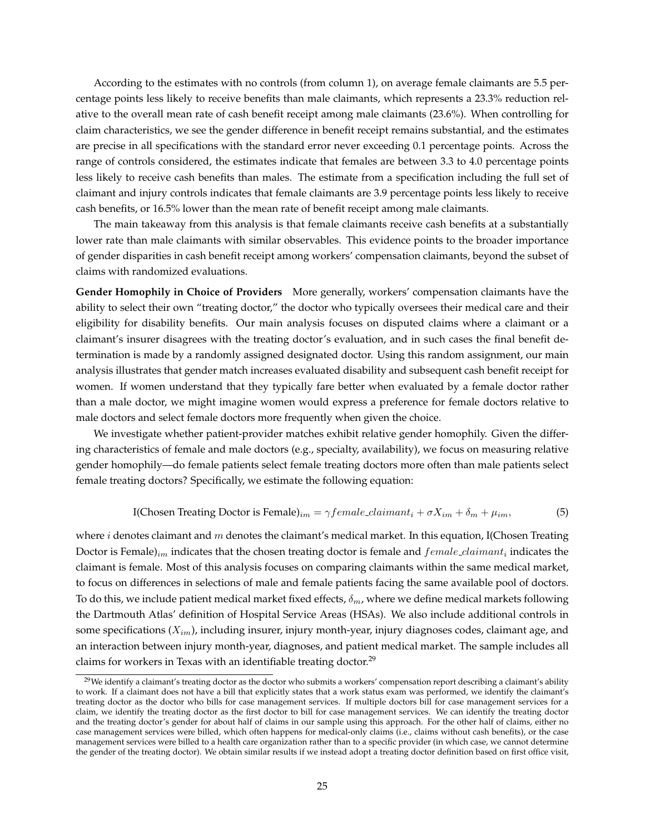According to the estimates with no controls (from column 1), on average female claimants are 5.5 percentage points less likely to receive benefits than male claimants, which represents a 23.3% reduction relative to the overall mean rate of cash benefit receipt among male claimants (23.6%). When controlling for claim characteristics, we see the gender difference in benefit receipt remains substantial, and the estimates are precise in all specifications with the standard error never exceeding 0.1 percentage points. Across the range of controls considered, the estimates indicate that females are between 3.3 to 4.0 percentage points less likely to receive cash benefits than males. The estimate from a specification including the full set of claimant and injury controls indicates that female claimants are 3.9 percentage points less likely to receive cash benefits, or 16.5% lower than the mean rate of benefit receipt among male claimants.

The main takeaway from this analysis is that female claimants receive cash benefits at a substantially lower rate than male claimants with similar observables. This evidence points to the broader importance of gender disparities in cash benefit receipt among workers' compensation claimants, beyond the subset of claims with randomized evaluations.

**Gender Homophily in Choice of Providers** More generally, workers' compensation claimants have the ability to select their own "treating doctor," the doctor who typically oversees their medical care and their eligibility for disability benefits. Our main analysis focuses on disputed claims where a claimant or a claimant's insurer disagrees with the treating doctor's evaluation, and in such cases the final benefit determination is made by a randomly assigned designated doctor. Using this random assignment, our main analysis illustrates that gender match increases evaluated disability and subsequent cash benefit receipt for women. If women understand that they typically fare better when evaluated by a female doctor rather than a male doctor, we might imagine women would express a preference for female doctors relative to male doctors and select female doctors more frequently when given the choice.

We investigate whether patient-provider matches exhibit relative gender homophily. Given the differing characteristics of female and male doctors (e.g., specialty, availability), we focus on measuring relative gender homophily—do female patients select female treating doctors more often than male patients select female treating doctors? Specifically, we estimate the following equation:

<span id="page-26-1"></span>I(Chosen Treating Doctor is Female)<sub>im</sub> = 
$$
\gamma
$$
 female-claimant<sub>i</sub> +  $\sigma X_{im} + \delta_m + \mu_{im}$ , (5)

where *i* denotes claimant and m denotes the claimant's medical market. In this equation, I(Chosen Treating Doctor is Female) $_{im}$  indicates that the chosen treating doctor is female and  $female\_claimant_i$  indicates the claimant is female. Most of this analysis focuses on comparing claimants within the same medical market, to focus on differences in selections of male and female patients facing the same available pool of doctors. To do this, we include patient medical market fixed effects,  $\delta_m$ , where we define medical markets following the Dartmouth Atlas' definition of Hospital Service Areas (HSAs). We also include additional controls in some specifications  $(X_{im})$ , including insurer, injury month-year, injury diagnoses codes, claimant age, and an interaction between injury month-year, diagnoses, and patient medical market. The sample includes all claims for workers in Texas with an identifiable treating doctor.<sup>[29](#page-26-0)</sup>

<span id="page-26-0"></span><sup>&</sup>lt;sup>29</sup>We identify a claimant's treating doctor as the doctor who submits a workers' compensation report describing a claimant's ability to work. If a claimant does not have a bill that explicitly states that a work status exam was performed, we identify the claimant's treating doctor as the doctor who bills for case management services. If multiple doctors bill for case management services for a claim, we identify the treating doctor as the first doctor to bill for case management services. We can identify the treating doctor and the treating doctor's gender for about half of claims in our sample using this approach. For the other half of claims, either no case management services were billed, which often happens for medical-only claims (i.e., claims without cash benefits), or the case management services were billed to a health care organization rather than to a specific provider (in which case, we cannot determine the gender of the treating doctor). We obtain similar results if we instead adopt a treating doctor definition based on first office visit,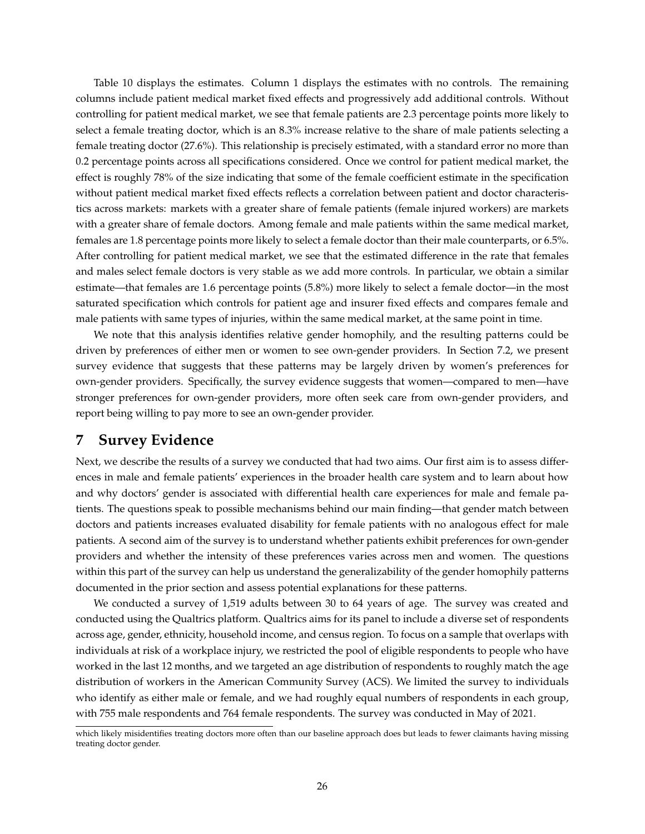<span id="page-27-1"></span>Table [10](#page-55-0) displays the estimates. Column 1 displays the estimates with no controls. The remaining columns include patient medical market fixed effects and progressively add additional controls. Without controlling for patient medical market, we see that female patients are 2.3 percentage points more likely to select a female treating doctor, which is an 8.3% increase relative to the share of male patients selecting a female treating doctor (27.6%). This relationship is precisely estimated, with a standard error no more than 0.2 percentage points across all specifications considered. Once we control for patient medical market, the effect is roughly 78% of the size indicating that some of the female coefficient estimate in the specification without patient medical market fixed effects reflects a correlation between patient and doctor characteristics across markets: markets with a greater share of female patients (female injured workers) are markets with a greater share of female doctors. Among female and male patients within the same medical market, females are 1.8 percentage points more likely to select a female doctor than their male counterparts, or 6.5%. After controlling for patient medical market, we see that the estimated difference in the rate that females and males select female doctors is very stable as we add more controls. In particular, we obtain a similar estimate—that females are 1.6 percentage points (5.8%) more likely to select a female doctor—in the most saturated specification which controls for patient age and insurer fixed effects and compares female and male patients with same types of injuries, within the same medical market, at the same point in time.

We note that this analysis identifies relative gender homophily, and the resulting patterns could be driven by preferences of either men or women to see own-gender providers. In Section [7.2,](#page-30-0) we present survey evidence that suggests that these patterns may be largely driven by women's preferences for own-gender providers. Specifically, the survey evidence suggests that women—compared to men—have stronger preferences for own-gender providers, more often seek care from own-gender providers, and report being willing to pay more to see an own-gender provider.

# <span id="page-27-0"></span>**7 Survey Evidence**

Next, we describe the results of a survey we conducted that had two aims. Our first aim is to assess differences in male and female patients' experiences in the broader health care system and to learn about how and why doctors' gender is associated with differential health care experiences for male and female patients. The questions speak to possible mechanisms behind our main finding—that gender match between doctors and patients increases evaluated disability for female patients with no analogous effect for male patients. A second aim of the survey is to understand whether patients exhibit preferences for own-gender providers and whether the intensity of these preferences varies across men and women. The questions within this part of the survey can help us understand the generalizability of the gender homophily patterns documented in the prior section and assess potential explanations for these patterns.

We conducted a survey of 1,519 adults between 30 to 64 years of age. The survey was created and conducted using the Qualtrics platform. Qualtrics aims for its panel to include a diverse set of respondents across age, gender, ethnicity, household income, and census region. To focus on a sample that overlaps with individuals at risk of a workplace injury, we restricted the pool of eligible respondents to people who have worked in the last 12 months, and we targeted an age distribution of respondents to roughly match the age distribution of workers in the American Community Survey (ACS). We limited the survey to individuals who identify as either male or female, and we had roughly equal numbers of respondents in each group, with 755 male respondents and 764 female respondents. The survey was conducted in May of 2021.

which likely misidentifies treating doctors more often than our baseline approach does but leads to fewer claimants having missing treating doctor gender.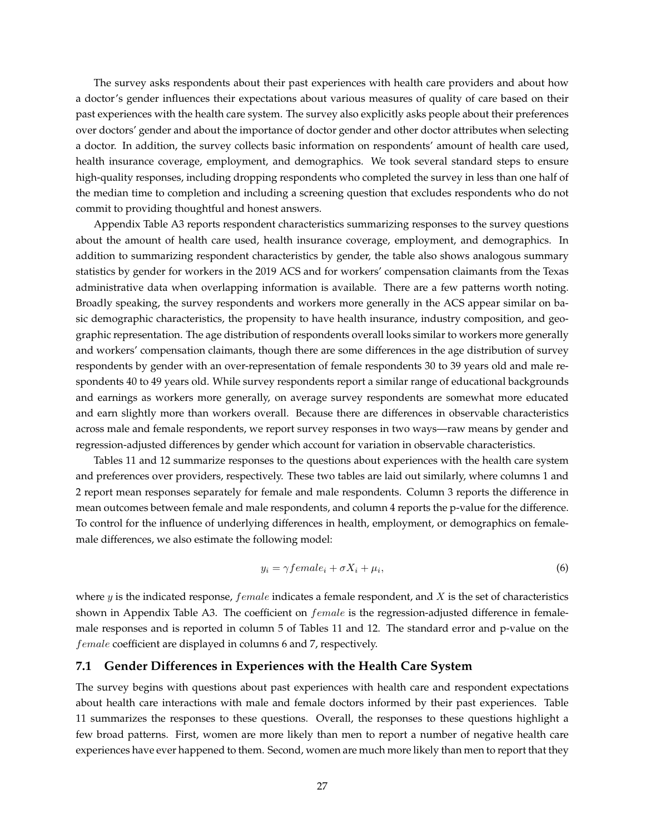The survey asks respondents about their past experiences with health care providers and about how a doctor's gender influences their expectations about various measures of quality of care based on their past experiences with the health care system. The survey also explicitly asks people about their preferences over doctors' gender and about the importance of doctor gender and other doctor attributes when selecting a doctor. In addition, the survey collects basic information on respondents' amount of health care used, health insurance coverage, employment, and demographics. We took several standard steps to ensure high-quality responses, including dropping respondents who completed the survey in less than one half of the median time to completion and including a screening question that excludes respondents who do not commit to providing thoughtful and honest answers.

<span id="page-28-0"></span>Appendix Table [A3](#page-61-0) reports respondent characteristics summarizing responses to the survey questions about the amount of health care used, health insurance coverage, employment, and demographics. In addition to summarizing respondent characteristics by gender, the table also shows analogous summary statistics by gender for workers in the 2019 ACS and for workers' compensation claimants from the Texas administrative data when overlapping information is available. There are a few patterns worth noting. Broadly speaking, the survey respondents and workers more generally in the ACS appear similar on basic demographic characteristics, the propensity to have health insurance, industry composition, and geographic representation. The age distribution of respondents overall looks similar to workers more generally and workers' compensation claimants, though there are some differences in the age distribution of survey respondents by gender with an over-representation of female respondents 30 to 39 years old and male respondents 40 to 49 years old. While survey respondents report a similar range of educational backgrounds and earnings as workers more generally, on average survey respondents are somewhat more educated and earn slightly more than workers overall. Because there are differences in observable characteristics across male and female respondents, we report survey responses in two ways—raw means by gender and regression-adjusted differences by gender which account for variation in observable characteristics.

Tables [11](#page-56-0) and [12](#page-57-0) summarize responses to the questions about experiences with the health care system and preferences over providers, respectively. These two tables are laid out similarly, where columns 1 and 2 report mean responses separately for female and male respondents. Column 3 reports the difference in mean outcomes between female and male respondents, and column 4 reports the p-value for the difference. To control for the influence of underlying differences in health, employment, or demographics on femalemale differences, we also estimate the following model:

<span id="page-28-1"></span>
$$
y_i = \gamma female_i + \sigma X_i + \mu_i,\tag{6}
$$

where  $y$  is the indicated response, female indicates a female respondent, and  $X$  is the set of characteristics shown in Appendix Table [A3.](#page-61-0) The coefficient on  $female$  is the regression-adjusted difference in femalemale responses and is reported in column 5 of Tables [11](#page-56-0) and [12.](#page-57-0) The standard error and p-value on the female coefficient are displayed in columns 6 and 7, respectively.

#### **7.1 Gender Differences in Experiences with the Health Care System**

The survey begins with questions about past experiences with health care and respondent expectations about health care interactions with male and female doctors informed by their past experiences. Table [11](#page-56-0) summarizes the responses to these questions. Overall, the responses to these questions highlight a few broad patterns. First, women are more likely than men to report a number of negative health care experiences have ever happened to them. Second, women are much more likely than men to report that they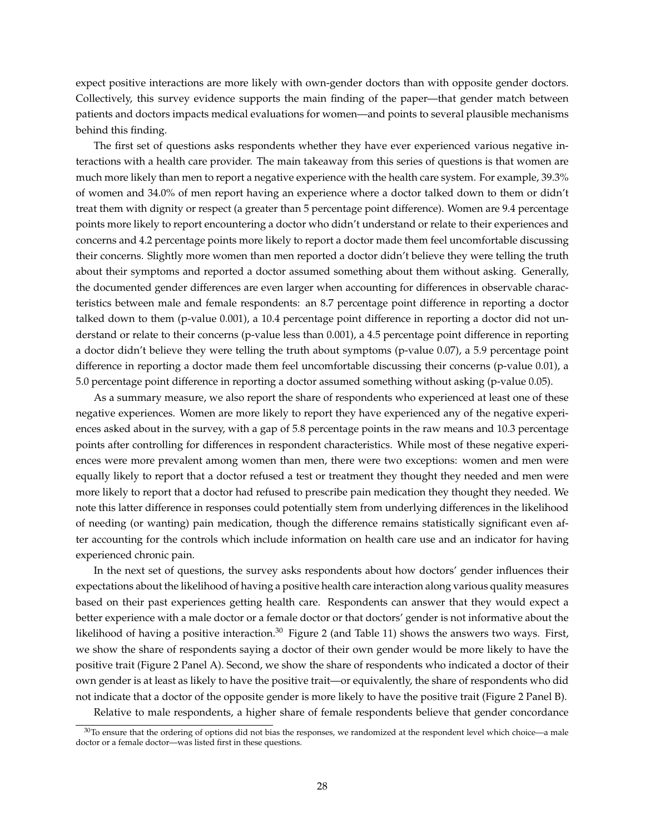expect positive interactions are more likely with own-gender doctors than with opposite gender doctors. Collectively, this survey evidence supports the main finding of the paper—that gender match between patients and doctors impacts medical evaluations for women—and points to several plausible mechanisms behind this finding.

The first set of questions asks respondents whether they have ever experienced various negative interactions with a health care provider. The main takeaway from this series of questions is that women are much more likely than men to report a negative experience with the health care system. For example, 39.3% of women and 34.0% of men report having an experience where a doctor talked down to them or didn't treat them with dignity or respect (a greater than 5 percentage point difference). Women are 9.4 percentage points more likely to report encountering a doctor who didn't understand or relate to their experiences and concerns and 4.2 percentage points more likely to report a doctor made them feel uncomfortable discussing their concerns. Slightly more women than men reported a doctor didn't believe they were telling the truth about their symptoms and reported a doctor assumed something about them without asking. Generally, the documented gender differences are even larger when accounting for differences in observable characteristics between male and female respondents: an 8.7 percentage point difference in reporting a doctor talked down to them (p-value 0.001), a 10.4 percentage point difference in reporting a doctor did not understand or relate to their concerns (p-value less than 0.001), a 4.5 percentage point difference in reporting a doctor didn't believe they were telling the truth about symptoms (p-value 0.07), a 5.9 percentage point difference in reporting a doctor made them feel uncomfortable discussing their concerns (p-value 0.01), a 5.0 percentage point difference in reporting a doctor assumed something without asking (p-value 0.05).

As a summary measure, we also report the share of respondents who experienced at least one of these negative experiences. Women are more likely to report they have experienced any of the negative experiences asked about in the survey, with a gap of 5.8 percentage points in the raw means and 10.3 percentage points after controlling for differences in respondent characteristics. While most of these negative experiences were more prevalent among women than men, there were two exceptions: women and men were equally likely to report that a doctor refused a test or treatment they thought they needed and men were more likely to report that a doctor had refused to prescribe pain medication they thought they needed. We note this latter difference in responses could potentially stem from underlying differences in the likelihood of needing (or wanting) pain medication, though the difference remains statistically significant even after accounting for the controls which include information on health care use and an indicator for having experienced chronic pain.

In the next set of questions, the survey asks respondents about how doctors' gender influences their expectations about the likelihood of having a positive health care interaction along various quality measures based on their past experiences getting health care. Respondents can answer that they would expect a better experience with a male doctor or a female doctor or that doctors' gender is not informative about the likelihood of having a positive interaction.<sup>[30](#page-29-0)</sup> Figure [2](#page-42-0) (and Table [11\)](#page-56-0) shows the answers two ways. First, we show the share of respondents saying a doctor of their own gender would be more likely to have the positive trait (Figure [2](#page-42-0) Panel A). Second, we show the share of respondents who indicated a doctor of their own gender is at least as likely to have the positive trait—or equivalently, the share of respondents who did not indicate that a doctor of the opposite gender is more likely to have the positive trait (Figure [2](#page-42-0) Panel B).

Relative to male respondents, a higher share of female respondents believe that gender concordance

<span id="page-29-0"></span><sup>&</sup>lt;sup>30</sup>To ensure that the ordering of options did not bias the responses, we randomized at the respondent level which choice—a male doctor or a female doctor—was listed first in these questions.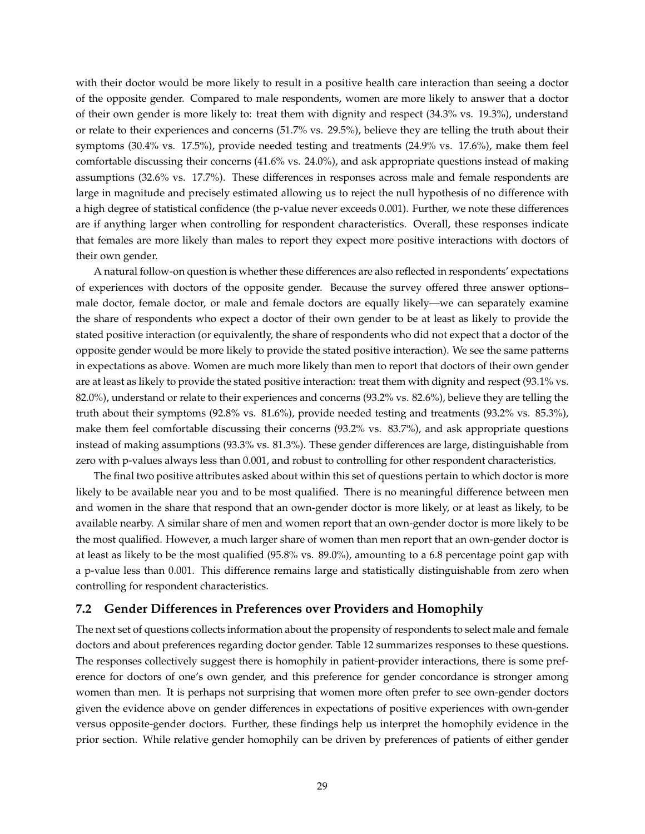with their doctor would be more likely to result in a positive health care interaction than seeing a doctor of the opposite gender. Compared to male respondents, women are more likely to answer that a doctor of their own gender is more likely to: treat them with dignity and respect (34.3% vs. 19.3%), understand or relate to their experiences and concerns (51.7% vs. 29.5%), believe they are telling the truth about their symptoms (30.4% vs. 17.5%), provide needed testing and treatments (24.9% vs. 17.6%), make them feel comfortable discussing their concerns (41.6% vs. 24.0%), and ask appropriate questions instead of making assumptions (32.6% vs. 17.7%). These differences in responses across male and female respondents are large in magnitude and precisely estimated allowing us to reject the null hypothesis of no difference with a high degree of statistical confidence (the p-value never exceeds 0.001). Further, we note these differences are if anything larger when controlling for respondent characteristics. Overall, these responses indicate that females are more likely than males to report they expect more positive interactions with doctors of their own gender.

A natural follow-on question is whether these differences are also reflected in respondents' expectations of experiences with doctors of the opposite gender. Because the survey offered three answer options– male doctor, female doctor, or male and female doctors are equally likely—we can separately examine the share of respondents who expect a doctor of their own gender to be at least as likely to provide the stated positive interaction (or equivalently, the share of respondents who did not expect that a doctor of the opposite gender would be more likely to provide the stated positive interaction). We see the same patterns in expectations as above. Women are much more likely than men to report that doctors of their own gender are at least as likely to provide the stated positive interaction: treat them with dignity and respect (93.1% vs. 82.0%), understand or relate to their experiences and concerns (93.2% vs. 82.6%), believe they are telling the truth about their symptoms (92.8% vs. 81.6%), provide needed testing and treatments (93.2% vs. 85.3%), make them feel comfortable discussing their concerns (93.2% vs. 83.7%), and ask appropriate questions instead of making assumptions (93.3% vs. 81.3%). These gender differences are large, distinguishable from zero with p-values always less than 0.001, and robust to controlling for other respondent characteristics.

The final two positive attributes asked about within this set of questions pertain to which doctor is more likely to be available near you and to be most qualified. There is no meaningful difference between men and women in the share that respond that an own-gender doctor is more likely, or at least as likely, to be available nearby. A similar share of men and women report that an own-gender doctor is more likely to be the most qualified. However, a much larger share of women than men report that an own-gender doctor is at least as likely to be the most qualified (95.8% vs. 89.0%), amounting to a 6.8 percentage point gap with a p-value less than 0.001. This difference remains large and statistically distinguishable from zero when controlling for respondent characteristics.

#### <span id="page-30-0"></span>**7.2 Gender Differences in Preferences over Providers and Homophily**

The next set of questions collects information about the propensity of respondents to select male and female doctors and about preferences regarding doctor gender. Table [12](#page-57-0) summarizes responses to these questions. The responses collectively suggest there is homophily in patient-provider interactions, there is some preference for doctors of one's own gender, and this preference for gender concordance is stronger among women than men. It is perhaps not surprising that women more often prefer to see own-gender doctors given the evidence above on gender differences in expectations of positive experiences with own-gender versus opposite-gender doctors. Further, these findings help us interpret the homophily evidence in the prior section. While relative gender homophily can be driven by preferences of patients of either gender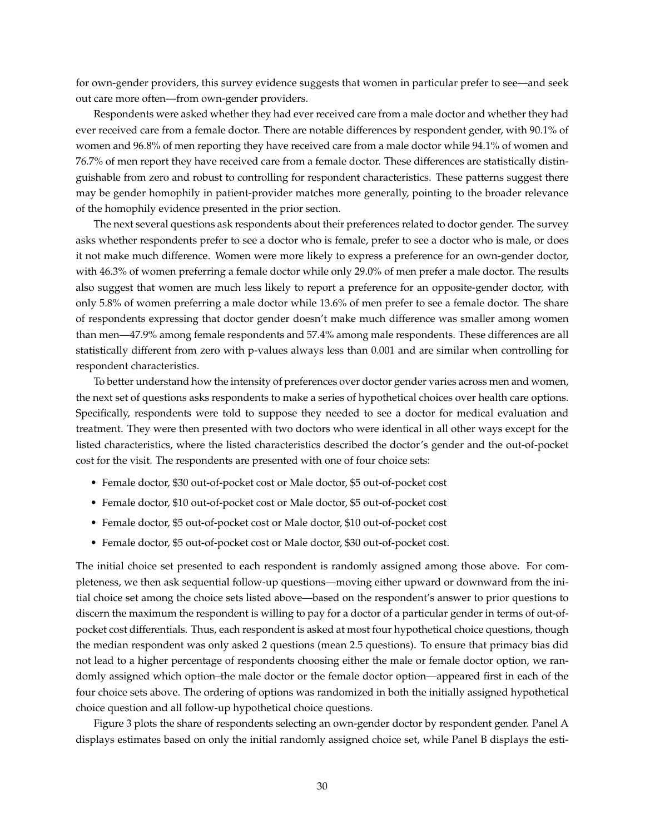for own-gender providers, this survey evidence suggests that women in particular prefer to see—and seek out care more often—from own-gender providers.

Respondents were asked whether they had ever received care from a male doctor and whether they had ever received care from a female doctor. There are notable differences by respondent gender, with 90.1% of women and 96.8% of men reporting they have received care from a male doctor while 94.1% of women and 76.7% of men report they have received care from a female doctor. These differences are statistically distinguishable from zero and robust to controlling for respondent characteristics. These patterns suggest there may be gender homophily in patient-provider matches more generally, pointing to the broader relevance of the homophily evidence presented in the prior section.

The next several questions ask respondents about their preferences related to doctor gender. The survey asks whether respondents prefer to see a doctor who is female, prefer to see a doctor who is male, or does it not make much difference. Women were more likely to express a preference for an own-gender doctor, with 46.3% of women preferring a female doctor while only 29.0% of men prefer a male doctor. The results also suggest that women are much less likely to report a preference for an opposite-gender doctor, with only 5.8% of women preferring a male doctor while 13.6% of men prefer to see a female doctor. The share of respondents expressing that doctor gender doesn't make much difference was smaller among women than men—47.9% among female respondents and 57.4% among male respondents. These differences are all statistically different from zero with p-values always less than 0.001 and are similar when controlling for respondent characteristics.

To better understand how the intensity of preferences over doctor gender varies across men and women, the next set of questions asks respondents to make a series of hypothetical choices over health care options. Specifically, respondents were told to suppose they needed to see a doctor for medical evaluation and treatment. They were then presented with two doctors who were identical in all other ways except for the listed characteristics, where the listed characteristics described the doctor's gender and the out-of-pocket cost for the visit. The respondents are presented with one of four choice sets:

- Female doctor, \$30 out-of-pocket cost or Male doctor, \$5 out-of-pocket cost
- Female doctor, \$10 out-of-pocket cost or Male doctor, \$5 out-of-pocket cost
- Female doctor, \$5 out-of-pocket cost or Male doctor, \$10 out-of-pocket cost
- Female doctor, \$5 out-of-pocket cost or Male doctor, \$30 out-of-pocket cost.

The initial choice set presented to each respondent is randomly assigned among those above. For completeness, we then ask sequential follow-up questions—moving either upward or downward from the initial choice set among the choice sets listed above—based on the respondent's answer to prior questions to discern the maximum the respondent is willing to pay for a doctor of a particular gender in terms of out-ofpocket cost differentials. Thus, each respondent is asked at most four hypothetical choice questions, though the median respondent was only asked 2 questions (mean 2.5 questions). To ensure that primacy bias did not lead to a higher percentage of respondents choosing either the male or female doctor option, we randomly assigned which option–the male doctor or the female doctor option—appeared first in each of the four choice sets above. The ordering of options was randomized in both the initially assigned hypothetical choice question and all follow-up hypothetical choice questions.

Figure [3](#page-43-0) plots the share of respondents selecting an own-gender doctor by respondent gender. Panel A displays estimates based on only the initial randomly assigned choice set, while Panel B displays the esti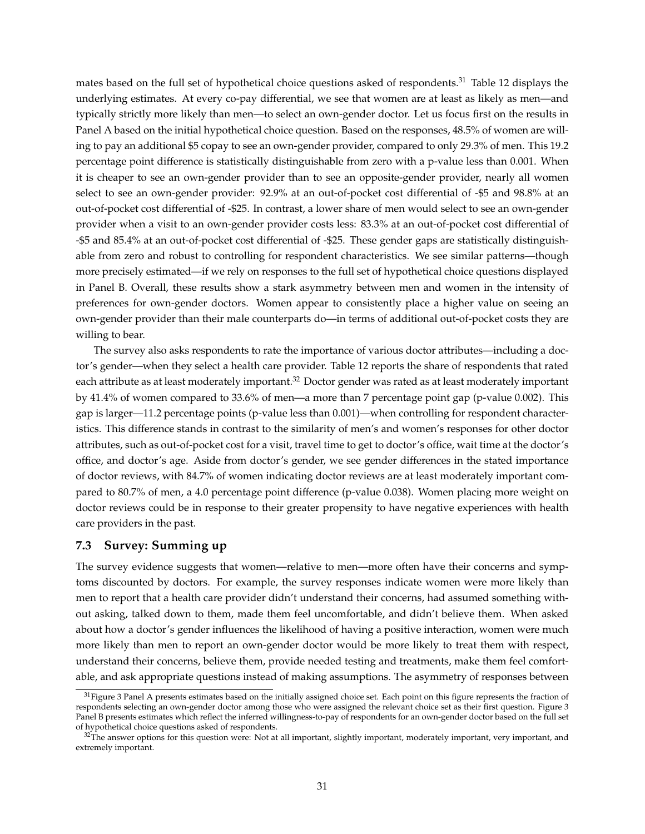mates based on the full set of hypothetical choice questions asked of respondents.<sup>[31](#page-32-0)</sup> Table [12](#page-57-0) displays the underlying estimates. At every co-pay differential, we see that women are at least as likely as men—and typically strictly more likely than men—to select an own-gender doctor. Let us focus first on the results in Panel A based on the initial hypothetical choice question. Based on the responses, 48.5% of women are willing to pay an additional \$5 copay to see an own-gender provider, compared to only 29.3% of men. This 19.2 percentage point difference is statistically distinguishable from zero with a p-value less than 0.001. When it is cheaper to see an own-gender provider than to see an opposite-gender provider, nearly all women select to see an own-gender provider: 92.9% at an out-of-pocket cost differential of -\$5 and 98.8% at an out-of-pocket cost differential of -\$25. In contrast, a lower share of men would select to see an own-gender provider when a visit to an own-gender provider costs less: 83.3% at an out-of-pocket cost differential of -\$5 and 85.4% at an out-of-pocket cost differential of -\$25. These gender gaps are statistically distinguishable from zero and robust to controlling for respondent characteristics. We see similar patterns—though more precisely estimated—if we rely on responses to the full set of hypothetical choice questions displayed in Panel B. Overall, these results show a stark asymmetry between men and women in the intensity of preferences for own-gender doctors. Women appear to consistently place a higher value on seeing an own-gender provider than their male counterparts do—in terms of additional out-of-pocket costs they are willing to bear.

The survey also asks respondents to rate the importance of various doctor attributes—including a doctor's gender—when they select a health care provider. Table [12](#page-57-0) reports the share of respondents that rated each attribute as at least moderately important.<sup>[32](#page-32-1)</sup> Doctor gender was rated as at least moderately important by 41.4% of women compared to 33.6% of men—a more than 7 percentage point gap (p-value 0.002). This gap is larger—11.2 percentage points (p-value less than 0.001)—when controlling for respondent characteristics. This difference stands in contrast to the similarity of men's and women's responses for other doctor attributes, such as out-of-pocket cost for a visit, travel time to get to doctor's office, wait time at the doctor's office, and doctor's age. Aside from doctor's gender, we see gender differences in the stated importance of doctor reviews, with 84.7% of women indicating doctor reviews are at least moderately important compared to 80.7% of men, a 4.0 percentage point difference (p-value 0.038). Women placing more weight on doctor reviews could be in response to their greater propensity to have negative experiences with health care providers in the past.

### **7.3 Survey: Summing up**

The survey evidence suggests that women—relative to men—more often have their concerns and symptoms discounted by doctors. For example, the survey responses indicate women were more likely than men to report that a health care provider didn't understand their concerns, had assumed something without asking, talked down to them, made them feel uncomfortable, and didn't believe them. When asked about how a doctor's gender influences the likelihood of having a positive interaction, women were much more likely than men to report an own-gender doctor would be more likely to treat them with respect, understand their concerns, believe them, provide needed testing and treatments, make them feel comfortable, and ask appropriate questions instead of making assumptions. The asymmetry of responses between

<span id="page-32-0"></span> $31$  Figure [3](#page-43-0) Panel A presents estimates based on the initially assigned choice set. Each point on this figure represents the fraction of respondents selecting an own-gender doctor among those who were assigned the relevant choice set as their first question. Figure [3](#page-43-0) Panel B presents estimates which reflect the inferred willingness-to-pay of respondents for an own-gender doctor based on the full set of hypothetical choice questions asked of respondents.

<span id="page-32-1"></span> $32$ The answer options for this question were: Not at all important, slightly important, moderately important, very important, and extremely important.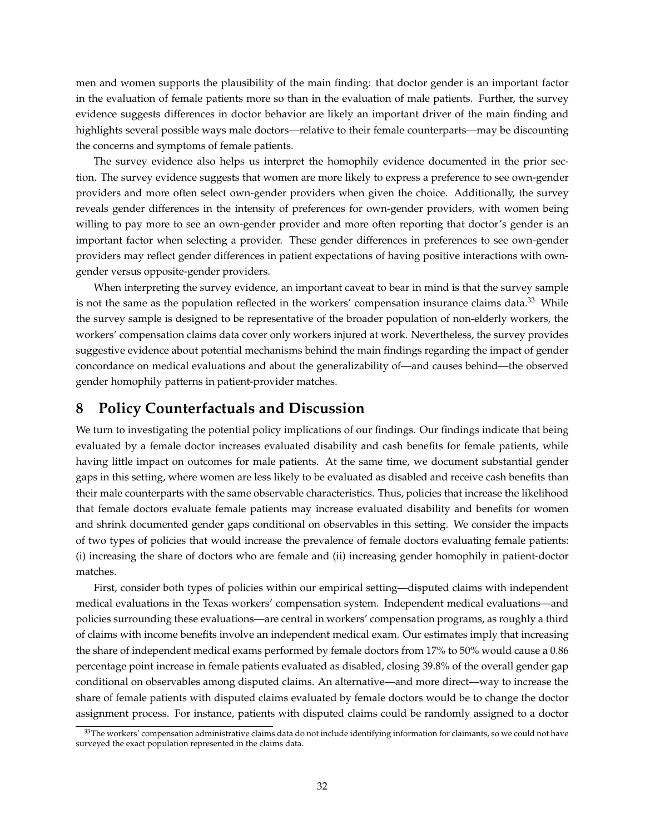men and women supports the plausibility of the main finding: that doctor gender is an important factor in the evaluation of female patients more so than in the evaluation of male patients. Further, the survey evidence suggests differences in doctor behavior are likely an important driver of the main finding and highlights several possible ways male doctors—relative to their female counterparts—may be discounting the concerns and symptoms of female patients.

The survey evidence also helps us interpret the homophily evidence documented in the prior section. The survey evidence suggests that women are more likely to express a preference to see own-gender providers and more often select own-gender providers when given the choice. Additionally, the survey reveals gender differences in the intensity of preferences for own-gender providers, with women being willing to pay more to see an own-gender provider and more often reporting that doctor's gender is an important factor when selecting a provider. These gender differences in preferences to see own-gender providers may reflect gender differences in patient expectations of having positive interactions with owngender versus opposite-gender providers.

When interpreting the survey evidence, an important caveat to bear in mind is that the survey sample is not the same as the population reflected in the workers' compensation insurance claims data.<sup>[33](#page-33-1)</sup> While the survey sample is designed to be representative of the broader population of non-elderly workers, the workers' compensation claims data cover only workers injured at work. Nevertheless, the survey provides suggestive evidence about potential mechanisms behind the main findings regarding the impact of gender concordance on medical evaluations and about the generalizability of—and causes behind—the observed gender homophily patterns in patient-provider matches.

# <span id="page-33-0"></span>**8 Policy Counterfactuals and Discussion**

We turn to investigating the potential policy implications of our findings. Our findings indicate that being evaluated by a female doctor increases evaluated disability and cash benefits for female patients, while having little impact on outcomes for male patients. At the same time, we document substantial gender gaps in this setting, where women are less likely to be evaluated as disabled and receive cash benefits than their male counterparts with the same observable characteristics. Thus, policies that increase the likelihood that female doctors evaluate female patients may increase evaluated disability and benefits for women and shrink documented gender gaps conditional on observables in this setting. We consider the impacts of two types of policies that would increase the prevalence of female doctors evaluating female patients: (i) increasing the share of doctors who are female and (ii) increasing gender homophily in patient-doctor matches.

First, consider both types of policies within our empirical setting—disputed claims with independent medical evaluations in the Texas workers' compensation system. Independent medical evaluations—and policies surrounding these evaluations—are central in workers' compensation programs, as roughly a third of claims with income benefits involve an independent medical exam. Our estimates imply that increasing the share of independent medical exams performed by female doctors from 17% to 50% would cause a 0.86 percentage point increase in female patients evaluated as disabled, closing 39.8% of the overall gender gap conditional on observables among disputed claims. An alternative—and more direct—way to increase the share of female patients with disputed claims evaluated by female doctors would be to change the doctor assignment process. For instance, patients with disputed claims could be randomly assigned to a doctor

<span id="page-33-1"></span><sup>&</sup>lt;sup>33</sup>The workers' compensation administrative claims data do not include identifying information for claimants, so we could not have surveyed the exact population represented in the claims data.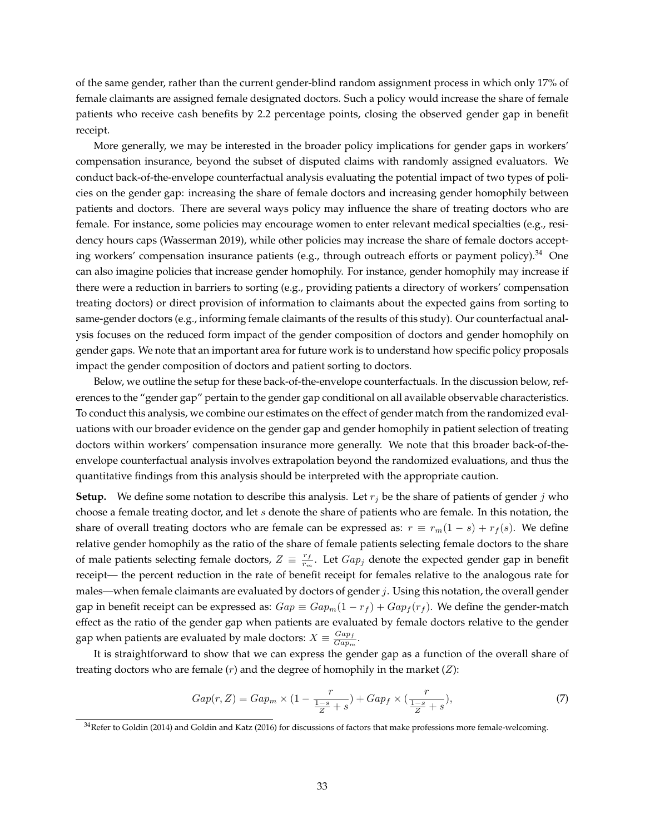of the same gender, rather than the current gender-blind random assignment process in which only 17% of female claimants are assigned female designated doctors. Such a policy would increase the share of female patients who receive cash benefits by 2.2 percentage points, closing the observed gender gap in benefit receipt.

More generally, we may be interested in the broader policy implications for gender gaps in workers' compensation insurance, beyond the subset of disputed claims with randomly assigned evaluators. We conduct back-of-the-envelope counterfactual analysis evaluating the potential impact of two types of policies on the gender gap: increasing the share of female doctors and increasing gender homophily between patients and doctors. There are several ways policy may influence the share of treating doctors who are female. For instance, some policies may encourage women to enter relevant medical specialties (e.g., residency hours caps [\(Wasserman 2019\)](#page-40-10), while other policies may increase the share of female doctors accept-ing workers' compensation insurance patients (e.g., through outreach efforts or payment policy). <sup>[34](#page-34-0)</sup> One can also imagine policies that increase gender homophily. For instance, gender homophily may increase if there were a reduction in barriers to sorting (e.g., providing patients a directory of workers' compensation treating doctors) or direct provision of information to claimants about the expected gains from sorting to same-gender doctors (e.g., informing female claimants of the results of this study). Our counterfactual analysis focuses on the reduced form impact of the gender composition of doctors and gender homophily on gender gaps. We note that an important area for future work is to understand how specific policy proposals impact the gender composition of doctors and patient sorting to doctors.

Below, we outline the setup for these back-of-the-envelope counterfactuals. In the discussion below, references to the "gender gap" pertain to the gender gap conditional on all available observable characteristics. To conduct this analysis, we combine our estimates on the effect of gender match from the randomized evaluations with our broader evidence on the gender gap and gender homophily in patient selection of treating doctors within workers' compensation insurance more generally. We note that this broader back-of-theenvelope counterfactual analysis involves extrapolation beyond the randomized evaluations, and thus the quantitative findings from this analysis should be interpreted with the appropriate caution.

**Setup.** We define some notation to describe this analysis. Let  $r_j$  be the share of patients of gender j who choose a female treating doctor, and let  $s$  denote the share of patients who are female. In this notation, the share of overall treating doctors who are female can be expressed as:  $r \equiv r_m(1-s) + r_f(s)$ . We define relative gender homophily as the ratio of the share of female patients selecting female doctors to the share of male patients selecting female doctors,  $Z = \frac{r_f}{r_m}$  $\frac{r_f}{r_m}$ . Let  $Gap_j$  denote the expected gender gap in benefit receipt— the percent reduction in the rate of benefit receipt for females relative to the analogous rate for males—when female claimants are evaluated by doctors of gender  $j$ . Using this notation, the overall gender gap in benefit receipt can be expressed as:  $Gap \equiv Gap_m(1-r_f)+Gap_f(r_f)$ . We define the gender-match effect as the ratio of the gender gap when patients are evaluated by female doctors relative to the gender gap when patients are evaluated by male doctors:  $X \equiv \frac{Gap_f}{Gen_m}$  $\frac{\mathrm{G}up_f}{\mathrm{G}ap_m}$  .

It is straightforward to show that we can express the gender gap as a function of the overall share of treating doctors who are female  $(r)$  and the degree of homophily in the market  $(Z)$ :

<span id="page-34-1"></span>
$$
Gap(r, Z) = Gap_m \times (1 - \frac{r}{\frac{1-s}{Z} + s}) + Gap_f \times (\frac{r}{\frac{1-s}{Z} + s}),
$$
\n(7)

<span id="page-34-0"></span> $34$ Refer to [Goldin](#page-38-16) [\(2014\)](#page-38-16) and [Goldin and Katz](#page-38-17) [\(2016\)](#page-38-17) for discussions of factors that make professions more female-welcoming.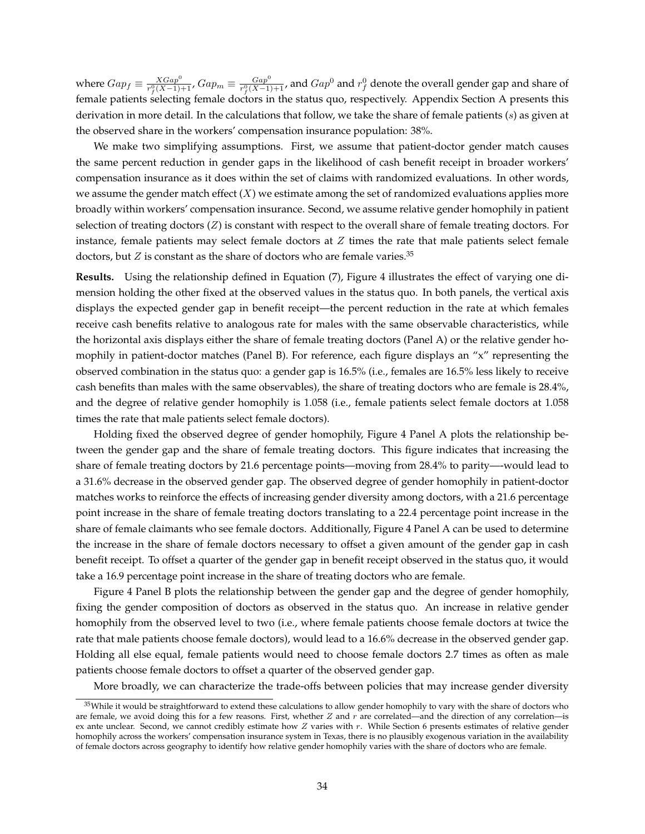where  $Gap_f \equiv \frac{XGap^0}{r^0(X-1)}$  $\frac{XGap^0}{r_f^0(X-1)+1}$ ,  $Gap_m \equiv \frac{Gap^0}{r_f^0(X-1)}$  $\frac{Gap^0}{r_f^0(X-1)+1}$ , and  $Gap^0$  and  $r_f^0$  denote the overall gender gap and share of female patients selecting female doctors in the status quo, respectively. Appendix Section [A](#page-58-0) presents this derivation in more detail. In the calculations that follow, we take the share of female patients (s) as given at the observed share in the workers' compensation insurance population: 38%.

We make two simplifying assumptions. First, we assume that patient-doctor gender match causes the same percent reduction in gender gaps in the likelihood of cash benefit receipt in broader workers' compensation insurance as it does within the set of claims with randomized evaluations. In other words, we assume the gender match effect  $(X)$  we estimate among the set of randomized evaluations applies more broadly within workers' compensation insurance. Second, we assume relative gender homophily in patient selection of treating doctors (Z) is constant with respect to the overall share of female treating doctors. For instance, female patients may select female doctors at  $Z$  times the rate that male patients select female doctors, but  $Z$  is constant as the share of doctors who are female varies.<sup>[35](#page-35-0)</sup>

**Results.** Using the relationship defined in Equation [\(7\)](#page-34-1), Figure [4](#page-44-0) illustrates the effect of varying one dimension holding the other fixed at the observed values in the status quo. In both panels, the vertical axis displays the expected gender gap in benefit receipt—the percent reduction in the rate at which females receive cash benefits relative to analogous rate for males with the same observable characteristics, while the horizontal axis displays either the share of female treating doctors (Panel A) or the relative gender homophily in patient-doctor matches (Panel B). For reference, each figure displays an "x" representing the observed combination in the status quo: a gender gap is 16.5% (i.e., females are 16.5% less likely to receive cash benefits than males with the same observables), the share of treating doctors who are female is 28.4%, and the degree of relative gender homophily is 1.058 (i.e., female patients select female doctors at 1.058 times the rate that male patients select female doctors).

Holding fixed the observed degree of gender homophily, Figure [4](#page-44-0) Panel A plots the relationship between the gender gap and the share of female treating doctors. This figure indicates that increasing the share of female treating doctors by 21.6 percentage points—moving from 28.4% to parity—-would lead to a 31.6% decrease in the observed gender gap. The observed degree of gender homophily in patient-doctor matches works to reinforce the effects of increasing gender diversity among doctors, with a 21.6 percentage point increase in the share of female treating doctors translating to a 22.4 percentage point increase in the share of female claimants who see female doctors. Additionally, Figure [4](#page-44-0) Panel A can be used to determine the increase in the share of female doctors necessary to offset a given amount of the gender gap in cash benefit receipt. To offset a quarter of the gender gap in benefit receipt observed in the status quo, it would take a 16.9 percentage point increase in the share of treating doctors who are female.

Figure [4](#page-44-0) Panel B plots the relationship between the gender gap and the degree of gender homophily, fixing the gender composition of doctors as observed in the status quo. An increase in relative gender homophily from the observed level to two (i.e., where female patients choose female doctors at twice the rate that male patients choose female doctors), would lead to a 16.6% decrease in the observed gender gap. Holding all else equal, female patients would need to choose female doctors 2.7 times as often as male patients choose female doctors to offset a quarter of the observed gender gap.

More broadly, we can characterize the trade-offs between policies that may increase gender diversity

<span id="page-35-0"></span><sup>&</sup>lt;sup>35</sup>While it would be straightforward to extend these calculations to allow gender homophily to vary with the share of doctors who are female, we avoid doing this for a few reasons. First, whether  $Z$  and  $r$  are correlated—and the direction of any correlation—is ex ante unclear. Second, we cannot credibly estimate how  $Z$  varies with  $r$ . While Section [6](#page-25-0) presents estimates of relative gender homophily across the workers' compensation insurance system in Texas, there is no plausibly exogenous variation in the availability of female doctors across geography to identify how relative gender homophily varies with the share of doctors who are female.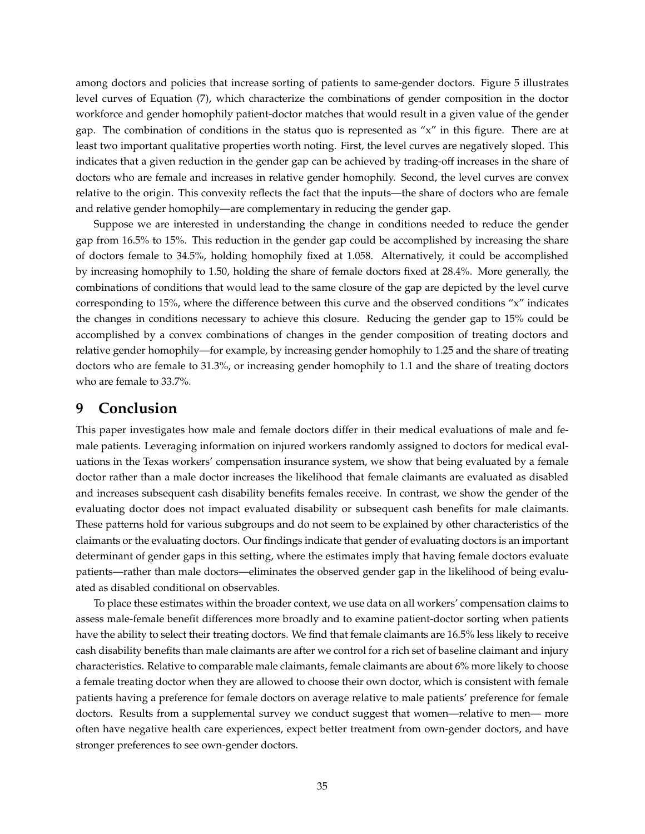among doctors and policies that increase sorting of patients to same-gender doctors. Figure [5](#page-45-0) illustrates level curves of Equation [\(7\)](#page-34-1), which characterize the combinations of gender composition in the doctor workforce and gender homophily patient-doctor matches that would result in a given value of the gender gap. The combination of conditions in the status quo is represented as "x" in this figure. There are at least two important qualitative properties worth noting. First, the level curves are negatively sloped. This indicates that a given reduction in the gender gap can be achieved by trading-off increases in the share of doctors who are female and increases in relative gender homophily. Second, the level curves are convex relative to the origin. This convexity reflects the fact that the inputs—the share of doctors who are female and relative gender homophily—are complementary in reducing the gender gap.

Suppose we are interested in understanding the change in conditions needed to reduce the gender gap from 16.5% to 15%. This reduction in the gender gap could be accomplished by increasing the share of doctors female to 34.5%, holding homophily fixed at 1.058. Alternatively, it could be accomplished by increasing homophily to 1.50, holding the share of female doctors fixed at 28.4%. More generally, the combinations of conditions that would lead to the same closure of the gap are depicted by the level curve corresponding to 15%, where the difference between this curve and the observed conditions "x" indicates the changes in conditions necessary to achieve this closure. Reducing the gender gap to 15% could be accomplished by a convex combinations of changes in the gender composition of treating doctors and relative gender homophily—for example, by increasing gender homophily to 1.25 and the share of treating doctors who are female to 31.3%, or increasing gender homophily to 1.1 and the share of treating doctors who are female to 33.7%.

# <span id="page-36-0"></span>**9 Conclusion**

This paper investigates how male and female doctors differ in their medical evaluations of male and female patients. Leveraging information on injured workers randomly assigned to doctors for medical evaluations in the Texas workers' compensation insurance system, we show that being evaluated by a female doctor rather than a male doctor increases the likelihood that female claimants are evaluated as disabled and increases subsequent cash disability benefits females receive. In contrast, we show the gender of the evaluating doctor does not impact evaluated disability or subsequent cash benefits for male claimants. These patterns hold for various subgroups and do not seem to be explained by other characteristics of the claimants or the evaluating doctors. Our findings indicate that gender of evaluating doctors is an important determinant of gender gaps in this setting, where the estimates imply that having female doctors evaluate patients—rather than male doctors—eliminates the observed gender gap in the likelihood of being evaluated as disabled conditional on observables.

To place these estimates within the broader context, we use data on all workers' compensation claims to assess male-female benefit differences more broadly and to examine patient-doctor sorting when patients have the ability to select their treating doctors. We find that female claimants are 16.5% less likely to receive cash disability benefits than male claimants are after we control for a rich set of baseline claimant and injury characteristics. Relative to comparable male claimants, female claimants are about 6% more likely to choose a female treating doctor when they are allowed to choose their own doctor, which is consistent with female patients having a preference for female doctors on average relative to male patients' preference for female doctors. Results from a supplemental survey we conduct suggest that women—relative to men— more often have negative health care experiences, expect better treatment from own-gender doctors, and have stronger preferences to see own-gender doctors.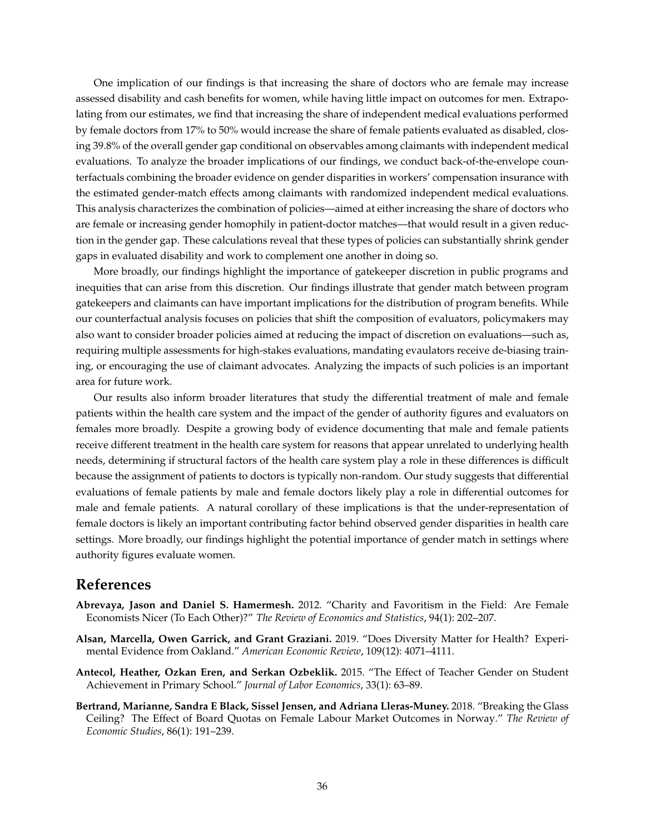One implication of our findings is that increasing the share of doctors who are female may increase assessed disability and cash benefits for women, while having little impact on outcomes for men. Extrapolating from our estimates, we find that increasing the share of independent medical evaluations performed by female doctors from 17% to 50% would increase the share of female patients evaluated as disabled, closing 39.8% of the overall gender gap conditional on observables among claimants with independent medical evaluations. To analyze the broader implications of our findings, we conduct back-of-the-envelope counterfactuals combining the broader evidence on gender disparities in workers' compensation insurance with the estimated gender-match effects among claimants with randomized independent medical evaluations. This analysis characterizes the combination of policies—aimed at either increasing the share of doctors who are female or increasing gender homophily in patient-doctor matches—that would result in a given reduction in the gender gap. These calculations reveal that these types of policies can substantially shrink gender gaps in evaluated disability and work to complement one another in doing so.

More broadly, our findings highlight the importance of gatekeeper discretion in public programs and inequities that can arise from this discretion. Our findings illustrate that gender match between program gatekeepers and claimants can have important implications for the distribution of program benefits. While our counterfactual analysis focuses on policies that shift the composition of evaluators, policymakers may also want to consider broader policies aimed at reducing the impact of discretion on evaluations—such as, requiring multiple assessments for high-stakes evaluations, mandating evaulators receive de-biasing training, or encouraging the use of claimant advocates. Analyzing the impacts of such policies is an important area for future work.

Our results also inform broader literatures that study the differential treatment of male and female patients within the health care system and the impact of the gender of authority figures and evaluators on females more broadly. Despite a growing body of evidence documenting that male and female patients receive different treatment in the health care system for reasons that appear unrelated to underlying health needs, determining if structural factors of the health care system play a role in these differences is difficult because the assignment of patients to doctors is typically non-random. Our study suggests that differential evaluations of female patients by male and female doctors likely play a role in differential outcomes for male and female patients. A natural corollary of these implications is that the under-representation of female doctors is likely an important contributing factor behind observed gender disparities in health care settings. More broadly, our findings highlight the potential importance of gender match in settings where authority figures evaluate women.

## **References**

- <span id="page-37-3"></span>**Abrevaya, Jason and Daniel S. Hamermesh.** 2012. "Charity and Favoritism in the Field: Are Female Economists Nicer (To Each Other)?" *The Review of Economics and Statistics*, 94(1): 202–207.
- <span id="page-37-0"></span>**Alsan, Marcella, Owen Garrick, and Grant Graziani.** 2019. "Does Diversity Matter for Health? Experimental Evidence from Oakland." *American Economic Review*, 109(12): 4071–4111.
- <span id="page-37-1"></span>**Antecol, Heather, Ozkan Eren, and Serkan Ozbeklik.** 2015. "The Effect of Teacher Gender on Student Achievement in Primary School." *Journal of Labor Economics*, 33(1): 63–89.
- <span id="page-37-2"></span>**Bertrand, Marianne, Sandra E Black, Sissel Jensen, and Adriana Lleras-Muney.** 2018. "Breaking the Glass Ceiling? The Effect of Board Quotas on Female Labour Market Outcomes in Norway." *The Review of Economic Studies*, 86(1): 191–239.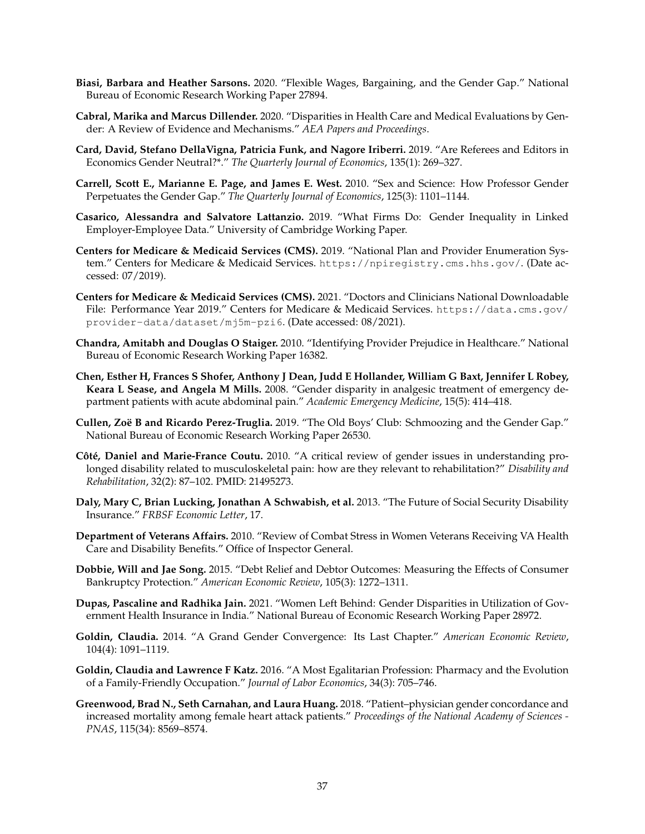- <span id="page-38-10"></span>**Biasi, Barbara and Heather Sarsons.** 2020. "Flexible Wages, Bargaining, and the Gender Gap." National Bureau of Economic Research Working Paper 27894.
- <span id="page-38-6"></span>**Cabral, Marika and Marcus Dillender.** 2020. "Disparities in Health Care and Medical Evaluations by Gender: A Review of Evidence and Mechanisms." *AEA Papers and Proceedings*.
- <span id="page-38-13"></span>**Card, David, Stefano DellaVigna, Patricia Funk, and Nagore Iriberri.** 2019. "Are Referees and Editors in Economics Gender Neutral?\*." *The Quarterly Journal of Economics*, 135(1): 269–327.
- <span id="page-38-9"></span>**Carrell, Scott E., Marianne E. Page, and James E. West.** 2010. "Sex and Science: How Professor Gender Perpetuates the Gender Gap." *The Quarterly Journal of Economics*, 125(3): 1101–1144.
- <span id="page-38-12"></span>**Casarico, Alessandra and Salvatore Lattanzio.** 2019. "What Firms Do: Gender Inequality in Linked Employer-Employee Data." University of Cambridge Working Paper.
- <span id="page-38-14"></span>**Centers for Medicare & Medicaid Services (CMS).** 2019. "National Plan and Provider Enumeration System." Centers for Medicare & Medicaid Services. <https://npiregistry.cms.hhs.gov/>. (Date accessed: 07/2019).
- <span id="page-38-15"></span>**Centers for Medicare & Medicaid Services (CMS).** 2021. "Doctors and Clinicians National Downloadable File: Performance Year 2019." Centers for Medicare & Medicaid Services. [https://data.cms.gov/](https://data.cms.gov/provider-data/dataset/mj5m-pzi6) [provider-data/dataset/mj5m-pzi6](https://data.cms.gov/provider-data/dataset/mj5m-pzi6). (Date accessed: 08/2021).
- <span id="page-38-4"></span>**Chandra, Amitabh and Douglas O Staiger.** 2010. "Identifying Provider Prejudice in Healthcare." National Bureau of Economic Research Working Paper 16382.
- <span id="page-38-0"></span>**Chen, Esther H, Frances S Shofer, Anthony J Dean, Judd E Hollander, William G Baxt, Jennifer L Robey, Keara L Sease, and Angela M Mills.** 2008. "Gender disparity in analgesic treatment of emergency department patients with acute abdominal pain." *Academic Emergency Medicine*, 15(5): 414–418.
- <span id="page-38-11"></span>**Cullen, Zoë B and Ricardo Perez-Truglia.** 2019. "The Old Boys' Club: Schmoozing and the Gender Gap." National Bureau of Economic Research Working Paper 26530.
- <span id="page-38-3"></span>Côté, Daniel and Marie-France Coutu. 2010. "A critical review of gender issues in understanding prolonged disability related to musculoskeletal pain: how are they relevant to rehabilitation?" *Disability and Rehabilitation*, 32(2): 87–102. PMID: 21495273.
- <span id="page-38-2"></span>**Daly, Mary C, Brian Lucking, Jonathan A Schwabish, et al.** 2013. "The Future of Social Security Disability Insurance." *FRBSF Economic Letter*, 17.
- <span id="page-38-1"></span>**Department of Veterans Affairs.** 2010. "Review of Combat Stress in Women Veterans Receiving VA Health Care and Disability Benefits." Office of Inspector General.
- <span id="page-38-8"></span>**Dobbie, Will and Jae Song.** 2015. "Debt Relief and Debtor Outcomes: Measuring the Effects of Consumer Bankruptcy Protection." *American Economic Review*, 105(3): 1272–1311.
- <span id="page-38-5"></span>**Dupas, Pascaline and Radhika Jain.** 2021. "Women Left Behind: Gender Disparities in Utilization of Government Health Insurance in India." National Bureau of Economic Research Working Paper 28972.
- <span id="page-38-16"></span>**Goldin, Claudia.** 2014. "A Grand Gender Convergence: Its Last Chapter." *American Economic Review*, 104(4): 1091–1119.
- <span id="page-38-17"></span>**Goldin, Claudia and Lawrence F Katz.** 2016. "A Most Egalitarian Profession: Pharmacy and the Evolution of a Family-Friendly Occupation." *Journal of Labor Economics*, 34(3): 705–746.
- <span id="page-38-7"></span>**Greenwood, Brad N., Seth Carnahan, and Laura Huang.** 2018. "Patient–physician gender concordance and increased mortality among female heart attack patients." *Proceedings of the National Academy of Sciences - PNAS*, 115(34): 8569–8574.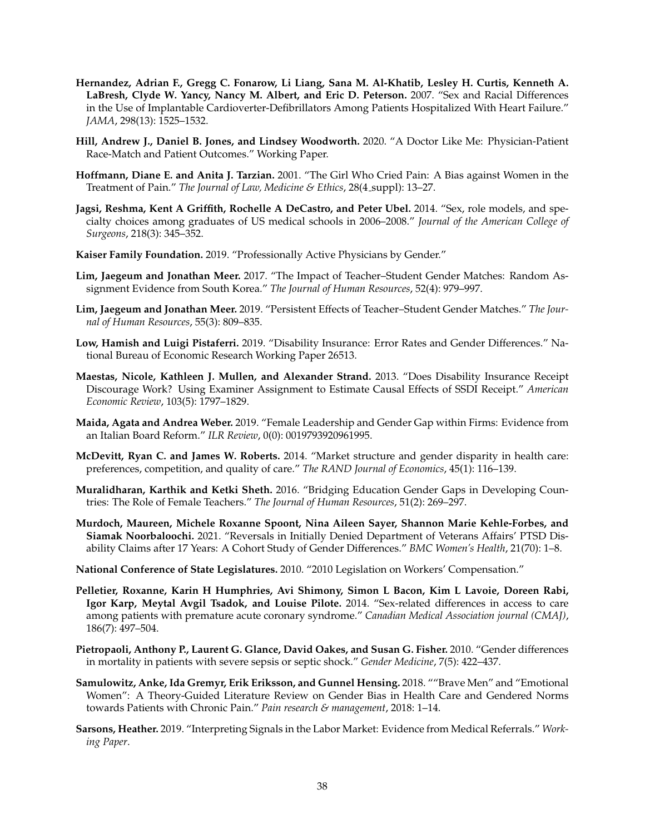- <span id="page-39-6"></span>**Hernandez, Adrian F., Gregg C. Fonarow, Li Liang, Sana M. Al-Khatib, Lesley H. Curtis, Kenneth A. LaBresh, Clyde W. Yancy, Nancy M. Albert, and Eric D. Peterson.** 2007. "Sex and Racial Differences in the Use of Implantable Cardioverter-Defibrillators Among Patients Hospitalized With Heart Failure." *JAMA*, 298(13): 1525–1532.
- <span id="page-39-10"></span>**Hill, Andrew J., Daniel B. Jones, and Lindsey Woodworth.** 2020. "A Doctor Like Me: Physician-Patient Race-Match and Patient Outcomes." Working Paper.
- <span id="page-39-3"></span>**Hoffmann, Diane E. and Anita J. Tarzian.** 2001. "The Girl Who Cried Pain: A Bias against Women in the Treatment of Pain." *The Journal of Law, Medicine & Ethics*, 28(4 suppl): 13–27.
- <span id="page-39-2"></span>**Jagsi, Reshma, Kent A Griffith, Rochelle A DeCastro, and Peter Ubel.** 2014. "Sex, role models, and specialty choices among graduates of US medical schools in 2006–2008." *Journal of the American College of Surgeons*, 218(3): 345–352.
- <span id="page-39-1"></span>**Kaiser Family Foundation.** 2019. "Professionally Active Physicians by Gender."
- <span id="page-39-16"></span>**Lim, Jaegeum and Jonathan Meer.** 2017. "The Impact of Teacher–Student Gender Matches: Random Assignment Evidence from South Korea." *The Journal of Human Resources*, 52(4): 979–997.
- <span id="page-39-14"></span>**Lim, Jaegeum and Jonathan Meer.** 2019. "Persistent Effects of Teacher–Student Gender Matches." *The Journal of Human Resources*, 55(3): 809–835.
- <span id="page-39-0"></span>**Low, Hamish and Luigi Pistaferri.** 2019. "Disability Insurance: Error Rates and Gender Differences." National Bureau of Economic Research Working Paper 26513.
- <span id="page-39-13"></span>**Maestas, Nicole, Kathleen J. Mullen, and Alexander Strand.** 2013. "Does Disability Insurance Receipt Discourage Work? Using Examiner Assignment to Estimate Causal Effects of SSDI Receipt." *American Economic Review*, 103(5): 1797–1829.
- <span id="page-39-17"></span>**Maida, Agata and Andrea Weber.** 2019. "Female Leadership and Gender Gap within Firms: Evidence from an Italian Board Reform." *ILR Review*, 0(0): 0019793920961995.
- <span id="page-39-11"></span>**McDevitt, Ryan C. and James W. Roberts.** 2014. "Market structure and gender disparity in health care: preferences, competition, and quality of care." *The RAND Journal of Economics*, 45(1): 116–139.
- <span id="page-39-15"></span>**Muralidharan, Karthik and Ketki Sheth.** 2016. "Bridging Education Gender Gaps in Developing Countries: The Role of Female Teachers." *The Journal of Human Resources*, 51(2): 269–297.
- <span id="page-39-5"></span>**Murdoch, Maureen, Michele Roxanne Spoont, Nina Aileen Sayer, Shannon Marie Kehle-Forbes, and Siamak Noorbaloochi.** 2021. "Reversals in Initially Denied Department of Veterans Affairs' PTSD Disability Claims after 17 Years: A Cohort Study of Gender Differences." *BMC Women's Health*, 21(70): 1–8.
- <span id="page-39-4"></span>**National Conference of State Legislatures.** 2010. "2010 Legislation on Workers' Compensation."
- <span id="page-39-7"></span>**Pelletier, Roxanne, Karin H Humphries, Avi Shimony, Simon L Bacon, Kim L Lavoie, Doreen Rabi, Igor Karp, Meytal Avgil Tsadok, and Louise Pilote.** 2014. "Sex-related differences in access to care among patients with premature acute coronary syndrome." *Canadian Medical Association journal (CMAJ)*, 186(7): 497–504.
- <span id="page-39-8"></span>**Pietropaoli, Anthony P., Laurent G. Glance, David Oakes, and Susan G. Fisher.** 2010. "Gender differences in mortality in patients with severe sepsis or septic shock." *Gender Medicine*, 7(5): 422–437.
- <span id="page-39-9"></span>**Samulowitz, Anke, Ida Gremyr, Erik Eriksson, and Gunnel Hensing.** 2018. ""Brave Men" and "Emotional Women": A Theory-Guided Literature Review on Gender Bias in Health Care and Gendered Norms towards Patients with Chronic Pain." *Pain research & management*, 2018: 1–14.
- <span id="page-39-12"></span>**Sarsons, Heather.** 2019. "Interpreting Signals in the Labor Market: Evidence from Medical Referrals." *Working Paper*.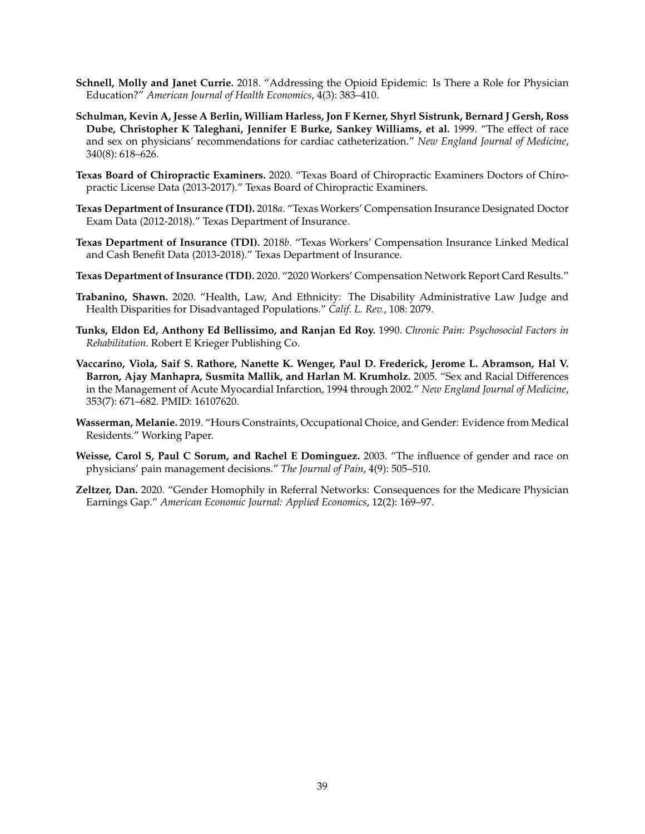- <span id="page-40-11"></span>**Schnell, Molly and Janet Currie.** 2018. "Addressing the Opioid Epidemic: Is There a Role for Physician Education?" *American Journal of Health Economics*, 4(3): 383–410.
- <span id="page-40-0"></span>**Schulman, Kevin A, Jesse A Berlin, William Harless, Jon F Kerner, Shyrl Sistrunk, Bernard J Gersh, Ross Dube, Christopher K Taleghani, Jennifer E Burke, Sankey Williams, et al.** 1999. "The effect of race and sex on physicians' recommendations for cardiac catheterization." *New England Journal of Medicine*, 340(8): 618–626.
- <span id="page-40-9"></span>**Texas Board of Chiropractic Examiners.** 2020. "Texas Board of Chiropractic Examiners Doctors of Chiropractic License Data (2013-2017)." Texas Board of Chiropractic Examiners.
- <span id="page-40-7"></span>**Texas Department of Insurance (TDI).** 2018*a*. "Texas Workers' Compensation Insurance Designated Doctor Exam Data (2012-2018)." Texas Department of Insurance.
- <span id="page-40-8"></span>**Texas Department of Insurance (TDI).** 2018*b*. "Texas Workers' Compensation Insurance Linked Medical and Cash Benefit Data (2013-2018)." Texas Department of Insurance.
- <span id="page-40-6"></span>**Texas Department of Insurance (TDI).** 2020. "2020 Workers' Compensation Network Report Card Results."
- <span id="page-40-2"></span>**Trabanino, Shawn.** 2020. "Health, Law, And Ethnicity: The Disability Administrative Law Judge and Health Disparities for Disadvantaged Populations." *Calif. L. Rev.*, 108: 2079.
- <span id="page-40-1"></span>**Tunks, Eldon Ed, Anthony Ed Bellissimo, and Ranjan Ed Roy.** 1990. *Chronic Pain: Psychosocial Factors in Rehabilitation.* Robert E Krieger Publishing Co.
- <span id="page-40-3"></span>**Vaccarino, Viola, Saif S. Rathore, Nanette K. Wenger, Paul D. Frederick, Jerome L. Abramson, Hal V. Barron, Ajay Manhapra, Susmita Mallik, and Harlan M. Krumholz.** 2005. "Sex and Racial Differences in the Management of Acute Myocardial Infarction, 1994 through 2002." *New England Journal of Medicine*, 353(7): 671–682. PMID: 16107620.
- <span id="page-40-10"></span>**Wasserman, Melanie.** 2019. "Hours Constraints, Occupational Choice, and Gender: Evidence from Medical Residents." Working Paper.
- <span id="page-40-4"></span>**Weisse, Carol S, Paul C Sorum, and Rachel E Dominguez.** 2003. "The influence of gender and race on physicians' pain management decisions." *The Journal of Pain*, 4(9): 505–510.
- <span id="page-40-5"></span>**Zeltzer, Dan.** 2020. "Gender Homophily in Referral Networks: Consequences for the Medicare Physician Earnings Gap." *American Economic Journal: Applied Economics*, 12(2): 169–97.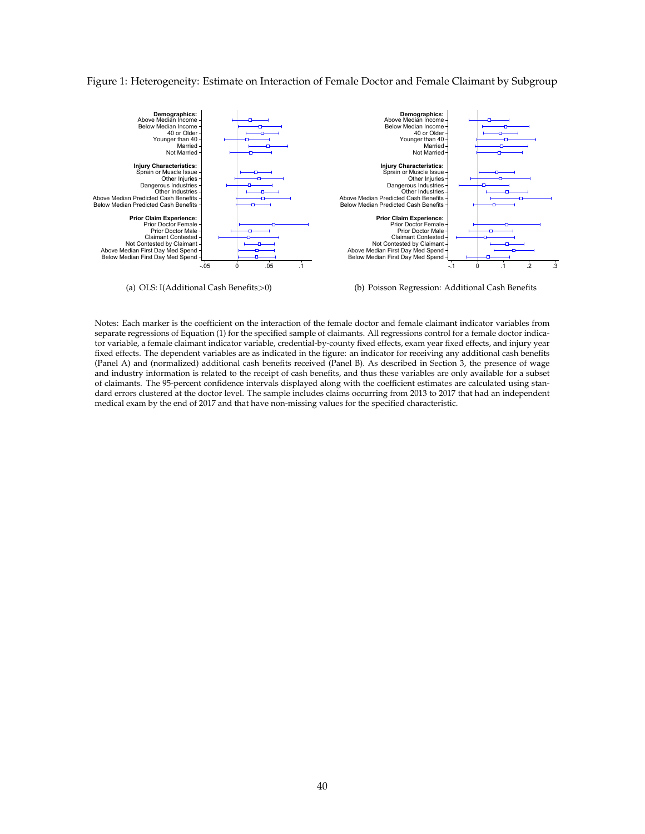#### <span id="page-41-0"></span>Figure 1: Heterogeneity: Estimate on Interaction of Female Doctor and Female Claimant by Subgroup



(a) OLS: I(Additional Cash Benefits>0)

(b) Poisson Regression: Additional Cash Benefits

Notes: Each marker is the coefficient on the interaction of the female doctor and female claimant indicator variables from separate regressions of Equation [\(1\)](#page-17-0) for the specified sample of claimants. All regressions control for a female doctor indicator variable, a female claimant indicator variable, credential-by-county fixed effects, exam year fixed effects, and injury year fixed effects. The dependent variables are as indicated in the figure: an indicator for receiving any additional cash benefits (Panel A) and (normalized) additional cash benefits received (Panel B). As described in Section [3,](#page-9-0) the presence of wage and industry information is related to the receipt of cash benefits, and thus these variables are only available for a subset of claimants. The 95-percent confidence intervals displayed along with the coefficient estimates are calculated using standard errors clustered at the doctor level. The sample includes claims occurring from 2013 to 2017 that had an independent medical exam by the end of 2017 and that have non-missing values for the specified characteristic.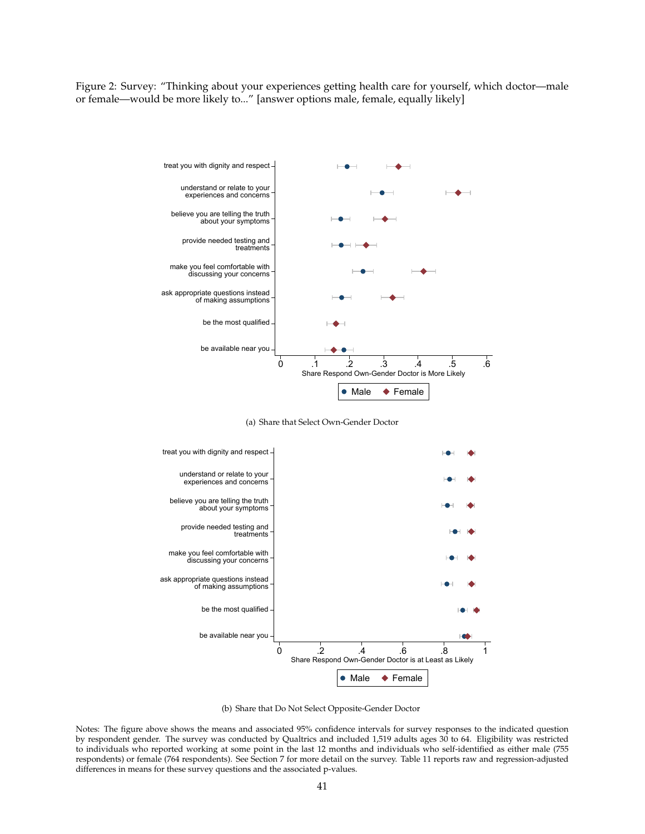<span id="page-42-0"></span>Figure 2: Survey: "Thinking about your experiences getting health care for yourself, which doctor—male or female—would be more likely to..." [answer options male, female, equally likely]



(a) Share that Select Own-Gender Doctor



(b) Share that Do Not Select Opposite-Gender Doctor

Notes: The figure above shows the means and associated 95% confidence intervals for survey responses to the indicated question by respondent gender. The survey was conducted by Qualtrics and included 1,519 adults ages 30 to 64. Eligibility was restricted to individuals who reported working at some point in the last 12 months and individuals who self-identified as either male (755 respondents) or female (764 respondents). See Section [7](#page-27-0) for more detail on the survey. Table [11](#page-56-0) reports raw and regression-adjusted differences in means for these survey questions and the associated p-values.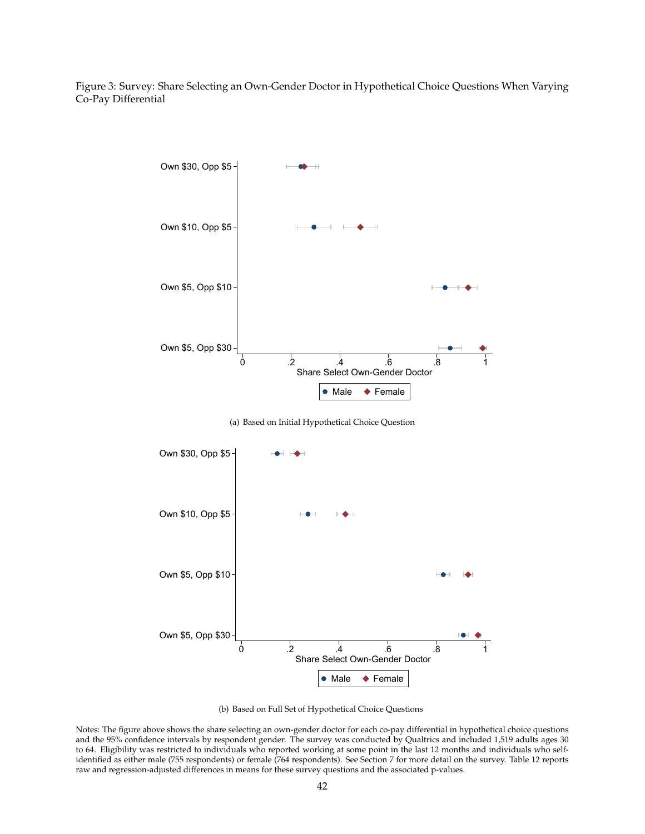<span id="page-43-0"></span>Figure 3: Survey: Share Selecting an Own-Gender Doctor in Hypothetical Choice Questions When Varying Co-Pay Differential



(a) Based on Initial Hypothetical Choice Question



(b) Based on Full Set of Hypothetical Choice Questions

Notes: The figure above shows the share selecting an own-gender doctor for each co-pay differential in hypothetical choice questions and the 95% confidence intervals by respondent gender. The survey was conducted by Qualtrics and included 1,519 adults ages 30 to 64. Eligibility was restricted to individuals who reported working at some point in the last 12 months and individuals who selfidentified as either male (755 respondents) or female (764 respondents). See Section [7](#page-27-0) for more detail on the survey. Table [12](#page-57-0) reports raw and regression-adjusted differences in means for these survey questions and the associated p-values.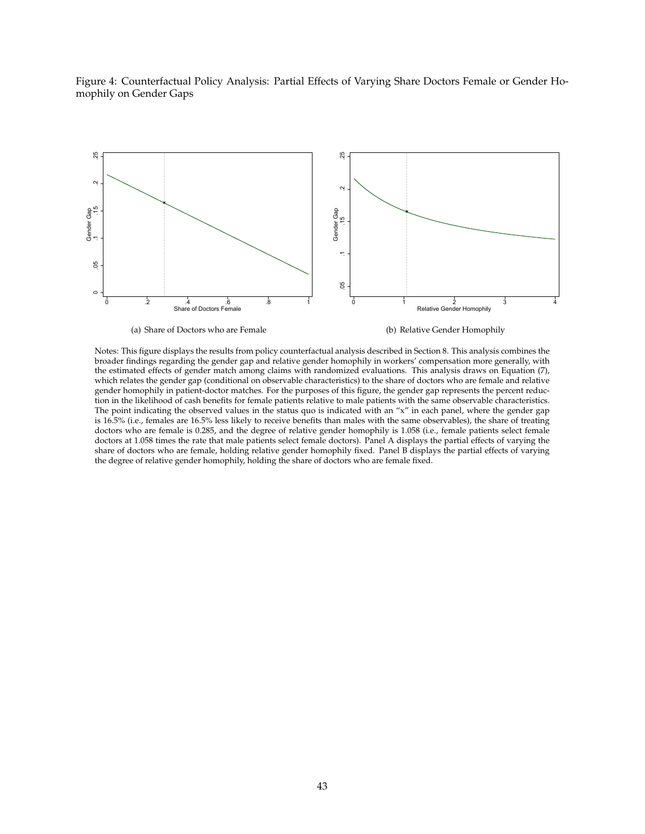<span id="page-44-0"></span>



Notes: This figure displays the results from policy counterfactual analysis described in Section [8.](#page-33-0) This analysis combines the broader findings regarding the gender gap and relative gender homophily in workers' compensation more generally, with the estimated effects of gender match among claims with randomized evaluations. This analysis draws on Equation [\(7\)](#page-34-1), which relates the gender gap (conditional on observable characteristics) to the share of doctors who are female and relative gender homophily in patient-doctor matches. For the purposes of this figure, the gender gap represents the percent reduction in the likelihood of cash benefits for female patients relative to male patients with the same observable characteristics. The point indicating the observed values in the status quo is indicated with an " $x$ " in each panel, where the gender gap is 16.5% (i.e., females are 16.5% less likely to receive benefits than males with the same observables), the share of treating doctors who are female is 0.285, and the degree of relative gender homophily is 1.058 (i.e., female patients select female doctors at 1.058 times the rate that male patients select female doctors). Panel A displays the partial effects of varying the share of doctors who are female, holding relative gender homophily fixed. Panel B displays the partial effects of varying the degree of relative gender homophily, holding the share of doctors who are female fixed.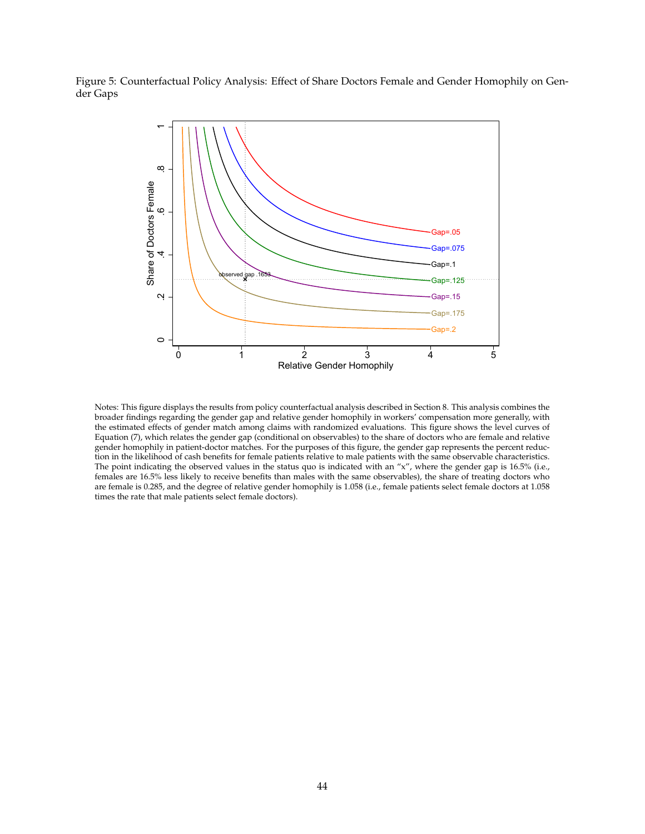<span id="page-45-0"></span>Figure 5: Counterfactual Policy Analysis: Effect of Share Doctors Female and Gender Homophily on Gender Gaps



Notes: This figure displays the results from policy counterfactual analysis described in Section [8.](#page-33-0) This analysis combines the broader findings regarding the gender gap and relative gender homophily in workers' compensation more generally, with the estimated effects of gender match among claims with randomized evaluations. This figure shows the level curves of Equation [\(7\)](#page-34-1), which relates the gender gap (conditional on observables) to the share of doctors who are female and relative gender homophily in patient-doctor matches. For the purposes of this figure, the gender gap represents the percent reduction in the likelihood of cash benefits for female patients relative to male patients with the same observable characteristics. The point indicating the observed values in the status quo is indicated with an " $x$ ", where the gender gap is 16.5% (i.e., females are 16.5% less likely to receive benefits than males with the same observables), the share of treating doctors who are female is 0.285, and the degree of relative gender homophily is 1.058 (i.e., female patients select female doctors at 1.058 times the rate that male patients select female doctors).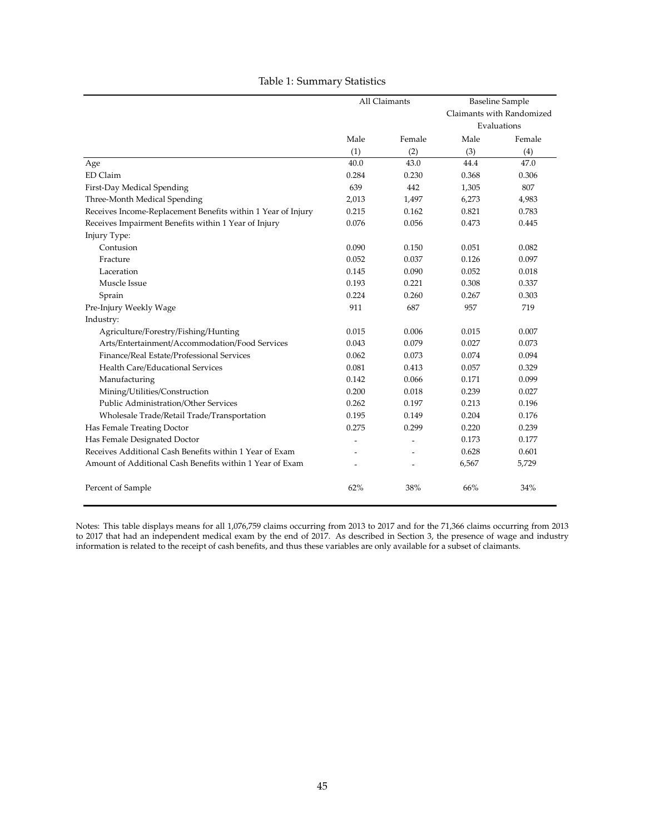<span id="page-46-0"></span>

|                                                              |       | All Claimants |       | <b>Baseline Sample</b>    |
|--------------------------------------------------------------|-------|---------------|-------|---------------------------|
|                                                              |       |               |       | Claimants with Randomized |
|                                                              |       |               |       | Evaluations               |
|                                                              | Male  | Female        | Male  | Female                    |
|                                                              | (1)   | (2)           | (3)   | (4)                       |
| Age                                                          | 40.0  | 43.0          | 44.4  | 47.0                      |
| ED Claim                                                     | 0.284 | 0.230         | 0.368 | 0.306                     |
| First-Day Medical Spending                                   | 639   | 442           | 1,305 | 807                       |
| Three-Month Medical Spending                                 | 2,013 | 1,497         | 6,273 | 4,983                     |
| Receives Income-Replacement Benefits within 1 Year of Injury | 0.215 | 0.162         | 0.821 | 0.783                     |
| Receives Impairment Benefits within 1 Year of Injury         | 0.076 | 0.056         | 0.473 | 0.445                     |
| Injury Type:                                                 |       |               |       |                           |
| Contusion                                                    | 0.090 | 0.150         | 0.051 | 0.082                     |
| Fracture                                                     | 0.052 | 0.037         | 0.126 | 0.097                     |
| Laceration                                                   | 0.145 | 0.090         | 0.052 | 0.018                     |
| Muscle Issue                                                 | 0.193 | 0.221         | 0.308 | 0.337                     |
| Sprain                                                       | 0.224 | 0.260         | 0.267 | 0.303                     |
| Pre-Injury Weekly Wage                                       | 911   | 687           | 957   | 719                       |
| Industry:                                                    |       |               |       |                           |
| Agriculture/Forestry/Fishing/Hunting                         | 0.015 | 0.006         | 0.015 | 0.007                     |
| Arts/Entertainment/Accommodation/Food Services               | 0.043 | 0.079         | 0.027 | 0.073                     |
| Finance/Real Estate/Professional Services                    | 0.062 | 0.073         | 0.074 | 0.094                     |
| Health Care/Educational Services                             | 0.081 | 0.413         | 0.057 | 0.329                     |
| Manufacturing                                                | 0.142 | 0.066         | 0.171 | 0.099                     |
| Mining/Utilities/Construction                                | 0.200 | 0.018         | 0.239 | 0.027                     |
| Public Administration/Other Services                         | 0.262 | 0.197         | 0.213 | 0.196                     |
| Wholesale Trade/Retail Trade/Transportation                  | 0.195 | 0.149         | 0.204 | 0.176                     |
| Has Female Treating Doctor                                   | 0.275 | 0.299         | 0.220 | 0.239                     |
| Has Female Designated Doctor                                 |       |               | 0.173 | 0.177                     |
| Receives Additional Cash Benefits within 1 Year of Exam      |       |               | 0.628 | 0.601                     |
| Amount of Additional Cash Benefits within 1 Year of Exam     |       |               | 6,567 | 5,729                     |
| Percent of Sample                                            | 62%   | 38%           | 66%   | 34%                       |

#### Table 1: Summary Statistics

Notes: This table displays means for all 1,076,759 claims occurring from 2013 to 2017 and for the 71,366 claims occurring from 2013 to 2017 that had an independent medical exam by the end of 2017. As described in Section [3,](#page-9-0) the presence of wage and industry information is related to the receipt of cash benefits, and thus these variables are only available for a subset of claimants.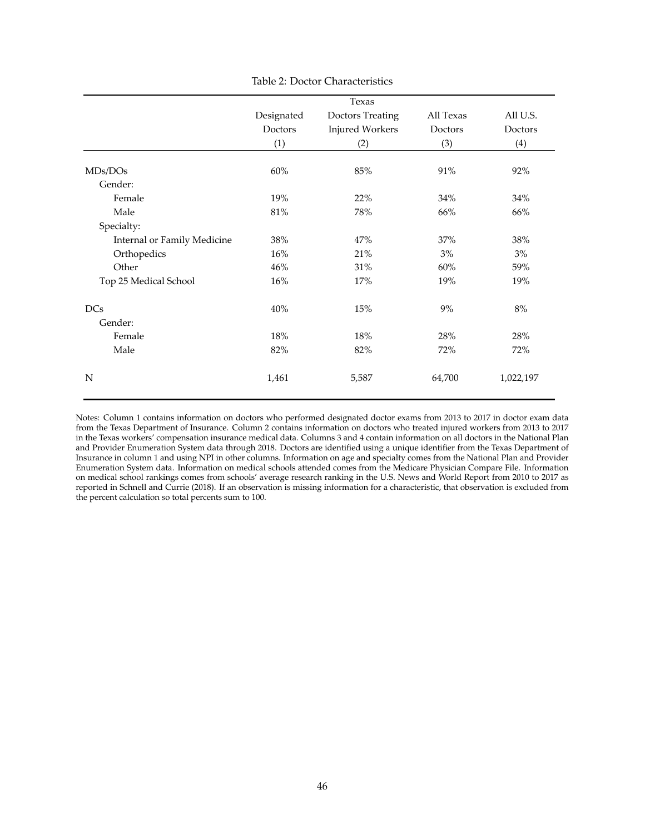<span id="page-47-0"></span>

|                             |            | Texas                   |           |           |
|-----------------------------|------------|-------------------------|-----------|-----------|
|                             | Designated | <b>Doctors Treating</b> | All Texas | All U.S.  |
|                             | Doctors    | <b>Injured Workers</b>  | Doctors   | Doctors   |
|                             | (1)        | (2)                     | (3)       | (4)       |
| MDs/DOs                     | 60%        | $85\%$                  | 91%       | 92%       |
| Gender:                     |            |                         |           |           |
| Female                      | 19%        | 22%                     | 34%       | 34%       |
| Male                        | 81%        | 78%                     | 66%       | 66%       |
| Specialty:                  |            |                         |           |           |
| Internal or Family Medicine | 38%        | 47%                     | 37%       | 38%       |
| Orthopedics                 | 16%        | 21%                     | 3%        | $3\%$     |
| Other                       | 46%        | 31%                     | 60%       | 59%       |
| Top 25 Medical School       | 16%        | 17%                     | 19%       | 19%       |
| <b>DCs</b>                  | 40%        | 15%                     | 9%        | $8%$      |
| Gender:                     |            |                         |           |           |
| Female                      | 18%        | 18%                     | 28%       | 28%       |
| Male                        | 82%        | 82%                     | 72%       | 72%       |
| N                           | 1,461      | 5,587                   | 64,700    | 1,022,197 |

Table 2: Doctor Characteristics

Notes: Column 1 contains information on doctors who performed designated doctor exams from 2013 to 2017 in doctor exam data from the Texas Department of Insurance. Column 2 contains information on doctors who treated injured workers from 2013 to 2017 in the Texas workers' compensation insurance medical data. Columns 3 and 4 contain information on all doctors in the National Plan and Provider Enumeration System data through 2018. Doctors are identified using a unique identifier from the Texas Department of Insurance in column 1 and using NPI in other columns. Information on age and specialty comes from the National Plan and Provider Enumeration System data. Information on medical schools attended comes from the Medicare Physician Compare File. Information on medical school rankings comes from schools' average research ranking in the U.S. News and World Report from 2010 to 2017 as reported in [Schnell and Currie](#page-40-11) [\(2018\)](#page-40-11). If an observation is missing information for a characteristic, that observation is excluded from the percent calculation so total percents sum to 100.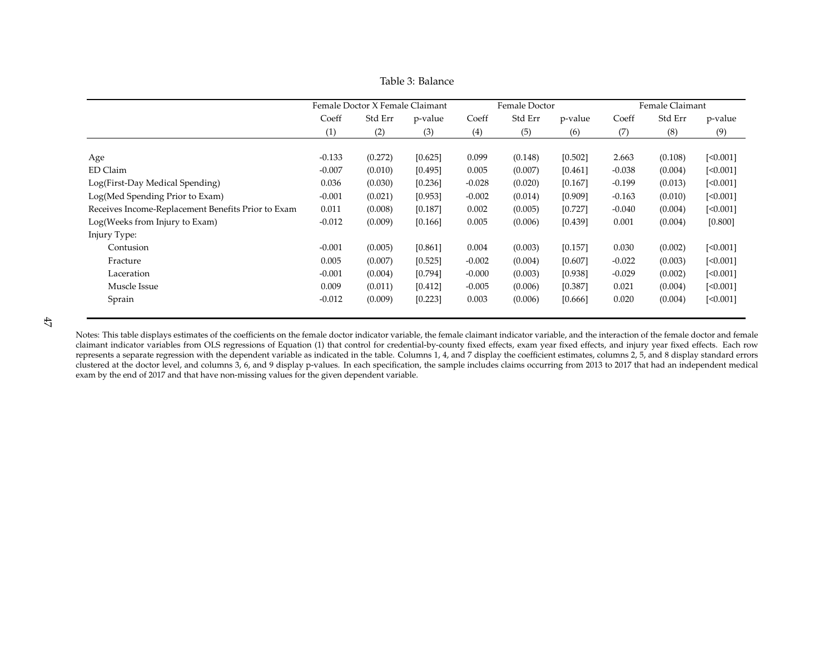|                                                    |          | Female Doctor X Female Claimant |         |          | Female Doctor |         |          | Female Claimant |          |
|----------------------------------------------------|----------|---------------------------------|---------|----------|---------------|---------|----------|-----------------|----------|
|                                                    | Coeff    | Std Err                         | p-value | Coeff    | Std Err       | p-value | Coeff    | Std Err         | p-value  |
|                                                    | (1)      | (2)                             | (3)     | (4)      | (5)           | (6)     | (7)      | (8)             | (9)      |
|                                                    |          |                                 |         |          |               |         |          |                 |          |
| Age                                                | $-0.133$ | (0.272)                         | [0.625] | 0.099    | (0.148)       | [0.502] | 2.663    | (0.108)         | [<0.001] |
| ED Claim                                           | $-0.007$ | (0.010)                         | [0.495] | 0.005    | (0.007)       | [0.461] | $-0.038$ | (0.004)         | [<0.001] |
| Log(First-Day Medical Spending)                    | 0.036    | (0.030)                         | [0.236] | $-0.028$ | (0.020)       | [0.167] | $-0.199$ | (0.013)         | [<0.001] |
| Log(Med Spending Prior to Exam)                    | $-0.001$ | (0.021)                         | [0.953] | $-0.002$ | (0.014)       | [0.909] | $-0.163$ | (0.010)         | [<0.001] |
| Receives Income-Replacement Benefits Prior to Exam | 0.011    | (0.008)                         | [0.187] | 0.002    | (0.005)       | [0.727] | $-0.040$ | (0.004)         | [<0.001] |
| Log(Weeks from Injury to Exam)                     | $-0.012$ | (0.009)                         | [0.166] | 0.005    | (0.006)       | [0.439] | 0.001    | (0.004)         | [0.800]  |
| Injury Type:                                       |          |                                 |         |          |               |         |          |                 |          |
| Contusion                                          | $-0.001$ | (0.005)                         | [0.861] | 0.004    | (0.003)       | [0.157] | 0.030    | (0.002)         | [<0.001] |
| Fracture                                           | 0.005    | (0.007)                         | [0.525] | $-0.002$ | (0.004)       | [0.607] | $-0.022$ | (0.003)         | [<0.001] |
| Laceration                                         | $-0.001$ | (0.004)                         | [0.794] | $-0.000$ | (0.003)       | [0.938] | $-0.029$ | (0.002)         | [<0.001] |
| Muscle Issue                                       | 0.009    | (0.011)                         | [0.412] | $-0.005$ | (0.006)       | [0.387] | 0.021    | (0.004)         | [<0.001] |
| Sprain                                             | $-0.012$ | (0.009)                         | [0.223] | 0.003    | (0.006)       | [0.666] | 0.020    | (0.004)         | [<0.001] |
|                                                    |          |                                 |         |          |               |         |          |                 |          |

Table 3: Balance

<span id="page-48-0"></span>Notes: This table displays estimates of the coefficients on the female doctor indicator variable, the female claimant indicator variable, and the interaction of the female doctor and female claimant indicator variables from OLS regressions of Equation [\(1\)](#page-17-3) that control for credential-by-county fixed effects, exam year fixed effects, and injury year fixed effects. Each row represents <sup>a</sup> separate regression with the dependent variable as indicated in the table. Columns 1, 4, and <sup>7</sup> display the coefficient estimates, columns 2, 5, and 8 display standard errors clustered at the doctor level, and columns 3, 6, and 9 display p-values. In each specification, the sample includes claims occurring from 2013 to 2017 that had an independent medical exam by the end of 2017 and that have non-missing values for the given dependent variable.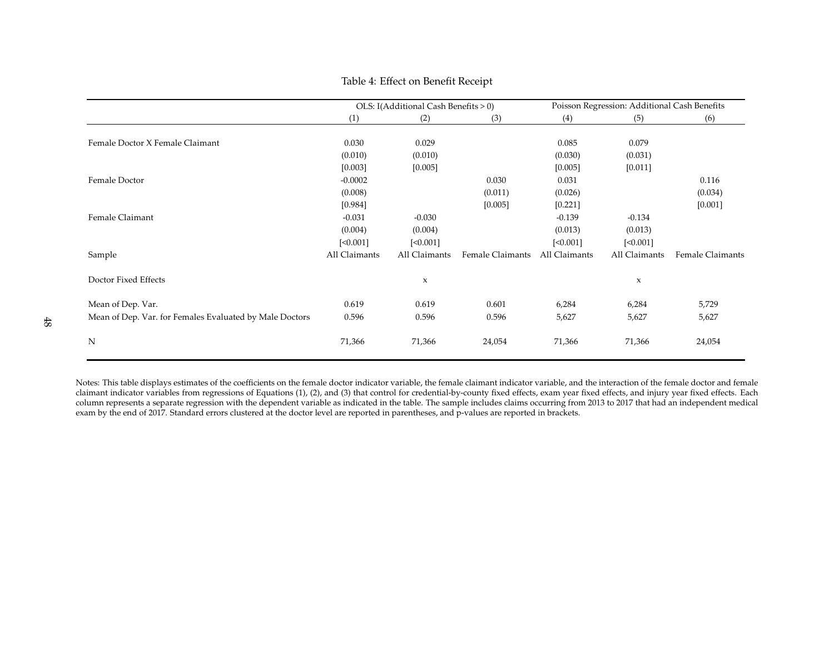### <span id="page-49-0"></span>Table 4: Effect on Benefit Receipt

|                                                         |               | OLS: I(Additional Cash Benefits > 0) |                  |               | Poisson Regression: Additional Cash Benefits |                  |
|---------------------------------------------------------|---------------|--------------------------------------|------------------|---------------|----------------------------------------------|------------------|
|                                                         | (1)           | (2)                                  | (3)              | (4)           | (5)                                          | (6)              |
| Female Doctor X Female Claimant                         | 0.030         | 0.029                                |                  | 0.085         | 0.079                                        |                  |
|                                                         | (0.010)       | (0.010)                              |                  | (0.030)       | (0.031)                                      |                  |
|                                                         | [0.003]       | [0.005]                              |                  | [0.005]       | [0.011]                                      |                  |
| Female Doctor                                           | $-0.0002$     |                                      | 0.030            | 0.031         |                                              | 0.116            |
|                                                         | (0.008)       |                                      | (0.011)          | (0.026)       |                                              | (0.034)          |
|                                                         | [0.984]       |                                      | [0.005]          | [0.221]       |                                              | [0.001]          |
| Female Claimant                                         | $-0.031$      | $-0.030$                             |                  | $-0.139$      | $-0.134$                                     |                  |
|                                                         | (0.004)       | (0.004)                              |                  | (0.013)       | (0.013)                                      |                  |
|                                                         | [<0.001]      | [<0.001]                             |                  | [<0.001]      | [<0.001]                                     |                  |
| Sample                                                  | All Claimants | All Claimants                        | Female Claimants | All Claimants | All Claimants                                | Female Claimants |
| Doctor Fixed Effects                                    |               | X                                    |                  |               | X                                            |                  |
| Mean of Dep. Var.                                       | 0.619         | 0.619                                | 0.601            | 6,284         | 6,284                                        | 5,729            |
| Mean of Dep. Var. for Females Evaluated by Male Doctors | 0.596         | 0.596                                | 0.596            | 5,627         | 5,627                                        | 5,627            |
| N                                                       | 71,366        | 71,366                               | 24,054           | 71,366        | 71,366                                       | 24,054           |

Notes: This table displays estimates of the coefficients on the female doctor indicator variable, the female claimant indicator variable, and the interaction of the female doctor and female claimant indicator variables from regressions of Equations [\(1\)](#page-17-3), [\(2\)](#page-17-4), and [\(3\)](#page-17-5) that control for credential-by-county fixed effects, exam year fixed effects, and injury year fixed effects. Each column represents <sup>a</sup> separate regression with the dependent variable as indicated in the table. The sample includes claims occurring from 2013 to 2017 that had an independent medicalexam by the end of 2017. Standard errors clustered at the doctor level are reported in parentheses, and p-values are reported in brackets.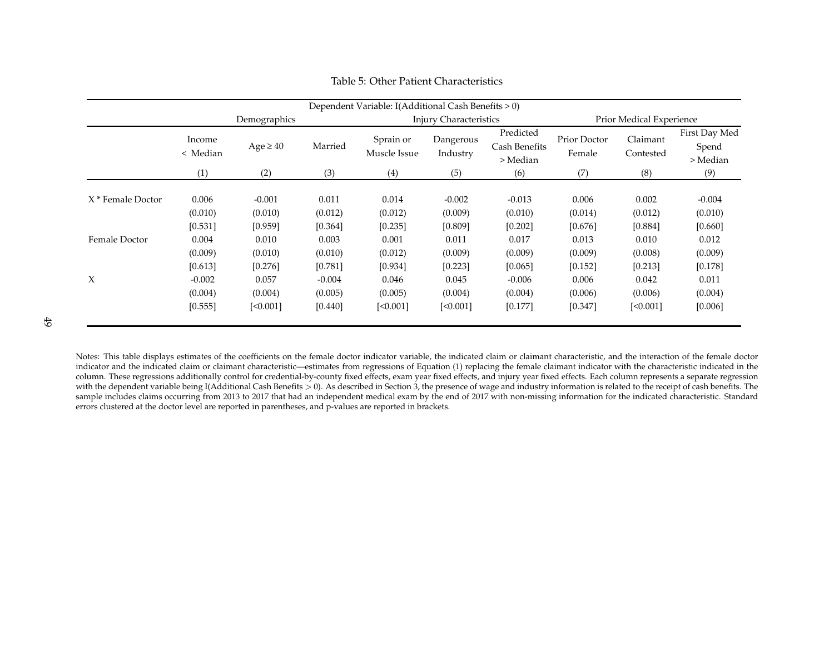|                              |                                           |                                         |                                           | Dependent Variable: I(Additional Cash Benefits > 0) |                                         |                                           |                                        |                                         |                                        |  |
|------------------------------|-------------------------------------------|-----------------------------------------|-------------------------------------------|-----------------------------------------------------|-----------------------------------------|-------------------------------------------|----------------------------------------|-----------------------------------------|----------------------------------------|--|
|                              |                                           | Demographics                            |                                           |                                                     | <b>Injury Characteristics</b>           |                                           | Prior Medical Experience               |                                         |                                        |  |
|                              | Income<br>< Median                        | $Age \geq 40$<br>Married                |                                           | Sprain or<br>Dangerous<br>Muscle Issue<br>Industry  |                                         | Predicted<br>Cash Benefits<br>> Median    | Prior Doctor<br>Female                 | Claimant<br>Contested                   | First Day Med<br>Spend<br>> Median     |  |
|                              | (1)                                       | (2)                                     | (3)                                       | (4)                                                 | (5)                                     | (6)                                       | (7)                                    | (8)                                     | (9)                                    |  |
| X <sup>*</sup> Female Doctor | 0.006<br>(0.010)                          | $-0.001$<br>(0.010)                     | 0.011<br>(0.012)                          | 0.014<br>(0.012)                                    | $-0.002$<br>(0.009)                     | $-0.013$<br>(0.010)                       | 0.006<br>(0.014)                       | 0.002<br>(0.012)                        | $-0.004$<br>(0.010)                    |  |
| Female Doctor                | [0.531]<br>0.004<br>(0.009)               | [0.959]<br>0.010<br>(0.010)             | [0.364]<br>0.003<br>(0.010)               | [0.235]<br>0.001<br>(0.012)                         | [0.809]<br>0.011<br>(0.009)             | [0.202]<br>0.017<br>(0.009)               | [0.676]<br>0.013<br>(0.009)            | [0.884]<br>0.010<br>(0.008)             | [0.660]<br>0.012<br>(0.009)            |  |
| $\boldsymbol{\chi}$          | [0.613]<br>$-0.002$<br>(0.004)<br>[0.555] | [0.276]<br>0.057<br>(0.004)<br>[<0.001] | [0.781]<br>$-0.004$<br>(0.005)<br>[0.440] | [0.934]<br>0.046<br>(0.005)<br>[<0.001]             | [0.223]<br>0.045<br>(0.004)<br>[<0.001] | [0.065]<br>$-0.006$<br>(0.004)<br>[0.177] | [0.152]<br>0.006<br>(0.006)<br>[0.347] | [0.213]<br>0.042<br>(0.006)<br>[<0.001] | [0.178]<br>0.011<br>(0.004)<br>[0.006] |  |

#### Table 5: Other Patient Characteristics

<span id="page-50-0"></span>Notes: This table displays estimates of the coefficients on the female doctor indicator variable, the indicated claim or claimant characteristic, and the interaction of the female doctorindicator and the indicated claim or claimant characteristic—estimates from regressions of Equation [\(1\)](#page-17-3) replacing the female claimant indicator with the characteristic indicated in the column. These regressions additionally control for credential-by-county fixed effects, exam year fixed effects, and injury year fixed effects. Each column represents <sup>a</sup> separate regressionwith the dependent variable being I(Additional Cash Benefits > 0). As described in Section 3, the presence of wage and industry information is related to the receipt of cash benefits. Th sample includes claims occurring from 2013 to 2017 that had an independent medical exam by the end of 2017 with non-missing information for the indicated characteristic. Standard errors clustered at the doctor level are reported in parentheses, and p-values are reported in brackets.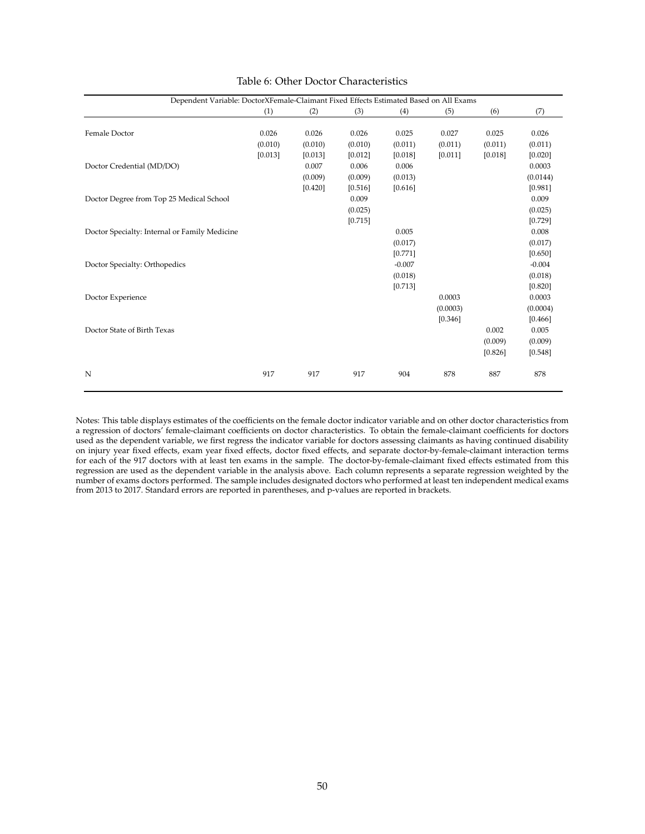<span id="page-51-0"></span>

| Dependent Variable: DoctorXFemale-Claimant Fixed Effects Estimated Based on All Exams |         |         |         |          |          |         |          |
|---------------------------------------------------------------------------------------|---------|---------|---------|----------|----------|---------|----------|
|                                                                                       | (1)     | (2)     | (3)     | (4)      | (5)      | (6)     | (7)      |
| Female Doctor                                                                         | 0.026   | 0.026   | 0.026   | 0.025    | 0.027    | 0.025   | 0.026    |
|                                                                                       | (0.010) | (0.010) | (0.010) | (0.011)  | (0.011)  | (0.011) | (0.011)  |
|                                                                                       | [0.013] | [0.013] | [0.012] | [0.018]  | [0.011]  | [0.018] | [0.020]  |
| Doctor Credential (MD/DO)                                                             |         | 0.007   | 0.006   | 0.006    |          |         | 0.0003   |
|                                                                                       |         | (0.009) | (0.009) | (0.013)  |          |         | (0.0144) |
|                                                                                       |         | [0.420] | [0.516] | [0.616]  |          |         | [0.981]  |
| Doctor Degree from Top 25 Medical School                                              |         |         | 0.009   |          |          |         | 0.009    |
|                                                                                       |         |         | (0.025) |          |          |         | (0.025)  |
|                                                                                       |         |         | [0.715] |          |          |         | [0.729]  |
| Doctor Specialty: Internal or Family Medicine                                         |         |         |         | 0.005    |          |         | 0.008    |
|                                                                                       |         |         |         | (0.017)  |          |         | (0.017)  |
|                                                                                       |         |         |         | [0.771]  |          |         | [0.650]  |
| Doctor Specialty: Orthopedics                                                         |         |         |         | $-0.007$ |          |         | $-0.004$ |
|                                                                                       |         |         |         | (0.018)  |          |         | (0.018)  |
|                                                                                       |         |         |         | [0.713]  |          |         | [0.820]  |
| Doctor Experience                                                                     |         |         |         |          | 0.0003   |         | 0.0003   |
|                                                                                       |         |         |         |          | (0.0003) |         | (0.0004) |
|                                                                                       |         |         |         |          | [0.346]  |         | [0.466]  |
| Doctor State of Birth Texas                                                           |         |         |         |          |          | 0.002   | 0.005    |
|                                                                                       |         |         |         |          |          | (0.009) | (0.009)  |
|                                                                                       |         |         |         |          |          | [0.826] | [0.548]  |
| N                                                                                     | 917     | 917     | 917     | 904      | 878      | 887     | 878      |

#### Table 6: Other Doctor Characteristics

Notes: This table displays estimates of the coefficients on the female doctor indicator variable and on other doctor characteristics from a regression of doctors' female-claimant coefficients on doctor characteristics. To obtain the female-claimant coefficients for doctors used as the dependent variable, we first regress the indicator variable for doctors assessing claimants as having continued disability on injury year fixed effects, exam year fixed effects, doctor fixed effects, and separate doctor-by-female-claimant interaction terms for each of the 917 doctors with at least ten exams in the sample. The doctor-by-female-claimant fixed effects estimated from this regression are used as the dependent variable in the analysis above. Each column represents a separate regression weighted by the number of exams doctors performed. The sample includes designated doctors who performed at least ten independent medical exams from 2013 to 2017. Standard errors are reported in parentheses, and p-values are reported in brackets.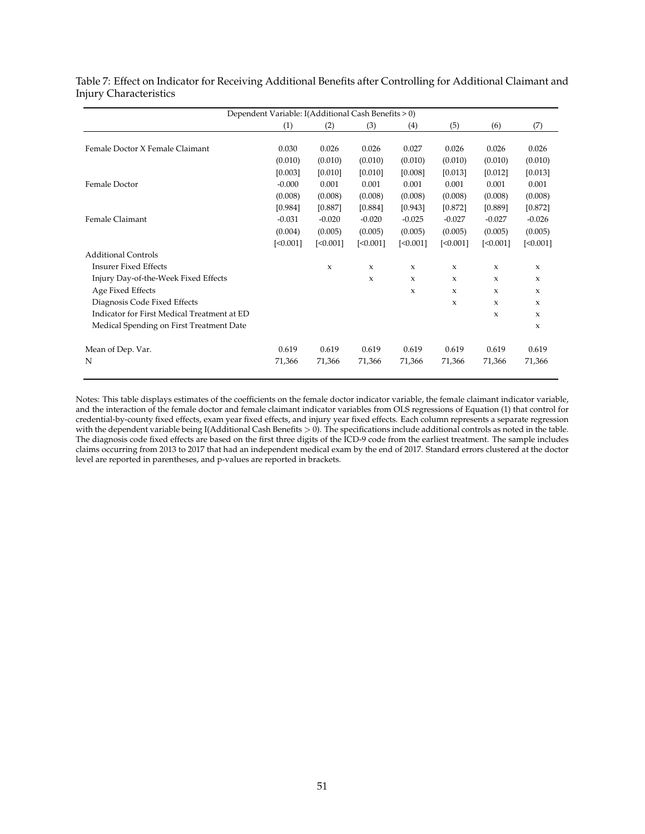|                                             | Dependent Variable: I(Additional Cash Benefits > 0) |          |                           |                           |              |              |             |
|---------------------------------------------|-----------------------------------------------------|----------|---------------------------|---------------------------|--------------|--------------|-------------|
|                                             | (1)                                                 | (2)      | (3)                       | (4)                       | (5)          | (6)          | (7)         |
|                                             |                                                     |          |                           |                           |              |              |             |
| Female Doctor X Female Claimant             | 0.030                                               | 0.026    | 0.026                     | 0.027                     | 0.026        | 0.026        | 0.026       |
|                                             | (0.010)                                             | (0.010)  | (0.010)                   | (0.010)                   | (0.010)      | (0.010)      | (0.010)     |
|                                             | [0.003]                                             | [0.010]  | [0.010]                   | [0.008]                   | [0.013]      | [0.012]      | [0.013]     |
| Female Doctor                               | $-0.000$                                            | 0.001    | 0.001                     | 0.001                     | 0.001        | 0.001        | 0.001       |
|                                             | (0.008)                                             | (0.008)  | (0.008)                   | (0.008)                   | (0.008)      | (0.008)      | (0.008)     |
|                                             | [0.984]                                             | [0.887]  | [0.884]                   | [0.943]                   | [0.872]      | [0.889]      | [0.872]     |
| Female Claimant                             | $-0.031$                                            | $-0.020$ | $-0.020$                  | $-0.025$                  | $-0.027$     | $-0.027$     | $-0.026$    |
|                                             | (0.004)                                             | (0.005)  | (0.005)                   | (0.005)                   | (0.005)      | (0.005)      | (0.005)     |
|                                             | [<0.001]                                            | [<0.001] | [<0.001]                  | [<0.001]                  | [<0.001]     | [<0.001]     | [<0.001]    |
| <b>Additional Controls</b>                  |                                                     |          |                           |                           |              |              |             |
| <b>Insurer Fixed Effects</b>                |                                                     | X        | $\mathbf{x}$              | $\mathbf{x}$              | $\mathbf{x}$ | $\mathbf x$  | $\mathbf x$ |
| Injury Day-of-the-Week Fixed Effects        |                                                     |          | $\boldsymbol{\mathsf{x}}$ | $\boldsymbol{\mathsf{x}}$ | $\mathbf{x}$ | $\mathbf x$  | $\mathbf x$ |
| Age Fixed Effects                           |                                                     |          |                           | $\mathbf x$               | $\mathbf{x}$ | $\mathbf x$  | $\mathbf x$ |
| Diagnosis Code Fixed Effects                |                                                     |          |                           |                           | X            | $\mathbf{x}$ | $\mathbf x$ |
| Indicator for First Medical Treatment at ED |                                                     |          |                           |                           |              | $\mathbf{x}$ | $\mathbf x$ |
| Medical Spending on First Treatment Date    |                                                     |          |                           |                           |              |              | $\mathbf x$ |
| Mean of Dep. Var.                           | 0.619                                               | 0.619    | 0.619                     | 0.619                     | 0.619        | 0.619        | 0.619       |
| N                                           | 71,366                                              | 71,366   | 71,366                    | 71,366                    | 71,366       | 71,366       | 71,366      |

<span id="page-52-0"></span>Table 7: Effect on Indicator for Receiving Additional Benefits after Controlling for Additional Claimant and Injury Characteristics

Notes: This table displays estimates of the coefficients on the female doctor indicator variable, the female claimant indicator variable, and the interaction of the female doctor and female claimant indicator variables from OLS regressions of Equation [\(1\)](#page-17-0) that control for credential-by-county fixed effects, exam year fixed effects, and injury year fixed effects. Each column represents a separate regression with the dependent variable being I(Additional Cash Benefits  $> 0$ ). The specifications include additional controls as noted in the table. The diagnosis code fixed effects are based on the first three digits of the ICD-9 code from the earliest treatment. The sample includes claims occurring from 2013 to 2017 that had an independent medical exam by the end of 2017. Standard errors clustered at the doctor level are reported in parentheses, and p-values are reported in brackets.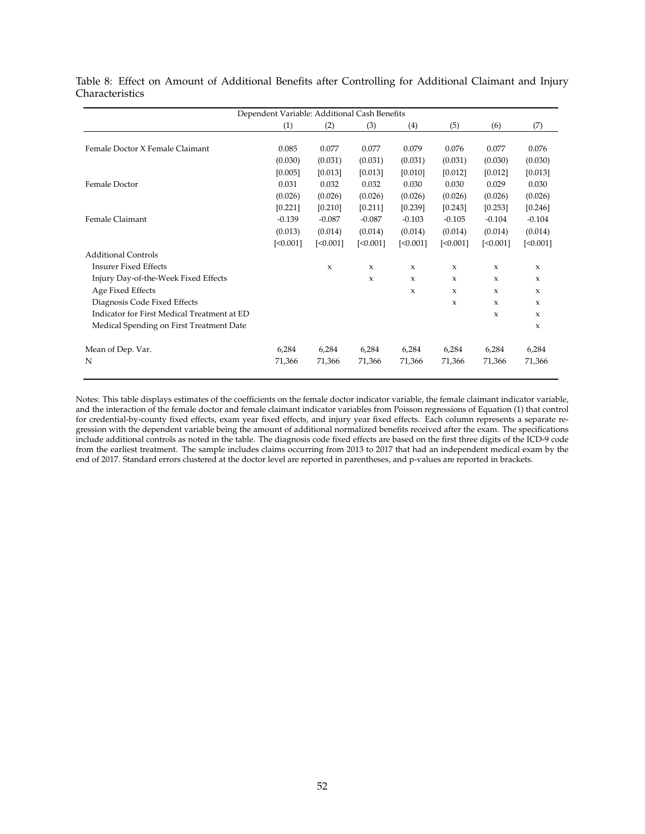|                                             | Dependent Variable: Additional Cash Benefits |             |              |              |              |              |              |
|---------------------------------------------|----------------------------------------------|-------------|--------------|--------------|--------------|--------------|--------------|
|                                             | (1)                                          | (2)         | (3)          | (4)          | (5)          | (6)          | (7)          |
|                                             |                                              |             |              |              |              |              |              |
| Female Doctor X Female Claimant             | 0.085                                        | 0.077       | 0.077        | 0.079        | 0.076        | 0.077        | 0.076        |
|                                             | (0.030)                                      | (0.031)     | (0.031)      | (0.031)      | (0.031)      | (0.030)      | (0.030)      |
|                                             | [0.005]                                      | [0.013]     | [0.013]      | [0.010]      | [0.012]      | [0.012]      | [0.013]      |
| Female Doctor                               | 0.031                                        | 0.032       | 0.032        | 0.030        | 0.030        | 0.029        | 0.030        |
|                                             | (0.026)                                      | (0.026)     | (0.026)      | (0.026)      | (0.026)      | (0.026)      | (0.026)      |
|                                             | [0.221]                                      | [0.210]     | [0.211]      | [0.239]      | [0.243]      | [0.253]      | [0.246]      |
| Female Claimant                             | $-0.139$                                     | $-0.087$    | $-0.087$     | $-0.103$     | $-0.105$     | $-0.104$     | $-0.104$     |
|                                             | (0.013)                                      | (0.014)     | (0.014)      | (0.014)      | (0.014)      | (0.014)      | (0.014)      |
|                                             | [<0.001]                                     | [<0.001]    | [<0.001]     | [<0.001]     | [<0.001]     | [<0.001]     | [<0.001]     |
| <b>Additional Controls</b>                  |                                              |             |              |              |              |              |              |
| <b>Insurer Fixed Effects</b>                |                                              | $\mathbf x$ | $\mathbf{x}$ | $\mathbf x$  | $\mathbf{x}$ | $\mathbf{x}$ | $\mathbf{x}$ |
| Injury Day-of-the-Week Fixed Effects        |                                              |             | X            | X            | $\mathbf{x}$ | $\mathbf{x}$ | $\mathbf x$  |
| Age Fixed Effects                           |                                              |             |              | $\mathbf{x}$ | $\mathbf{x}$ | $\mathbf{x}$ | $\mathbf x$  |
| Diagnosis Code Fixed Effects                |                                              |             |              |              | $\mathbf{x}$ | $\mathbf{x}$ | $\mathbf x$  |
| Indicator for First Medical Treatment at ED |                                              |             |              |              |              | $\mathbf{x}$ | $\mathbf x$  |
| Medical Spending on First Treatment Date    |                                              |             |              |              |              |              | $\mathbf x$  |
| Mean of Dep. Var.                           | 6,284                                        | 6,284       | 6,284        | 6,284        | 6,284        | 6,284        | 6,284        |
| N                                           | 71,366                                       | 71,366      | 71,366       | 71,366       | 71,366       | 71,366       | 71,366       |

<span id="page-53-0"></span>Table 8: Effect on Amount of Additional Benefits after Controlling for Additional Claimant and Injury Characteristics

Notes: This table displays estimates of the coefficients on the female doctor indicator variable, the female claimant indicator variable, and the interaction of the female doctor and female claimant indicator variables from Poisson regressions of Equation [\(1\)](#page-17-0) that control for credential-by-county fixed effects, exam year fixed effects, and injury year fixed effects. Each column represents a separate regression with the dependent variable being the amount of additional normalized benefits received after the exam. The specifications include additional controls as noted in the table. The diagnosis code fixed effects are based on the first three digits of the ICD-9 code from the earliest treatment. The sample includes claims occurring from 2013 to 2017 that had an independent medical exam by the end of 2017. Standard errors clustered at the doctor level are reported in parentheses, and p-values are reported in brackets.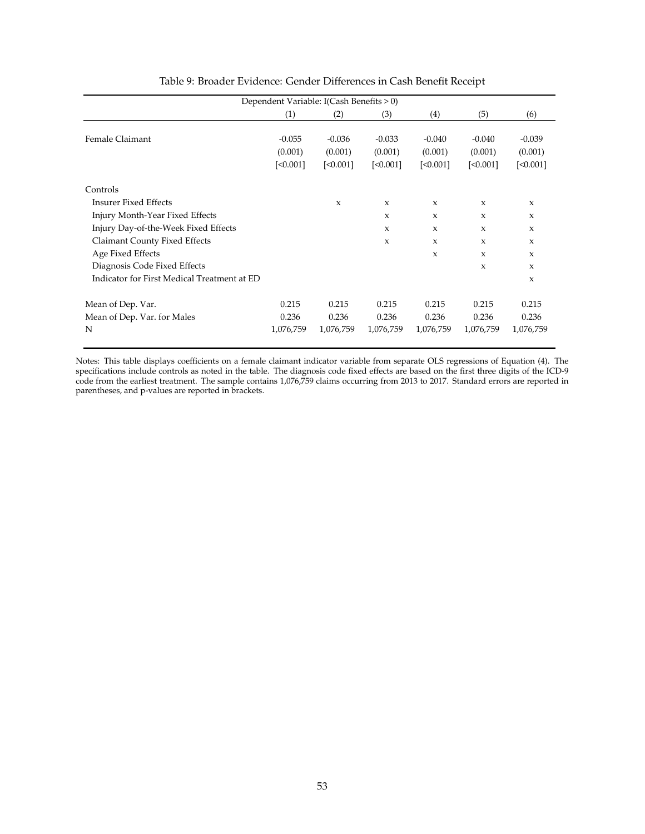<span id="page-54-0"></span>

|                                             |           | Dependent Variable: I(Cash Benefits > 0) |              |              |              |              |
|---------------------------------------------|-----------|------------------------------------------|--------------|--------------|--------------|--------------|
|                                             | (1)       | (2)                                      | (3)          | (4)          | (5)          | (6)          |
|                                             |           |                                          |              |              |              |              |
| Female Claimant                             | $-0.055$  | $-0.036$                                 | $-0.033$     | $-0.040$     | $-0.040$     | $-0.039$     |
|                                             | (0.001)   | (0.001)                                  | (0.001)      | (0.001)      | (0.001)      | (0.001)      |
|                                             | [<0.001]  | [<0.001]                                 | [<0.001]     | [<0.001]     | [<0.001]     | [<0.001]     |
| Controls                                    |           |                                          |              |              |              |              |
| <b>Insurer Fixed Effects</b>                |           | X                                        | x            | $\mathbf{x}$ | $\mathbf{x}$ | $\mathbf{x}$ |
| Injury Month-Year Fixed Effects             |           |                                          | $\mathbf{x}$ | $\mathbf{x}$ | $\mathbf{x}$ | $\mathbf{x}$ |
| Injury Day-of-the-Week Fixed Effects        |           |                                          | X            | $\mathbf{x}$ | $\mathbf{x}$ | $\mathbf{x}$ |
| Claimant County Fixed Effects               |           |                                          | $\mathbf{x}$ | $\mathbf{x}$ | $\mathbf{x}$ | $\mathbf{x}$ |
| Age Fixed Effects                           |           |                                          |              | $\mathbf{x}$ | $\mathbf{x}$ | $\mathbf{x}$ |
| Diagnosis Code Fixed Effects                |           |                                          |              |              | X            | $\mathbf x$  |
| Indicator for First Medical Treatment at ED |           |                                          |              |              |              | $\mathbf{x}$ |
| Mean of Dep. Var.                           | 0.215     | 0.215                                    | 0.215        | 0.215        | 0.215        | 0.215        |
| Mean of Dep. Var. for Males                 | 0.236     | 0.236                                    | 0.236        | 0.236        | 0.236        | 0.236        |
| N                                           | 1,076,759 | 1,076,759                                | 1,076,759    | 1,076,759    | 1,076,759    | 1,076,759    |

#### Table 9: Broader Evidence: Gender Differences in Cash Benefit Receipt

Notes: This table displays coefficients on a female claimant indicator variable from separate OLS regressions of Equation [\(4\)](#page-25-1). The specifications include controls as noted in the table. The diagnosis code fixed effects are based on the first three digits of the ICD-9 code from the earliest treatment. The sample contains 1,076,759 claims occurring from 2013 to 2017. Standard errors are reported in parentheses, and p-values are reported in brackets.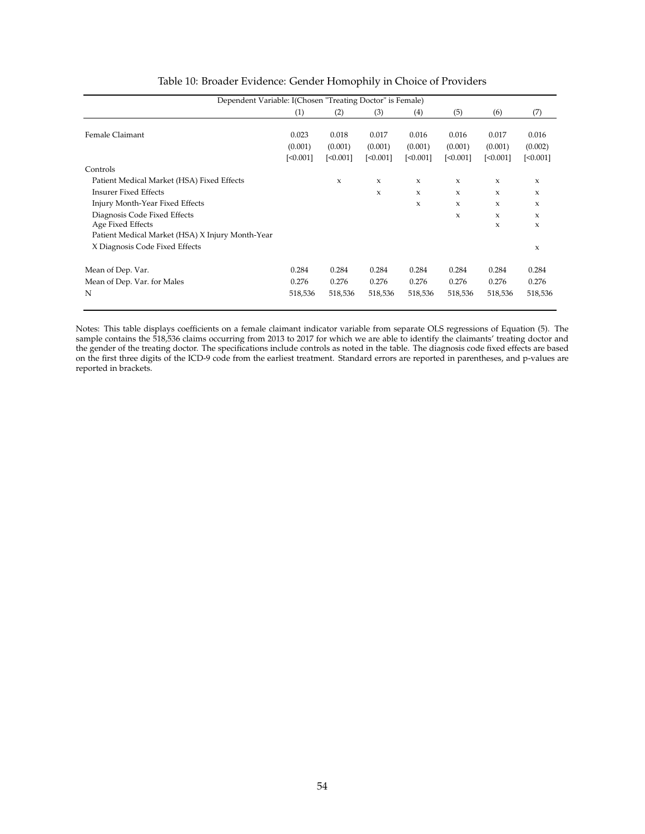<span id="page-55-0"></span>

| Dependent Variable: I(Chosen "Treating Doctor" is Female) |          |          |          |          |              |                     |              |
|-----------------------------------------------------------|----------|----------|----------|----------|--------------|---------------------|--------------|
|                                                           | (1)      | (2)      | (3)      | (4)      | (5)          | (6)                 | (7)          |
|                                                           |          |          |          |          |              |                     |              |
| Female Claimant                                           | 0.023    | 0.018    | 0.017    | 0.016    | 0.016        | 0.017               | 0.016        |
|                                                           | (0.001)  | (0.001)  | (0.001)  | (0.001)  | (0.001)      | (0.001)             | (0.002)      |
|                                                           | [<0.001] | [<0.001] | [<0.001] | [<0.001] | [<0.001]     | [<0.001]            | [<0.001]     |
| Controls                                                  |          |          |          |          |              |                     |              |
| Patient Medical Market (HSA) Fixed Effects                |          | X        | X        | X        | X            | X                   | X            |
| <b>Insurer Fixed Effects</b>                              |          |          | X        | X        | $\mathbf{x}$ | X                   | $\mathbf{x}$ |
| Injury Month-Year Fixed Effects                           |          |          |          | X        | X            | X                   | X            |
| Diagnosis Code Fixed Effects                              |          |          |          |          | X            | X                   | X            |
| Age Fixed Effects                                         |          |          |          |          |              | $\boldsymbol{\chi}$ | X            |
| Patient Medical Market (HSA) X Injury Month-Year          |          |          |          |          |              |                     |              |
| X Diagnosis Code Fixed Effects                            |          |          |          |          |              |                     | $\mathsf X$  |
| Mean of Dep. Var.                                         | 0.284    | 0.284    | 0.284    | 0.284    | 0.284        | 0.284               | 0.284        |
| Mean of Dep. Var. for Males                               | 0.276    | 0.276    | 0.276    | 0.276    | 0.276        | 0.276               | 0.276        |
| N                                                         | 518,536  | 518,536  | 518,536  | 518,536  | 518,536      | 518,536             | 518,536      |

|  | Table 10: Broader Evidence: Gender Homophily in Choice of Providers |  |  |  |  |  |
|--|---------------------------------------------------------------------|--|--|--|--|--|
|  |                                                                     |  |  |  |  |  |

Notes: This table displays coefficients on a female claimant indicator variable from separate OLS regressions of Equation [\(5\)](#page-26-1). The sample contains the 518,536 claims occurring from 2013 to 2017 for which we are able to identify the claimants' treating doctor and the gender of the treating doctor. The specifications include controls as noted in the table. The diagnosis code fixed effects are based on the first three digits of the ICD-9 code from the earliest treatment. Standard errors are reported in parentheses, and p-values are reported in brackets.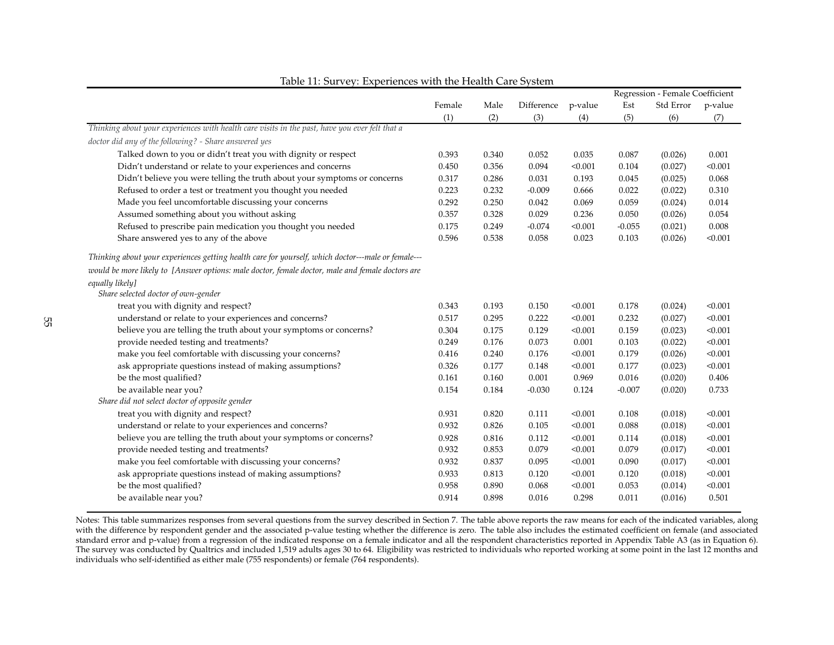|                                                                                                    |        |       |            |         |          | Regression - Female Coefficient |         |
|----------------------------------------------------------------------------------------------------|--------|-------|------------|---------|----------|---------------------------------|---------|
|                                                                                                    | Female | Male  | Difference | p-value | Est      | Std Error                       | p-value |
|                                                                                                    | (1)    | (2)   | (3)        | (4)     | (5)      | (6)                             | (7)     |
| Thinking about your experiences with health care visits in the past, have you ever felt that a     |        |       |            |         |          |                                 |         |
| doctor did any of the following? - Share answered yes                                              |        |       |            |         |          |                                 |         |
| Talked down to you or didn't treat you with dignity or respect                                     | 0.393  | 0.340 | 0.052      | 0.035   | 0.087    | (0.026)                         | 0.001   |
| Didn't understand or relate to your experiences and concerns                                       | 0.450  | 0.356 | 0.094      | < 0.001 | 0.104    | (0.027)                         | < 0.001 |
| Didn't believe you were telling the truth about your symptoms or concerns                          | 0.317  | 0.286 | 0.031      | 0.193   | 0.045    | (0.025)                         | 0.068   |
| Refused to order a test or treatment you thought you needed                                        | 0.223  | 0.232 | $-0.009$   | 0.666   | 0.022    | (0.022)                         | 0.310   |
| Made you feel uncomfortable discussing your concerns                                               | 0.292  | 0.250 | 0.042      | 0.069   | 0.059    | (0.024)                         | 0.014   |
| Assumed something about you without asking                                                         | 0.357  | 0.328 | 0.029      | 0.236   | 0.050    | (0.026)                         | 0.054   |
| Refused to prescribe pain medication you thought you needed                                        | 0.175  | 0.249 | $-0.074$   | < 0.001 | $-0.055$ | (0.021)                         | 0.008   |
| Share answered yes to any of the above                                                             | 0.596  | 0.538 | 0.058      | 0.023   | 0.103    | (0.026)                         | < 0.001 |
| Thinking about your experiences getting health care for yourself, which doctor---male or female--- |        |       |            |         |          |                                 |         |
| would be more likely to [Answer options: male doctor, female doctor, male and female doctors are   |        |       |            |         |          |                                 |         |
| equally likely]                                                                                    |        |       |            |         |          |                                 |         |
| Share selected doctor of own-gender                                                                |        |       |            |         |          |                                 |         |
| treat you with dignity and respect?                                                                | 0.343  | 0.193 | 0.150      | < 0.001 | 0.178    | (0.024)                         | < 0.001 |
| understand or relate to your experiences and concerns?                                             | 0.517  | 0.295 | 0.222      | < 0.001 | 0.232    | (0.027)                         | < 0.001 |
| believe you are telling the truth about your symptoms or concerns?                                 | 0.304  | 0.175 | 0.129      | < 0.001 | 0.159    | (0.023)                         | < 0.001 |
| provide needed testing and treatments?                                                             | 0.249  | 0.176 | 0.073      | 0.001   | 0.103    | (0.022)                         | < 0.001 |
| make you feel comfortable with discussing your concerns?                                           | 0.416  | 0.240 | 0.176      | < 0.001 | 0.179    | (0.026)                         | < 0.001 |
| ask appropriate questions instead of making assumptions?                                           | 0.326  | 0.177 | 0.148      | < 0.001 | 0.177    | (0.023)                         | < 0.001 |
| be the most qualified?                                                                             | 0.161  | 0.160 | 0.001      | 0.969   | 0.016    | (0.020)                         | 0.406   |
| be available near you?                                                                             | 0.154  | 0.184 | $-0.030$   | 0.124   | $-0.007$ | (0.020)                         | 0.733   |
| Share did not select doctor of opposite gender                                                     |        |       |            |         |          |                                 |         |
| treat you with dignity and respect?                                                                | 0.931  | 0.820 | 0.111      | < 0.001 | 0.108    | (0.018)                         | < 0.001 |
| understand or relate to your experiences and concerns?                                             | 0.932  | 0.826 | 0.105      | < 0.001 | 0.088    | (0.018)                         | < 0.001 |
| believe you are telling the truth about your symptoms or concerns?                                 | 0.928  | 0.816 | 0.112      | < 0.001 | 0.114    | (0.018)                         | < 0.001 |
| provide needed testing and treatments?                                                             | 0.932  | 0.853 | 0.079      | < 0.001 | 0.079    | (0.017)                         | < 0.001 |
| make you feel comfortable with discussing your concerns?                                           | 0.932  | 0.837 | 0.095      | < 0.001 | 0.090    | (0.017)                         | < 0.001 |
| ask appropriate questions instead of making assumptions?                                           | 0.933  | 0.813 | 0.120      | < 0.001 | 0.120    | (0.018)                         | < 0.001 |
| be the most qualified?                                                                             | 0.958  | 0.890 | 0.068      | < 0.001 | 0.053    | (0.014)                         | < 0.001 |
| be available near you?                                                                             | 0.914  | 0.898 | 0.016      | 0.298   | 0.011    | (0.016)                         | 0.501   |
|                                                                                                    |        |       |            |         |          |                                 |         |

<span id="page-56-0"></span>Notes: This table summarizes responses from several questions from the survey described in Section [7.](#page-27-1) The table above reports the raw means for each of the indicated variables, along with the difference by respondent gender and the associated p-value testing whether the difference is zero. The table also includes the estimated coefficient on female (and associatedstandard error and p-value) from a regression of the indicated response on a female indicator and all the respondent characteristics reported in Appendix Table [A3](#page-61-1) (as in Equation [6\)](#page-28-0). The survey was conducted by Qualtrics and included 1,519 adults ages 30 to 64. Eligibility was restricted to individuals who reported working at some point in the last 12 months and individuals who self-identified as either male (755 respondents) or female (764 respondents).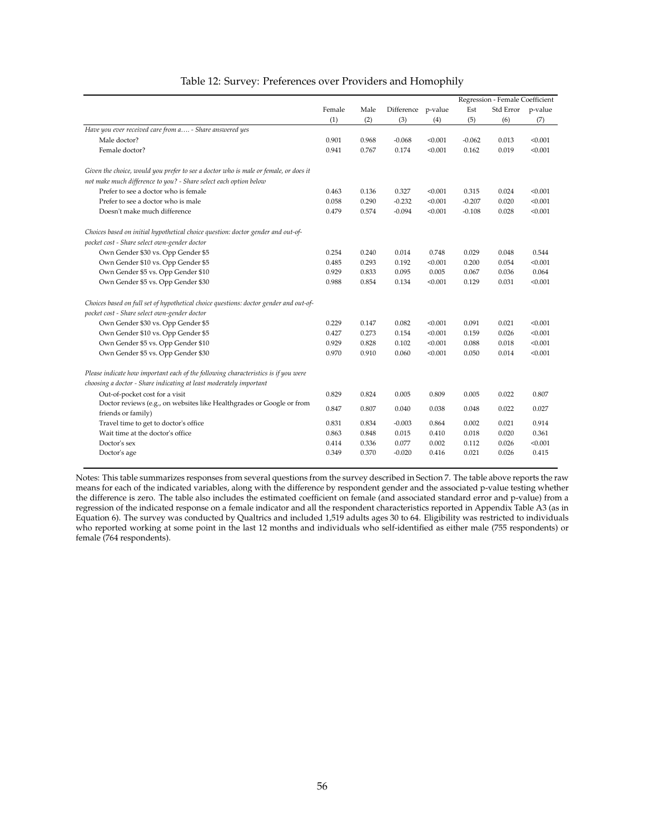<span id="page-57-0"></span>

|                                                                                       |        |       |                    |         | Regression - Female Coefficient |           |         |
|---------------------------------------------------------------------------------------|--------|-------|--------------------|---------|---------------------------------|-----------|---------|
|                                                                                       | Female | Male  | Difference p-value |         | Est                             | Std Error | p-value |
|                                                                                       | (1)    | (2)   | (3)                | (4)     | (5)                             | (6)       | (7)     |
| Have you ever received care from a - Share answered yes                               |        |       |                    |         |                                 |           |         |
| Male doctor?                                                                          | 0.901  | 0.968 | $-0.068$           | < 0.001 | $-0.062$                        | 0.013     | < 0.001 |
| Female doctor?                                                                        | 0.941  | 0.767 | 0.174              | < 0.001 | 0.162                           | 0.019     | < 0.001 |
| Given the choice, would you prefer to see a doctor who is male or female, or does it  |        |       |                    |         |                                 |           |         |
| not make much difference to you? - Share select each option below                     |        |       |                    |         |                                 |           |         |
| Prefer to see a doctor who is female                                                  | 0.463  | 0.136 | 0.327              | < 0.001 | 0.315                           | 0.024     | < 0.001 |
| Prefer to see a doctor who is male                                                    | 0.058  | 0.290 | $-0.232$           | < 0.001 | $-0.207$                        | 0.020     | < 0.001 |
| Doesn't make much difference                                                          | 0.479  | 0.574 | $-0.094$           | < 0.001 | $-0.108$                        | 0.028     | < 0.001 |
| Choices based on initial hypothetical choice question: doctor gender and out-of-      |        |       |                    |         |                                 |           |         |
| pocket cost - Share select own-gender doctor                                          |        |       |                    |         |                                 |           |         |
| Own Gender \$30 vs. Opp Gender \$5                                                    | 0.254  | 0.240 | 0.014              | 0.748   | 0.029                           | 0.048     | 0.544   |
| Own Gender \$10 vs. Opp Gender \$5                                                    | 0.485  | 0.293 | 0.192              | < 0.001 | 0.200                           | 0.054     | < 0.001 |
| Own Gender \$5 vs. Opp Gender \$10                                                    | 0.929  | 0.833 | 0.095              | 0.005   | 0.067                           | 0.036     | 0.064   |
| Own Gender \$5 vs. Opp Gender \$30                                                    | 0.988  | 0.854 | 0.134              | < 0.001 | 0.129                           | 0.031     | < 0.001 |
| Choices based on full set of hypothetical choice questions: doctor gender and out-of- |        |       |                    |         |                                 |           |         |
| pocket cost - Share select own-gender doctor                                          |        |       |                    |         |                                 |           |         |
| Own Gender \$30 vs. Opp Gender \$5                                                    | 0.229  | 0.147 | 0.082              | < 0.001 | 0.091                           | 0.021     | < 0.001 |
| Own Gender \$10 vs. Opp Gender \$5                                                    | 0.427  | 0.273 | 0.154              | < 0.001 | 0.159                           | 0.026     | < 0.001 |
| Own Gender \$5 vs. Opp Gender \$10                                                    | 0.929  | 0.828 | 0.102              | < 0.001 | 0.088                           | 0.018     | < 0.001 |
| Own Gender \$5 vs. Opp Gender \$30                                                    | 0.970  | 0.910 | 0.060              | < 0.001 | 0.050                           | 0.014     | < 0.001 |
| Please indicate how important each of the following characteristics is if you were    |        |       |                    |         |                                 |           |         |
| choosing a doctor - Share indicating at least moderately important                    |        |       |                    |         |                                 |           |         |
| Out-of-pocket cost for a visit                                                        | 0.829  | 0.824 | 0.005              | 0.809   | 0.005                           | 0.022     | 0.807   |
| Doctor reviews (e.g., on websites like Healthgrades or Google or from                 |        |       |                    |         |                                 |           |         |
| friends or family)                                                                    | 0.847  | 0.807 | 0.040              | 0.038   | 0.048                           | 0.022     | 0.027   |
| Travel time to get to doctor's office                                                 | 0.831  | 0.834 | $-0.003$           | 0.864   | 0.002                           | 0.021     | 0.914   |
| Wait time at the doctor's office                                                      | 0.863  | 0.848 | 0.015              | 0.410   | 0.018                           | 0.020     | 0.361   |
| Doctor's sex                                                                          | 0.414  | 0.336 | 0.077              | 0.002   | 0.112                           | 0.026     | < 0.001 |
| Doctor's age                                                                          | 0.349  | 0.370 | $-0.020$           | 0.416   | 0.021                           | 0.026     | 0.415   |

#### Table 12: Survey: Preferences over Providers and Homophily

Notes: This table summarizes responses from several questions from the survey described in Section [7.](#page-27-0) The table above reports the raw means for each of the indicated variables, along with the difference by respondent gender and the associated p-value testing whether the difference is zero. The table also includes the estimated coefficient on female (and associated standard error and p-value) from a regression of the indicated response on a female indicator and all the respondent characteristics reported in Appendix Table [A3](#page-61-0) (as in Equation [6\)](#page-28-1). The survey was conducted by Qualtrics and included 1,519 adults ages 30 to 64. Eligibility was restricted to individuals who reported working at some point in the last 12 months and individuals who self-identified as either male (755 respondents) or female (764 respondents).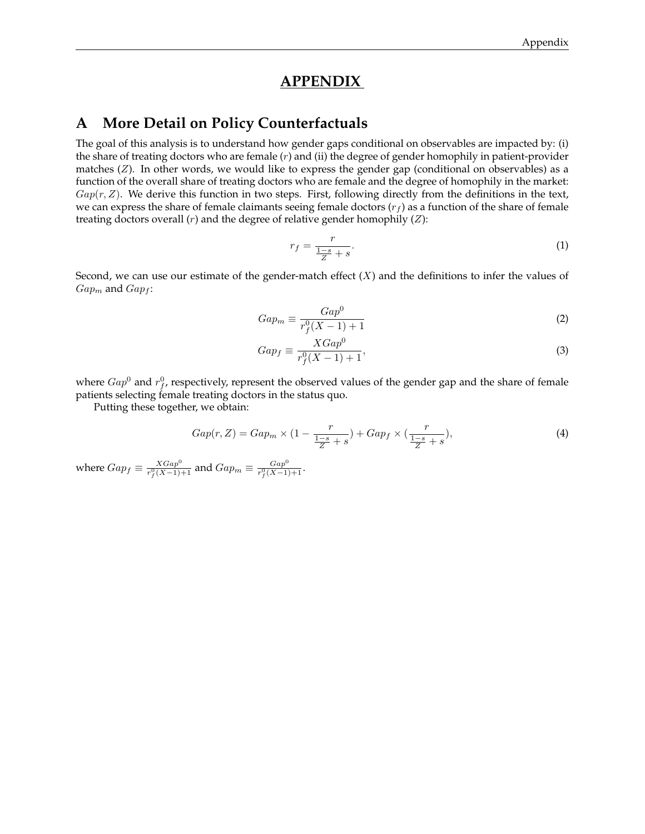# **APPENDIX**

# <span id="page-58-0"></span>**A More Detail on Policy Counterfactuals**

The goal of this analysis is to understand how gender gaps conditional on observables are impacted by: (i) the share of treating doctors who are female  $(r)$  and  $(ii)$  the degree of gender homophily in patient-provider matches  $(Z)$ . In other words, we would like to express the gender gap (conditional on observables) as a function of the overall share of treating doctors who are female and the degree of homophily in the market:  $Gap(r, Z)$ . We derive this function in two steps. First, following directly from the definitions in the text, we can express the share of female claimants seeing female doctors  $(r_f)$  as a function of the share of female treating doctors overall  $(r)$  and the degree of relative gender homophily  $(Z)$ :

$$
r_f = \frac{r}{\frac{1-s}{Z} + s}.\tag{1}
$$

Second, we can use our estimate of the gender-match effect  $(X)$  and the definitions to infer the values of  $Gap_m$  and  $Gap_f$ :

$$
Gap_m \equiv \frac{Gap^0}{r_f^0(X-1)+1} \tag{2}
$$

$$
Gap_f \equiv \frac{XGap^0}{r_f^0(X-1)+1},\tag{3}
$$

where  $Gap^0$  and  $r_f^0$ , respectively, represent the observed values of the gender gap and the share of female patients selecting female treating doctors in the status quo.

Putting these together, we obtain:

$$
Gap(r, Z) = Gap_m \times (1 - \frac{r}{\frac{1-s}{Z} + s}) + Gap_f \times (\frac{r}{\frac{1-s}{Z} + s}),\tag{4}
$$

where  $Gap_f \equiv \frac{XGap^0}{r^0(X-1)}$  $\frac{XGap^0}{r_f^0(X-1)+1}$  and  $Gap_m \equiv \frac{Gap^0}{r_f^0(X-1)}$  $rac{Gap}{r_f^0(X-1)+1}$ .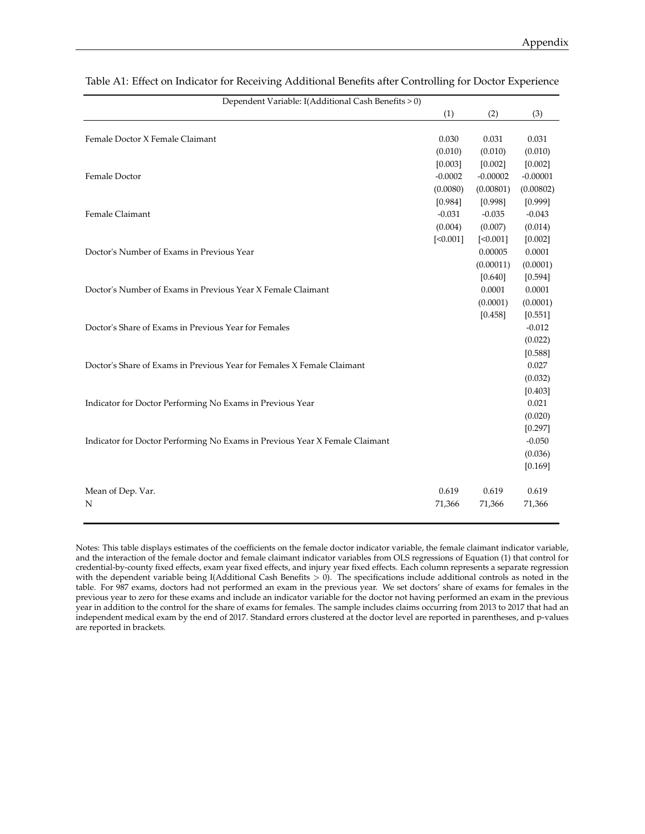| Dependent Variable: I(Additional Cash Benefits > 0)                         |           |            |            |
|-----------------------------------------------------------------------------|-----------|------------|------------|
|                                                                             | (1)       | (2)        | (3)        |
|                                                                             |           |            |            |
| Female Doctor X Female Claimant                                             | 0.030     | 0.031      | 0.031      |
|                                                                             | (0.010)   | (0.010)    | (0.010)    |
|                                                                             | [0.003]   | [0.002]    | [0.002]    |
| Female Doctor                                                               | $-0.0002$ | $-0.00002$ | $-0.00001$ |
|                                                                             | (0.0080)  | (0.00801)  | (0.00802)  |
|                                                                             | [0.984]   | [0.998]    | [0.999]    |
| Female Claimant                                                             | $-0.031$  | $-0.035$   | $-0.043$   |
|                                                                             | (0.004)   | (0.007)    | (0.014)    |
|                                                                             | [<0.001]  | [<0.001]   | [0.002]    |
| Doctor's Number of Exams in Previous Year                                   |           | 0.00005    | 0.0001     |
|                                                                             |           | (0.00011)  | (0.0001)   |
|                                                                             |           | [0.640]    | [0.594]    |
| Doctor's Number of Exams in Previous Year X Female Claimant                 |           | 0.0001     | 0.0001     |
|                                                                             |           | (0.0001)   | (0.0001)   |
|                                                                             |           | [0.458]    | [0.551]    |
| Doctor's Share of Exams in Previous Year for Females                        |           |            | $-0.012$   |
|                                                                             |           |            | (0.022)    |
|                                                                             |           |            | [0.588]    |
| Doctor's Share of Exams in Previous Year for Females X Female Claimant      |           |            | 0.027      |
|                                                                             |           |            | (0.032)    |
|                                                                             |           |            | [0.403]    |
| Indicator for Doctor Performing No Exams in Previous Year                   |           |            | 0.021      |
|                                                                             |           |            | (0.020)    |
|                                                                             |           |            | [0.297]    |
| Indicator for Doctor Performing No Exams in Previous Year X Female Claimant |           |            | $-0.050$   |
|                                                                             |           |            | (0.036)    |
|                                                                             |           |            | [0.169]    |
| Mean of Dep. Var.                                                           | 0.619     | 0.619      | 0.619      |
| N                                                                           | 71,366    | 71,366     | 71,366     |
|                                                                             |           |            |            |

<span id="page-59-0"></span>Table A1: Effect on Indicator for Receiving Additional Benefits after Controlling for Doctor Experience

Notes: This table displays estimates of the coefficients on the female doctor indicator variable, the female claimant indicator variable, and the interaction of the female doctor and female claimant indicator variables from OLS regressions of Equation [\(1\)](#page-17-0) that control for credential-by-county fixed effects, exam year fixed effects, and injury year fixed effects. Each column represents a separate regression with the dependent variable being I(Additional Cash Benefits > 0). The specifications include additional controls as noted in the table. For 987 exams, doctors had not performed an exam in the previous year. We set doctors' share of exams for females in the previous year to zero for these exams and include an indicator variable for the doctor not having performed an exam in the previous year in addition to the control for the share of exams for females. The sample includes claims occurring from 2013 to 2017 that had an independent medical exam by the end of 2017. Standard errors clustered at the doctor level are reported in parentheses, and p-values are reported in brackets.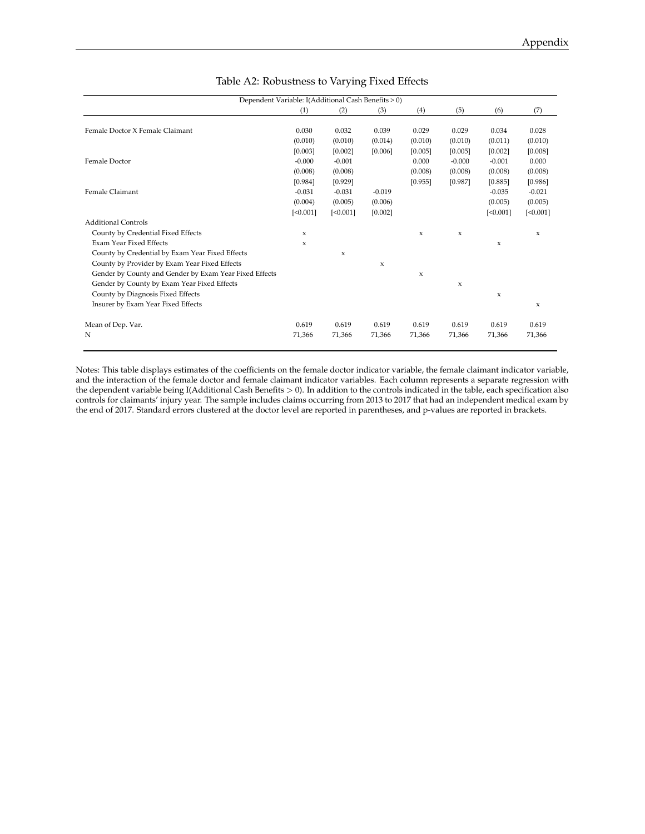<span id="page-60-0"></span>

| Dependent Variable: I(Additional Cash Benefits > 0)    |              |              |              |              |              |              |              |  |
|--------------------------------------------------------|--------------|--------------|--------------|--------------|--------------|--------------|--------------|--|
|                                                        | (1)          | (2)          | (3)          | (4)          | (5)          | (6)          | (7)          |  |
|                                                        |              |              |              |              |              |              |              |  |
| Female Doctor X Female Claimant                        | 0.030        | 0.032        | 0.039        | 0.029        | 0.029        | 0.034        | 0.028        |  |
|                                                        | (0.010)      | (0.010)      | (0.014)      | (0.010)      | (0.010)      | (0.011)      | (0.010)      |  |
|                                                        | [0.003]      | [0.002]      | [0.006]      | [0.005]      | [0.005]      | [0.002]      | [0.008]      |  |
| Female Doctor                                          | $-0.000$     | $-0.001$     |              | 0.000        | $-0.000$     | $-0.001$     | 0.000        |  |
|                                                        | (0.008)      | (0.008)      |              | (0.008)      | (0.008)      | (0.008)      | (0.008)      |  |
|                                                        | [0.984]      | [0.929]      |              | [0.955]      | [0.987]      | [0.885]      | [0.986]      |  |
| Female Claimant                                        | $-0.031$     | $-0.031$     | $-0.019$     |              |              | $-0.035$     | $-0.021$     |  |
|                                                        | (0.004)      | (0.005)      | (0.006)      |              |              | (0.005)      | (0.005)      |  |
|                                                        | [<0.001]     | [<0.001]     | [0.002]      |              |              | [<0.001]     | [<0.001]     |  |
| <b>Additional Controls</b>                             |              |              |              |              |              |              |              |  |
| County by Credential Fixed Effects                     | $\mathbf{x}$ |              |              | $\mathbf{x}$ | $\mathbf{x}$ |              | $\mathbf{x}$ |  |
| Exam Year Fixed Effects                                | $\mathbf{x}$ |              |              |              |              | $\mathbf{x}$ |              |  |
| County by Credential by Exam Year Fixed Effects        |              | $\mathbf{x}$ |              |              |              |              |              |  |
| County by Provider by Exam Year Fixed Effects          |              |              | $\mathbf{x}$ |              |              |              |              |  |
| Gender by County and Gender by Exam Year Fixed Effects |              |              |              | $\mathbf x$  |              |              |              |  |
| Gender by County by Exam Year Fixed Effects            |              |              |              |              | $\mathbf{x}$ |              |              |  |
| County by Diagnosis Fixed Effects                      |              |              |              |              |              | $\mathsf x$  |              |  |
| Insurer by Exam Year Fixed Effects                     |              |              |              |              |              |              | $\mathbf{x}$ |  |
| Mean of Dep. Var.                                      | 0.619        | 0.619        | 0.619        | 0.619        | 0.619        | 0.619        | 0.619        |  |
| N                                                      | 71,366       | 71,366       | 71,366       | 71,366       | 71,366       | 71,366       | 71,366       |  |

#### Table A2: Robustness to Varying Fixed Effects

Notes: This table displays estimates of the coefficients on the female doctor indicator variable, the female claimant indicator variable, and the interaction of the female doctor and female claimant indicator variables. Each column represents a separate regression with the dependent variable being I(Additional Cash Benefits > 0). In addition to the controls indicated in the table, each specification also controls for claimants' injury year. The sample includes claims occurring from 2013 to 2017 that had an independent medical exam by the end of 2017. Standard errors clustered at the doctor level are reported in parentheses, and p-values are reported in brackets.